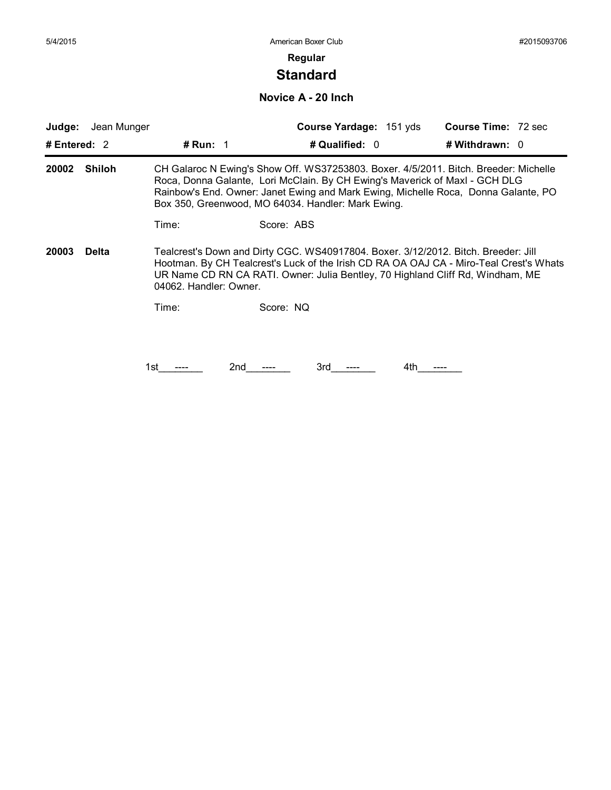## **Standard**

**Novice A - 20 Inch**

| # Entered: $2$<br><b>Shiloh</b> | # Run: $1$ |     | # Qualified: 0                                                                       |                         | # Withdrawn: $0$                                   |                                                                                                                                                                                                                                                                                                                                                                                                                                     |
|---------------------------------|------------|-----|--------------------------------------------------------------------------------------|-------------------------|----------------------------------------------------|-------------------------------------------------------------------------------------------------------------------------------------------------------------------------------------------------------------------------------------------------------------------------------------------------------------------------------------------------------------------------------------------------------------------------------------|
|                                 |            |     |                                                                                      |                         |                                                    |                                                                                                                                                                                                                                                                                                                                                                                                                                     |
|                                 |            |     | CH Galaroc N Ewing's Show Off. WS37253803. Boxer. 4/5/2011. Bitch. Breeder: Michelle |                         |                                                    |                                                                                                                                                                                                                                                                                                                                                                                                                                     |
|                                 | Time:      |     |                                                                                      |                         |                                                    |                                                                                                                                                                                                                                                                                                                                                                                                                                     |
| <b>Delta</b>                    |            |     |                                                                                      |                         |                                                    |                                                                                                                                                                                                                                                                                                                                                                                                                                     |
|                                 | Time:      |     |                                                                                      |                         |                                                    |                                                                                                                                                                                                                                                                                                                                                                                                                                     |
|                                 |            |     |                                                                                      |                         |                                                    |                                                                                                                                                                                                                                                                                                                                                                                                                                     |
|                                 |            | 2nd | 3rd                                                                                  | 4th                     |                                                    |                                                                                                                                                                                                                                                                                                                                                                                                                                     |
|                                 |            | 1st | 04062. Handler: Owner.                                                               | Score: ABS<br>Score: NQ | Box 350, Greenwood, MO 64034. Handler: Mark Ewing. | Roca, Donna Galante, Lori McClain. By CH Ewing's Maverick of Maxl - GCH DLG<br>Rainbow's End. Owner: Janet Ewing and Mark Ewing, Michelle Roca, Donna Galante, PO<br>Tealcrest's Down and Dirty CGC. WS40917804. Boxer. 3/12/2012. Bitch. Breeder: Jill<br>Hootman. By CH Tealcrest's Luck of the Irish CD RA OA OAJ CA - Miro-Teal Crest's Whats<br>UR Name CD RN CA RATI. Owner: Julia Bentley, 70 Highland Cliff Rd, Windham, ME |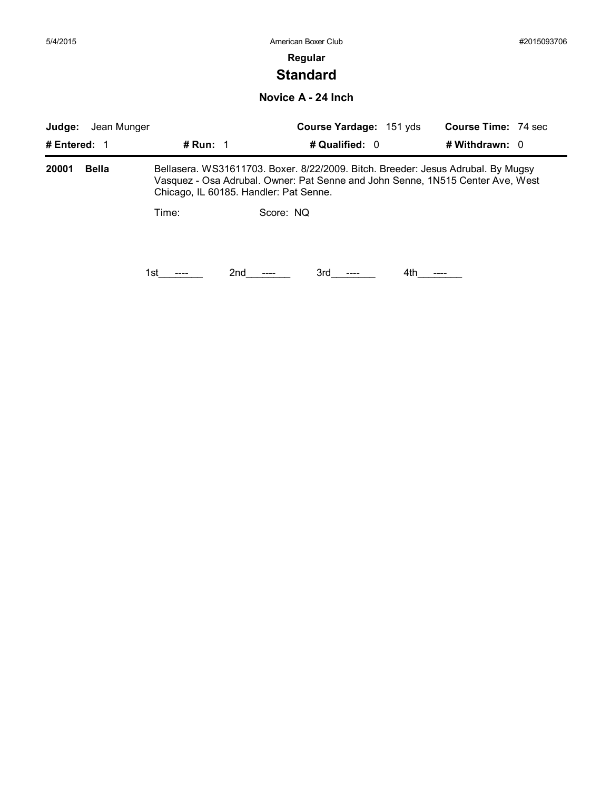# **Standard**

**Novice A - 24 Inch**

|              |       |           | Course Yardage: 151 yds  |                                                                 | <b>Course Time: 74 sec</b>                                                                                                                                                 |
|--------------|-------|-----------|--------------------------|-----------------------------------------------------------------|----------------------------------------------------------------------------------------------------------------------------------------------------------------------------|
| # Entered: 1 |       |           |                          | # Withdrawn: 0                                                  |                                                                                                                                                                            |
| <b>Bella</b> |       |           |                          |                                                                 |                                                                                                                                                                            |
|              | Time: | Score: NQ |                          |                                                                 |                                                                                                                                                                            |
|              |       |           |                          |                                                                 |                                                                                                                                                                            |
|              |       | 1st       | # Run: $\sqrt{1}$<br>2nd | # Qualified: 0<br>Chicago, IL 60185. Handler: Pat Senne.<br>3rd | Bellasera. WS31611703. Boxer. 8/22/2009. Bitch. Breeder: Jesus Adrubal. By Mugsy<br>Vasquez - Osa Adrubal. Owner: Pat Senne and John Senne, 1N515 Center Ave, West<br>4th. |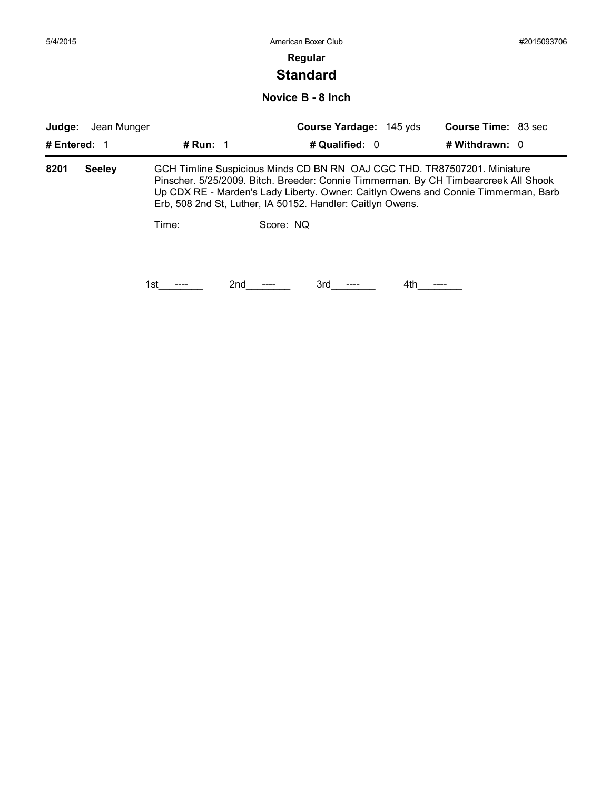# **Standard**

### **Novice B - 8 Inch**

| Judge:       | Jean Munger   |            |                                                                                                                                                                                                                                                                                                                     | Course Yardage: 145 yds |     | <b>Course Time: 83 sec</b> |  |
|--------------|---------------|------------|---------------------------------------------------------------------------------------------------------------------------------------------------------------------------------------------------------------------------------------------------------------------------------------------------------------------|-------------------------|-----|----------------------------|--|
| # Entered: 1 |               | # Run: $1$ |                                                                                                                                                                                                                                                                                                                     | # Qualified: 0          |     | # Withdrawn: $0$           |  |
| 8201         | <b>Seeley</b> |            | GCH Timline Suspicious Minds CD BN RN OAJ CGC THD. TR87507201. Miniature<br>Pinscher. 5/25/2009. Bitch. Breeder: Connie Timmerman. By CH Timbearcreek All Shook<br>Up CDX RE - Marden's Lady Liberty. Owner: Caitlyn Owens and Connie Timmerman, Barb<br>Erb, 508 2nd St, Luther, IA 50152. Handler: Caitlyn Owens. |                         |     |                            |  |
|              |               | Time:      | Score: NQ                                                                                                                                                                                                                                                                                                           |                         |     |                            |  |
|              |               | 1st        | 2nd                                                                                                                                                                                                                                                                                                                 | 3rd                     | 4th |                            |  |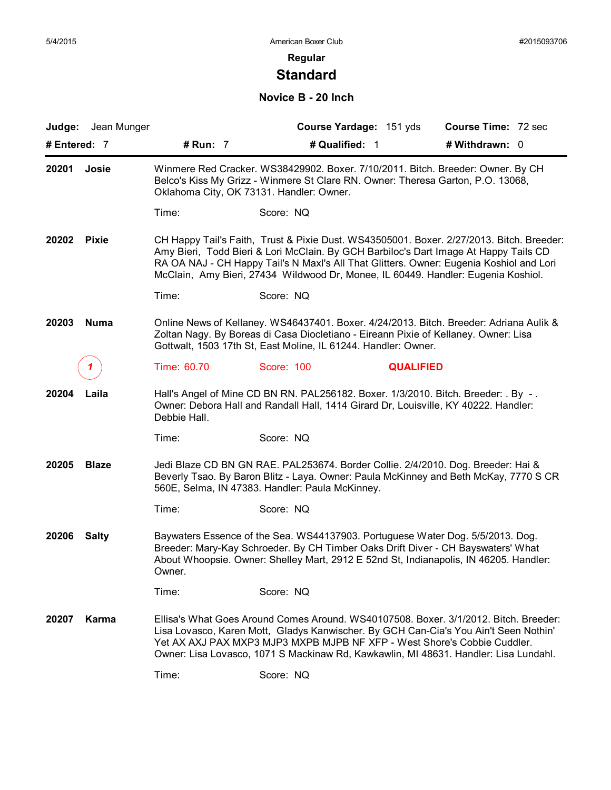# **Standard**

### **Novice B - 20 Inch**

|              | Judge: Jean Munger |                                          | Course Yardage: 151 yds                                                                                                                                                                                                                                                                                                                                          |                  | <b>Course Time: 72 sec</b> |  |
|--------------|--------------------|------------------------------------------|------------------------------------------------------------------------------------------------------------------------------------------------------------------------------------------------------------------------------------------------------------------------------------------------------------------------------------------------------------------|------------------|----------------------------|--|
| # Entered: 7 |                    | # Run: 7                                 | # Qualified: 1                                                                                                                                                                                                                                                                                                                                                   |                  | # Withdrawn: 0             |  |
| 20201        | Josie              | Oklahoma City, OK 73131. Handler: Owner. | Winmere Red Cracker. WS38429902. Boxer. 7/10/2011. Bitch. Breeder: Owner. By CH<br>Belco's Kiss My Grizz - Winmere St Clare RN. Owner: Theresa Garton, P.O. 13068,                                                                                                                                                                                               |                  |                            |  |
|              |                    | Time:                                    | Score: NQ                                                                                                                                                                                                                                                                                                                                                        |                  |                            |  |
| 20202        | <b>Pixie</b>       |                                          | CH Happy Tail's Faith, Trust & Pixie Dust. WS43505001. Boxer. 2/27/2013. Bitch. Breeder:<br>Amy Bieri, Todd Bieri & Lori McClain. By GCH Barbiloc's Dart Image At Happy Tails CD<br>RA OA NAJ - CH Happy Tail's N Maxl's All That Glitters. Owner: Eugenia Koshiol and Lori<br>McClain, Amy Bieri, 27434 Wildwood Dr, Monee, IL 60449. Handler: Eugenia Koshiol. |                  |                            |  |
|              |                    | Time:                                    | Score: NQ                                                                                                                                                                                                                                                                                                                                                        |                  |                            |  |
| 20203        | <b>Numa</b>        |                                          | Online News of Kellaney. WS46437401. Boxer. 4/24/2013. Bitch. Breeder: Adriana Aulik &<br>Zoltan Nagy. By Boreas di Casa Diocletiano - Eireann Pixie of Kellaney. Owner: Lisa<br>Gottwalt, 1503 17th St, East Moline, IL 61244. Handler: Owner.                                                                                                                  |                  |                            |  |
|              |                    | Time: 60.70                              | Score: 100                                                                                                                                                                                                                                                                                                                                                       | <b>QUALIFIED</b> |                            |  |
| 20204        | Laila              | Debbie Hall.                             | Hall's Angel of Mine CD BN RN. PAL256182. Boxer. 1/3/2010. Bitch. Breeder: . By -.<br>Owner: Debora Hall and Randall Hall, 1414 Girard Dr, Louisville, KY 40222. Handler:                                                                                                                                                                                        |                  |                            |  |
|              |                    | Time:                                    | Score: NQ                                                                                                                                                                                                                                                                                                                                                        |                  |                            |  |
| 20205        | <b>Blaze</b>       |                                          | Jedi Blaze CD BN GN RAE. PAL253674. Border Collie. 2/4/2010. Dog. Breeder: Hai &<br>Beverly Tsao. By Baron Blitz - Laya. Owner: Paula McKinney and Beth McKay, 7770 S CR<br>560E, Selma, IN 47383. Handler: Paula McKinney.                                                                                                                                      |                  |                            |  |
|              |                    | Time:                                    | Score: NQ                                                                                                                                                                                                                                                                                                                                                        |                  |                            |  |
| 20206        | <b>Salty</b>       | Owner.                                   | Baywaters Essence of the Sea. WS44137903. Portuguese Water Dog. 5/5/2013. Dog.<br>Breeder: Mary-Kay Schroeder. By CH Timber Oaks Drift Diver - CH Bayswaters' What<br>About Whoopsie. Owner: Shelley Mart, 2912 E 52nd St, Indianapolis, IN 46205. Handler:                                                                                                      |                  |                            |  |
|              |                    | Time:                                    | Score: NQ                                                                                                                                                                                                                                                                                                                                                        |                  |                            |  |
| 20207        | Karma              |                                          | Ellisa's What Goes Around Comes Around, WS40107508, Boxer, 3/1/2012, Bitch, Breeder:<br>Lisa Lovasco, Karen Mott, Gladys Kanwischer. By GCH Can-Cia's You Ain't Seen Nothin'<br>Yet AX AXJ PAX MXP3 MJP3 MXPB MJPB NF XFP - West Shore's Cobbie Cuddler.<br>Owner: Lisa Lovasco, 1071 S Mackinaw Rd, Kawkawlin, MI 48631. Handler: Lisa Lundahl.                 |                  |                            |  |
|              |                    | Time:                                    | Score: NQ                                                                                                                                                                                                                                                                                                                                                        |                  |                            |  |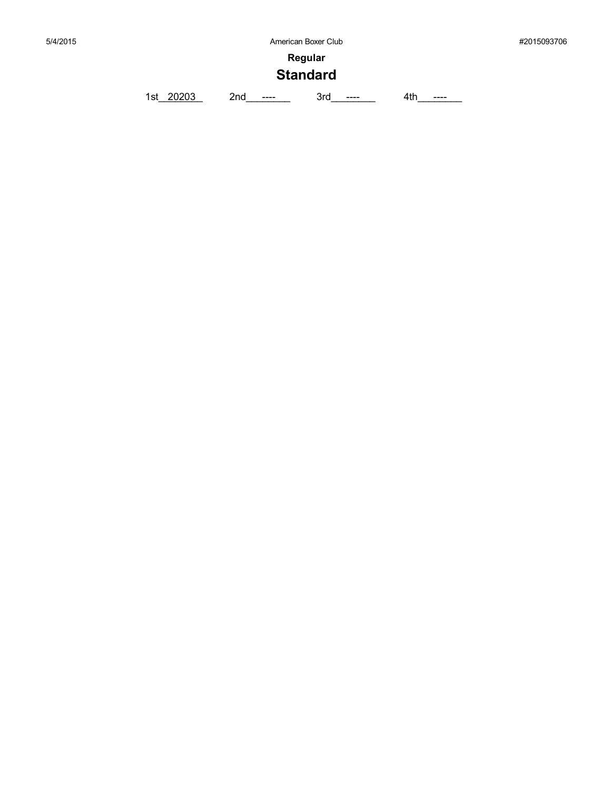# **Standard**

1st\_20203 2nd\_\_\_\_\_\_ 3rd\_\_\_\_\_\_ 4th\_\_\_\_\_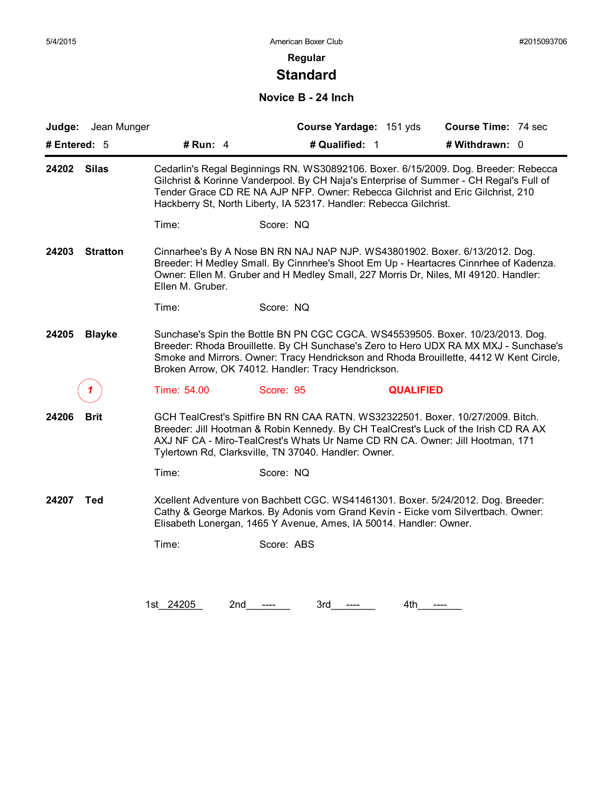# **Standard**

#### **Novice B - 24 Inch**

| Judge: Jean Munger       |                  |                                                                                                                                                                                                                                                                                                                                        | Course Yardage: 151 yds | Course Time: 74 sec |  |
|--------------------------|------------------|----------------------------------------------------------------------------------------------------------------------------------------------------------------------------------------------------------------------------------------------------------------------------------------------------------------------------------------|-------------------------|---------------------|--|
| # Entered: 5             | # Run: 4         | # Qualified: 1                                                                                                                                                                                                                                                                                                                         |                         | # Withdrawn: 0      |  |
| <b>Silas</b><br>24202    |                  | Cedarlin's Regal Beginnings RN. WS30892106. Boxer. 6/15/2009. Dog. Breeder: Rebecca<br>Gilchrist & Korinne Vanderpool. By CH Naja's Enterprise of Summer - CH Regal's Full of<br>Tender Grace CD RE NA AJP NFP. Owner: Rebecca Gilchrist and Eric Gilchrist, 210<br>Hackberry St, North Liberty, IA 52317. Handler: Rebecca Gilchrist. |                         |                     |  |
|                          | Time:            | Score: NQ                                                                                                                                                                                                                                                                                                                              |                         |                     |  |
| 24203<br><b>Stratton</b> | Ellen M. Gruber. | Cinnarhee's By A Nose BN RN NAJ NAP NJP. WS43801902. Boxer. 6/13/2012. Dog.<br>Breeder: H Medley Small. By Cinnrhee's Shoot Em Up - Heartacres Cinnrhee of Kadenza.<br>Owner: Ellen M. Gruber and H Medley Small, 227 Morris Dr, Niles, MI 49120. Handler:                                                                             |                         |                     |  |
|                          | Time:            | Score: NQ                                                                                                                                                                                                                                                                                                                              |                         |                     |  |
| 24205<br><b>Blayke</b>   |                  | Sunchase's Spin the Bottle BN PN CGC CGCA. WS45539505. Boxer. 10/23/2013. Dog.<br>Breeder: Rhoda Brouillette. By CH Sunchase's Zero to Hero UDX RA MX MXJ - Sunchase's<br>Smoke and Mirrors. Owner: Tracy Hendrickson and Rhoda Brouillette, 4412 W Kent Circle,<br>Broken Arrow, OK 74012. Handler: Tracy Hendrickson.                |                         |                     |  |
|                          | Time: 54.00      | Score: 95                                                                                                                                                                                                                                                                                                                              | <b>QUALIFIED</b>        |                     |  |
| 24206<br><b>Brit</b>     |                  | GCH TealCrest's Spitfire BN RN CAA RATN. WS32322501. Boxer. 10/27/2009. Bitch.<br>Breeder: Jill Hootman & Robin Kennedy. By CH TealCrest's Luck of the Irish CD RA AX<br>AXJ NF CA - Miro-TealCrest's Whats Ur Name CD RN CA. Owner: Jill Hootman, 171<br>Tylertown Rd, Clarksville, TN 37040. Handler: Owner.                         |                         |                     |  |
|                          | Time:            | Score: NQ                                                                                                                                                                                                                                                                                                                              |                         |                     |  |
| <b>Ted</b><br>24207      |                  | Xcellent Adventure von Bachbett CGC. WS41461301. Boxer. 5/24/2012. Dog. Breeder:<br>Cathy & George Markos. By Adonis vom Grand Kevin - Eicke vom Silvertbach. Owner:<br>Elisabeth Lonergan, 1465 Y Avenue, Ames, IA 50014. Handler: Owner.                                                                                             |                         |                     |  |
|                          | Time:            | Score: ABS                                                                                                                                                                                                                                                                                                                             |                         |                     |  |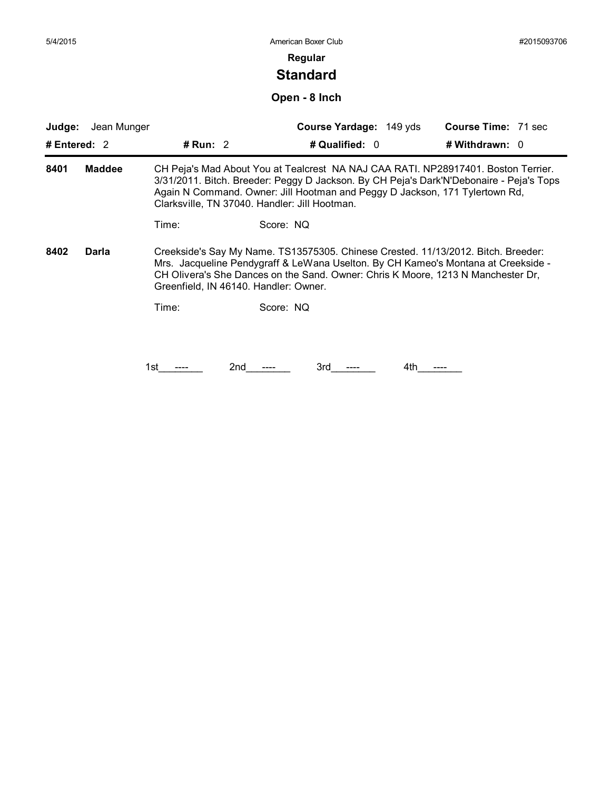# **Standard**

**Open - 8 Inch**

| Judge:         | Jean Munger   |                                       | Course Yardage: 149 yds                                                                                                                                                                                                                                                                                      | <b>Course Time: 71 sec</b> |
|----------------|---------------|---------------------------------------|--------------------------------------------------------------------------------------------------------------------------------------------------------------------------------------------------------------------------------------------------------------------------------------------------------------|----------------------------|
| # Entered: $2$ |               | # Run: $2$                            | # Qualified: 0                                                                                                                                                                                                                                                                                               | # Withdrawn: $0$           |
| 8401           | <b>Maddee</b> |                                       | CH Peja's Mad About You at Tealcrest NA NAJ CAA RATI. NP28917401. Boston Terrier.<br>3/31/2011. Bitch. Breeder: Peggy D Jackson. By CH Peja's Dark'N'Debonaire - Peja's Tops<br>Again N Command. Owner: Jill Hootman and Peggy D Jackson, 171 Tylertown Rd,<br>Clarksville, TN 37040. Handler: Jill Hootman. |                            |
|                |               | Time:                                 | Score: NQ                                                                                                                                                                                                                                                                                                    |                            |
| 8402           | Darla         | Greenfield, IN 46140. Handler: Owner. | Creekside's Say My Name. TS13575305. Chinese Crested. 11/13/2012. Bitch. Breeder:<br>Mrs. Jacqueline Pendygraff & LeWana Uselton. By CH Kameo's Montana at Creekside -<br>CH Olivera's She Dances on the Sand. Owner: Chris K Moore, 1213 N Manchester Dr,                                                   |                            |
|                |               | Time:                                 | Score: NQ                                                                                                                                                                                                                                                                                                    |                            |
|                |               |                                       |                                                                                                                                                                                                                                                                                                              |                            |
|                |               |                                       |                                                                                                                                                                                                                                                                                                              |                            |
|                |               | 2nd<br>1st                            | 3rd                                                                                                                                                                                                                                                                                                          | 4th                        |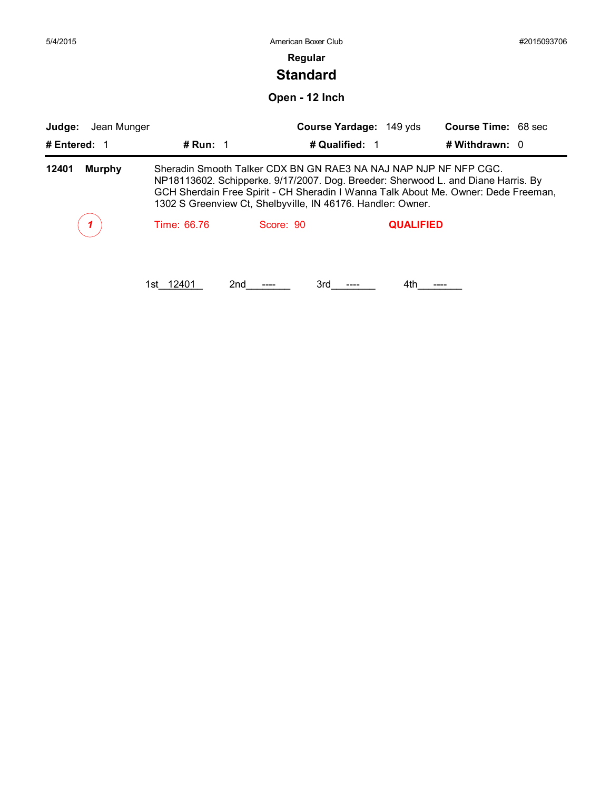| 5/4/2015               |                  | American Boxer Club                                                                                                                                                                                                                                                                                        |                  |                            | #2015093706 |
|------------------------|------------------|------------------------------------------------------------------------------------------------------------------------------------------------------------------------------------------------------------------------------------------------------------------------------------------------------------|------------------|----------------------------|-------------|
|                        |                  | Regular                                                                                                                                                                                                                                                                                                    |                  |                            |             |
|                        |                  | <b>Standard</b>                                                                                                                                                                                                                                                                                            |                  |                            |             |
|                        |                  | Open - 12 Inch                                                                                                                                                                                                                                                                                             |                  |                            |             |
| Judge:<br>Jean Munger  |                  | Course Yardage: 149 yds                                                                                                                                                                                                                                                                                    |                  | <b>Course Time: 68 sec</b> |             |
| # Entered: 1           | # Run: $1$       | # Qualified: 1                                                                                                                                                                                                                                                                                             |                  | # Withdrawn: 0             |             |
| 12401<br><b>Murphy</b> |                  | Sheradin Smooth Talker CDX BN GN RAE3 NA NAJ NAP NJP NF NFP CGC.<br>NP18113602. Schipperke. 9/17/2007. Dog. Breeder: Sherwood L. and Diane Harris. By<br>GCH Sherdain Free Spirit - CH Sheradin I Wanna Talk About Me. Owner: Dede Freeman,<br>1302 S Greenview Ct, Shelbyville, IN 46176. Handler: Owner. |                  |                            |             |
|                        | Time: 66.76      | Score: 90                                                                                                                                                                                                                                                                                                  | <b>QUALIFIED</b> |                            |             |
|                        | 1st 12401<br>2nd | 3rd                                                                                                                                                                                                                                                                                                        | 4th              |                            |             |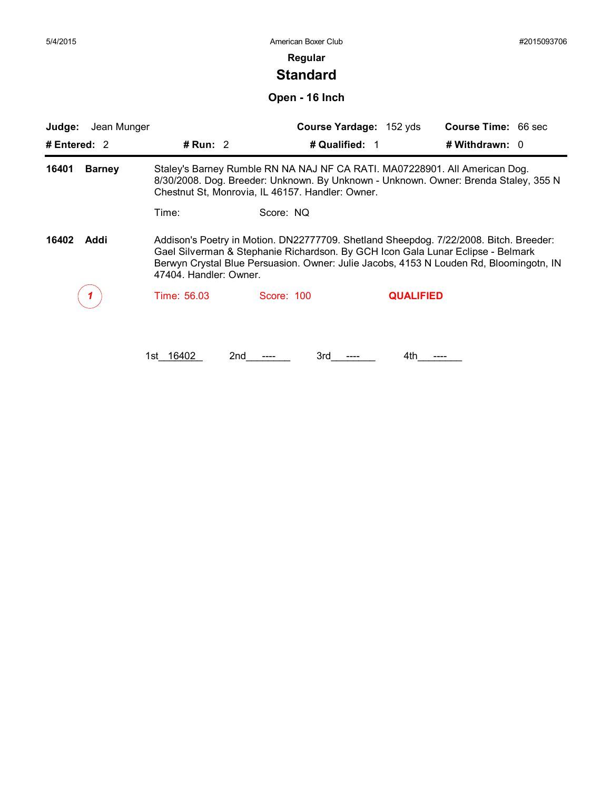# **Standard**

**Open - 16 Inch**

| Judge:         | Jean Munger   |                        |                                                                                                                                                                                                                                                                    | Course Yardage: 152 yds | <b>Course Time: 66 sec</b> |  |
|----------------|---------------|------------------------|--------------------------------------------------------------------------------------------------------------------------------------------------------------------------------------------------------------------------------------------------------------------|-------------------------|----------------------------|--|
| # Entered: $2$ |               | # Run: $2$             | # Qualified: 1                                                                                                                                                                                                                                                     |                         | # Withdrawn: 0             |  |
| 16401          | <b>Barney</b> |                        | Staley's Barney Rumble RN NA NAJ NF CA RATI. MA07228901. All American Dog.<br>8/30/2008. Dog. Breeder: Unknown. By Unknown - Unknown. Owner: Brenda Staley, 355 N<br>Chestnut St, Monrovia, IL 46157. Handler: Owner.                                              |                         |                            |  |
|                |               | Time:                  | Score: NQ                                                                                                                                                                                                                                                          |                         |                            |  |
| 16402          | Addi          | 47404. Handler: Owner. | Addison's Poetry in Motion. DN22777709. Shetland Sheepdog. 7/22/2008. Bitch. Breeder:<br>Gael Silverman & Stephanie Richardson. By GCH Icon Gala Lunar Eclipse - Belmark<br>Berwyn Crystal Blue Persuasion. Owner: Julie Jacobs, 4153 N Louden Rd, Bloomingotn, IN |                         |                            |  |
|                |               | Time: 56.03            | Score: 100                                                                                                                                                                                                                                                         | <b>QUALIFIED</b>        |                            |  |
|                |               |                        |                                                                                                                                                                                                                                                                    |                         |                            |  |
|                |               | 16402<br>1st.          | 2 <sub>nd</sub><br>3rd                                                                                                                                                                                                                                             | 4th                     |                            |  |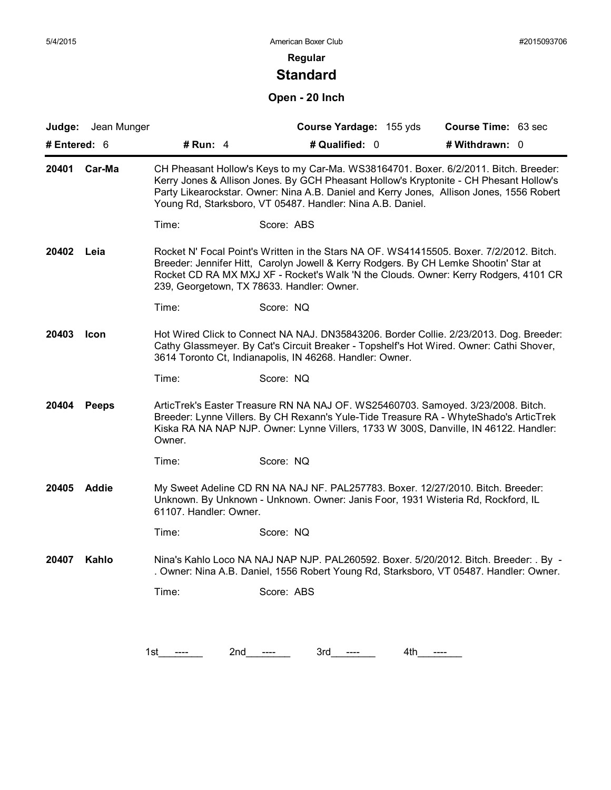# **Standard**

### **Open - 20 Inch**

|              | Judge: Jean Munger |                        | Course Yardage: 155 yds                                                                                                                                                                                                                                                                                                                  | Course Time: 63 sec |
|--------------|--------------------|------------------------|------------------------------------------------------------------------------------------------------------------------------------------------------------------------------------------------------------------------------------------------------------------------------------------------------------------------------------------|---------------------|
| # Entered: 6 |                    | # Run: $4$             | # Qualified: 0                                                                                                                                                                                                                                                                                                                           | # Withdrawn: 0      |
| 20401        | Car-Ma             |                        | CH Pheasant Hollow's Keys to my Car-Ma. WS38164701. Boxer. 6/2/2011. Bitch. Breeder:<br>Kerry Jones & Allison Jones. By GCH Pheasant Hollow's Kryptonite - CH Phesant Hollow's<br>Party Likearockstar. Owner: Nina A.B. Daniel and Kerry Jones, Allison Jones, 1556 Robert<br>Young Rd, Starksboro, VT 05487. Handler: Nina A.B. Daniel. |                     |
|              |                    | Time:                  | Score: ABS                                                                                                                                                                                                                                                                                                                               |                     |
| 20402        | Leia               |                        | Rocket N' Focal Point's Written in the Stars NA OF. WS41415505. Boxer. 7/2/2012. Bitch.<br>Breeder: Jennifer Hitt, Carolyn Jowell & Kerry Rodgers. By CH Lemke Shootin' Star at<br>Rocket CD RA MX MXJ XF - Rocket's Walk 'N the Clouds. Owner: Kerry Rodgers, 4101 CR<br>239, Georgetown, TX 78633. Handler: Owner.                     |                     |
|              |                    | Time:                  | Score: NQ                                                                                                                                                                                                                                                                                                                                |                     |
| 20403        | <b>Icon</b>        |                        | Hot Wired Click to Connect NA NAJ. DN35843206. Border Collie. 2/23/2013. Dog. Breeder:<br>Cathy Glassmeyer. By Cat's Circuit Breaker - Topshelf's Hot Wired. Owner: Cathi Shover,<br>3614 Toronto Ct, Indianapolis, IN 46268. Handler: Owner.                                                                                            |                     |
|              |                    | Time:                  | Score: NQ                                                                                                                                                                                                                                                                                                                                |                     |
| 20404        | <b>Peeps</b>       | Owner.                 | ArticTrek's Easter Treasure RN NA NAJ OF. WS25460703. Samoyed. 3/23/2008. Bitch.<br>Breeder: Lynne Villers. By CH Rexann's Yule-Tide Treasure RA - WhyteShado's ArticTrek<br>Kiska RA NA NAP NJP. Owner: Lynne Villers, 1733 W 300S, Danville, IN 46122. Handler:                                                                        |                     |
|              |                    | Time:                  | Score: NQ                                                                                                                                                                                                                                                                                                                                |                     |
| 20405        | <b>Addie</b>       | 61107. Handler: Owner. | My Sweet Adeline CD RN NA NAJ NF. PAL257783. Boxer. 12/27/2010. Bitch. Breeder:<br>Unknown. By Unknown - Unknown. Owner: Janis Foor, 1931 Wisteria Rd, Rockford, IL                                                                                                                                                                      |                     |
|              |                    | Time:                  | Score: NQ                                                                                                                                                                                                                                                                                                                                |                     |
| 20407        | Kahlo              |                        | Nina's Kahlo Loco NA NAJ NAP NJP. PAL260592. Boxer. 5/20/2012. Bitch. Breeder: . By -<br>. Owner: Nina A.B. Daniel, 1556 Robert Young Rd, Starksboro, VT 05487. Handler: Owner.                                                                                                                                                          |                     |
|              |                    | Time:                  | Score: ABS                                                                                                                                                                                                                                                                                                                               |                     |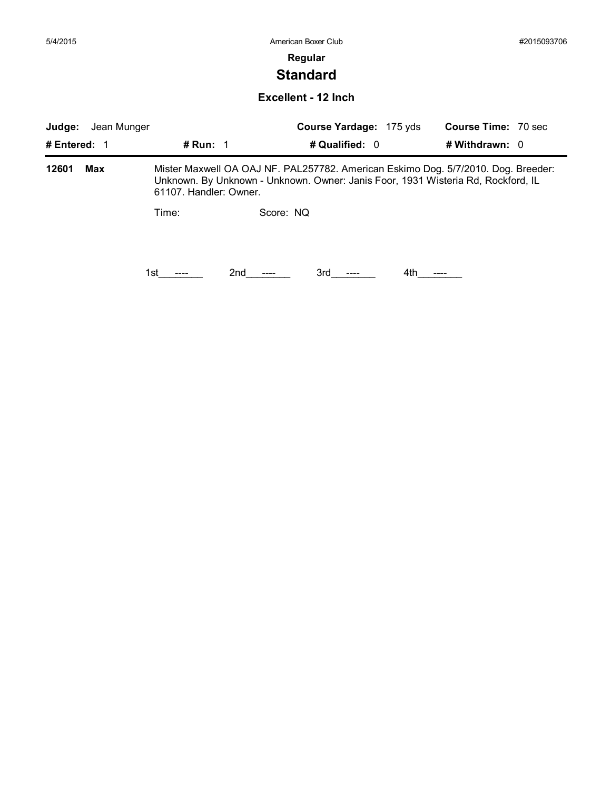# **Standard**

#### **Excellent - 12 Inch**

| Judge:<br>Jean Munger |     |                        | Course Yardage: 175 yds                                                                                                                                               | <b>Course Time: 70 sec</b> |                  |  |
|-----------------------|-----|------------------------|-----------------------------------------------------------------------------------------------------------------------------------------------------------------------|----------------------------|------------------|--|
| # Entered: 1          |     | # Run: $1$             | # Qualified: 0                                                                                                                                                        |                            | # Withdrawn: $0$ |  |
| 12601                 | Max | 61107. Handler: Owner. | Mister Maxwell OA OAJ NF. PAL257782. American Eskimo Dog. 5/7/2010. Dog. Breeder:<br>Unknown. By Unknown - Unknown. Owner: Janis Foor, 1931 Wisteria Rd, Rockford, IL |                            |                  |  |
|                       |     | Time:                  | Score: NQ                                                                                                                                                             |                            |                  |  |
|                       |     |                        |                                                                                                                                                                       |                            |                  |  |
|                       |     | 1st.                   | 2nd<br>3rd                                                                                                                                                            | 4th.                       |                  |  |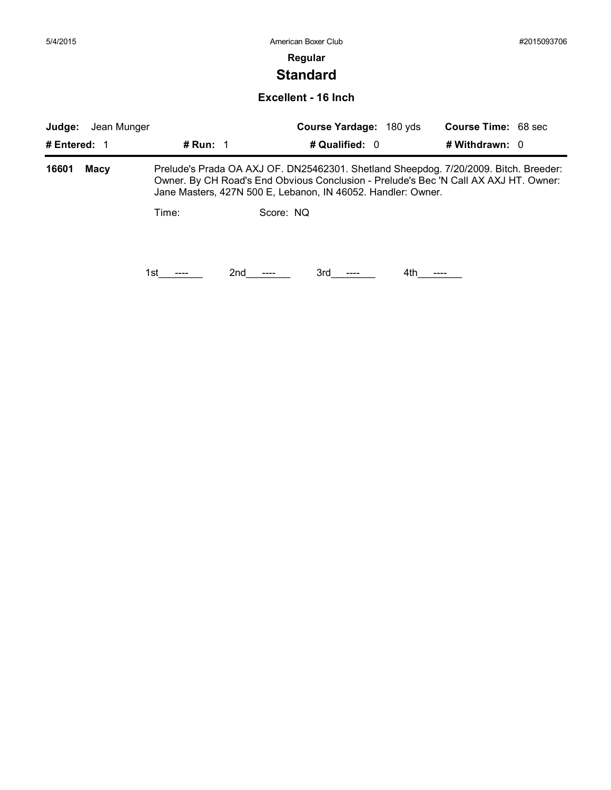# **Standard**

#### **Excellent - 16 Inch**

| Judge:         | Course Yardage: 180 yds<br>Jean Munger |                   |                                                                                                                                                                                                                                              | <b>Course Time: 68 sec</b> |                  |
|----------------|----------------------------------------|-------------------|----------------------------------------------------------------------------------------------------------------------------------------------------------------------------------------------------------------------------------------------|----------------------------|------------------|
| # Entered: $1$ |                                        | # Run: $\sqrt{1}$ | # Qualified: 0                                                                                                                                                                                                                               |                            | # Withdrawn: $0$ |
| 16601          | Macy                                   |                   | Prelude's Prada OA AXJ OF. DN25462301. Shetland Sheepdog. 7/20/2009. Bitch. Breeder:<br>Owner. By CH Road's End Obvious Conclusion - Prelude's Bec 'N Call AX AXJ HT. Owner:<br>Jane Masters, 427N 500 E, Lebanon, IN 46052. Handler: Owner. |                            |                  |
|                |                                        | Time:             | Score: NO                                                                                                                                                                                                                                    |                            |                  |
|                |                                        | 1st               | 2nd<br>3rd                                                                                                                                                                                                                                   | 4th                        |                  |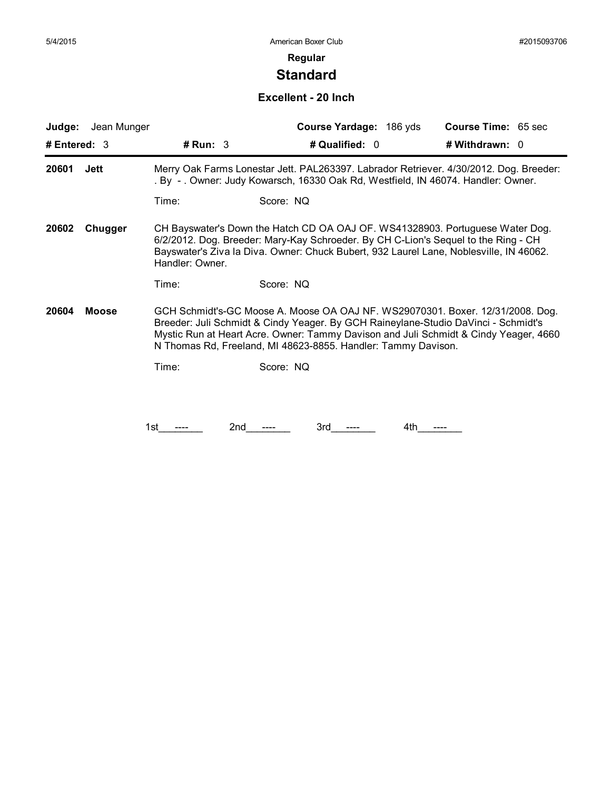# **Standard**

### **Excellent - 20 Inch**

| Judge:<br>Jean Munger |                 | Course Yardage: 186 yds                                                                                                                                                                                                                                                                                                       | <b>Course Time: 65 sec</b> |
|-----------------------|-----------------|-------------------------------------------------------------------------------------------------------------------------------------------------------------------------------------------------------------------------------------------------------------------------------------------------------------------------------|----------------------------|
| # Entered: $3$        | # Run: 3        | # Qualified: 0                                                                                                                                                                                                                                                                                                                | # Withdrawn: 0             |
| 20601<br><b>Jett</b>  |                 | Merry Oak Farms Lonestar Jett. PAL263397. Labrador Retriever. 4/30/2012. Dog. Breeder:<br>. By -. Owner: Judy Kowarsch, 16330 Oak Rd, Westfield, IN 46074. Handler: Owner.                                                                                                                                                    |                            |
|                       | Time:           | Score: NQ                                                                                                                                                                                                                                                                                                                     |                            |
| Chugger<br>20602      | Handler: Owner. | CH Bayswater's Down the Hatch CD OA OAJ OF. WS41328903. Portuguese Water Dog.<br>6/2/2012. Dog. Breeder: Mary-Kay Schroeder. By CH C-Lion's Sequel to the Ring - CH<br>Bayswater's Ziva la Diva. Owner: Chuck Bubert, 932 Laurel Lane, Noblesville, IN 46062.                                                                 |                            |
|                       | Time:           | Score: NQ                                                                                                                                                                                                                                                                                                                     |                            |
| 20604<br><b>Moose</b> |                 | GCH Schmidt's-GC Moose A. Moose OA OAJ NF. WS29070301. Boxer. 12/31/2008. Dog.<br>Breeder: Juli Schmidt & Cindy Yeager. By GCH Raineylane-Studio DaVinci - Schmidt's<br>Mystic Run at Heart Acre. Owner: Tammy Davison and Juli Schmidt & Cindy Yeager, 4660<br>N Thomas Rd, Freeland, MI 48623-8855. Handler: Tammy Davison. |                            |
|                       | Time:           | Score: NQ                                                                                                                                                                                                                                                                                                                     |                            |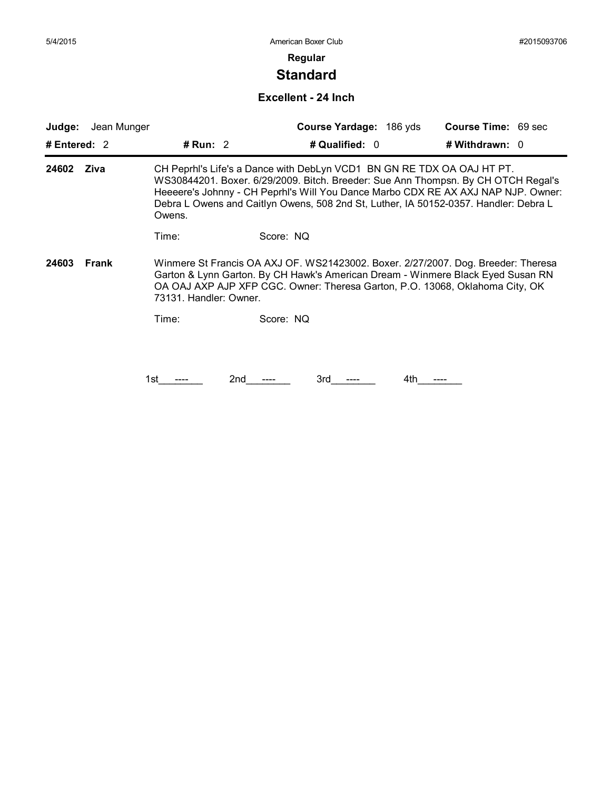# **Standard**

#### **Excellent - 24 Inch**

| Judge:         | Jean Munger |                        | Course Yardage: 186 yds                                                                                                                                                                                                                                                                                                                  | <b>Course Time: 69 sec</b> |
|----------------|-------------|------------------------|------------------------------------------------------------------------------------------------------------------------------------------------------------------------------------------------------------------------------------------------------------------------------------------------------------------------------------------|----------------------------|
| # Entered: $2$ |             | # Run: $2$             | # Qualified: 0                                                                                                                                                                                                                                                                                                                           | # Withdrawn: $0$           |
| Ziva<br>24602  |             | Owens.                 | CH Peprhl's Life's a Dance with DebLyn VCD1 BN GN RE TDX OA OAJ HT PT.<br>WS30844201. Boxer. 6/29/2009. Bitch. Breeder: Sue Ann Thompsn. By CH OTCH Regal's<br>Heeeere's Johnny - CH Peprhl's Will You Dance Marbo CDX RE AX AXJ NAP NJP. Owner:<br>Debra L Owens and Caitlyn Owens, 508 2nd St, Luther, IA 50152-0357. Handler: Debra L |                            |
|                |             | Time:                  | Score: NQ                                                                                                                                                                                                                                                                                                                                |                            |
| 24603          | Frank       | 73131. Handler: Owner. | Winmere St Francis OA AXJ OF. WS21423002. Boxer. 2/27/2007. Dog. Breeder: Theresa<br>Garton & Lynn Garton. By CH Hawk's American Dream - Winmere Black Eyed Susan RN<br>OA OAJ AXP AJP XFP CGC. Owner: Theresa Garton, P.O. 13068, Oklahoma City, OK                                                                                     |                            |
|                |             | Time:                  | Score: NQ                                                                                                                                                                                                                                                                                                                                |                            |
|                |             |                        |                                                                                                                                                                                                                                                                                                                                          |                            |
|                |             | 2nd<br>1st             | 3rd<br>4th                                                                                                                                                                                                                                                                                                                               |                            |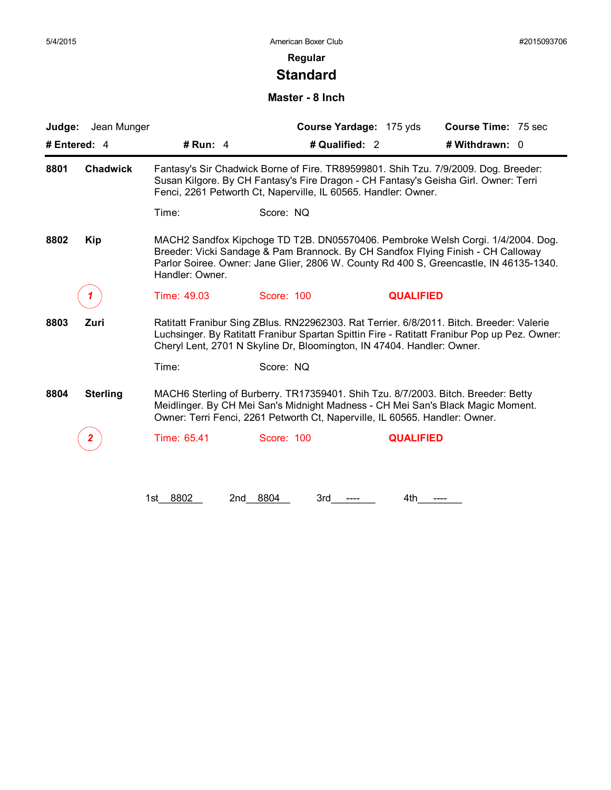# **Standard**

#### **Master - 8 Inch**

| Jean Munger<br>Judge:   |                 |                                                                                                                                                                                                                                                                    | Course Yardage: 175 yds | <b>Course Time: 75 sec</b> |  |
|-------------------------|-----------------|--------------------------------------------------------------------------------------------------------------------------------------------------------------------------------------------------------------------------------------------------------------------|-------------------------|----------------------------|--|
| # Entered: 4            | # Run: $4$      | # Qualified: 2                                                                                                                                                                                                                                                     |                         | # Withdrawn: 0             |  |
| 8801<br><b>Chadwick</b> |                 | Fantasy's Sir Chadwick Borne of Fire. TR89599801. Shih Tzu. 7/9/2009. Dog. Breeder:<br>Susan Kilgore. By CH Fantasy's Fire Dragon - CH Fantasy's Geisha Girl. Owner: Terri<br>Fenci, 2261 Petworth Ct, Naperville, IL 60565. Handler: Owner.                       |                         |                            |  |
|                         | Time:           | Score: NQ                                                                                                                                                                                                                                                          |                         |                            |  |
| 8802<br>Kip             | Handler: Owner. | MACH2 Sandfox Kipchoge TD T2B. DN05570406. Pembroke Welsh Corgi. 1/4/2004. Dog.<br>Breeder: Vicki Sandage & Pam Brannock. By CH Sandfox Flying Finish - CH Calloway<br>Parlor Soiree. Owner: Jane Glier, 2806 W. County Rd 400 S, Greencastle, IN 46135-1340.      |                         |                            |  |
|                         | Time: 49.03     | Score: 100                                                                                                                                                                                                                                                         | <b>QUALIFIED</b>        |                            |  |
| 8803<br>Zuri            |                 | Ratitatt Franibur Sing ZBlus. RN22962303. Rat Terrier. 6/8/2011. Bitch. Breeder: Valerie<br>Luchsinger. By Ratitatt Franibur Spartan Spittin Fire - Ratitatt Franibur Pop up Pez. Owner:<br>Cheryl Lent, 2701 N Skyline Dr, Bloomington, IN 47404. Handler: Owner. |                         |                            |  |
|                         | Time:           | Score: NQ                                                                                                                                                                                                                                                          |                         |                            |  |
| 8804<br><b>Sterling</b> |                 | MACH6 Sterling of Burberry. TR17359401. Shih Tzu. 8/7/2003. Bitch. Breeder: Betty<br>Meidlinger. By CH Mei San's Midnight Madness - CH Mei San's Black Magic Moment.<br>Owner: Terri Fenci, 2261 Petworth Ct, Naperville, IL 60565. Handler: Owner.                |                         |                            |  |
|                         | Time: 65.41     | Score: 100                                                                                                                                                                                                                                                         | <b>QUALIFIED</b>        |                            |  |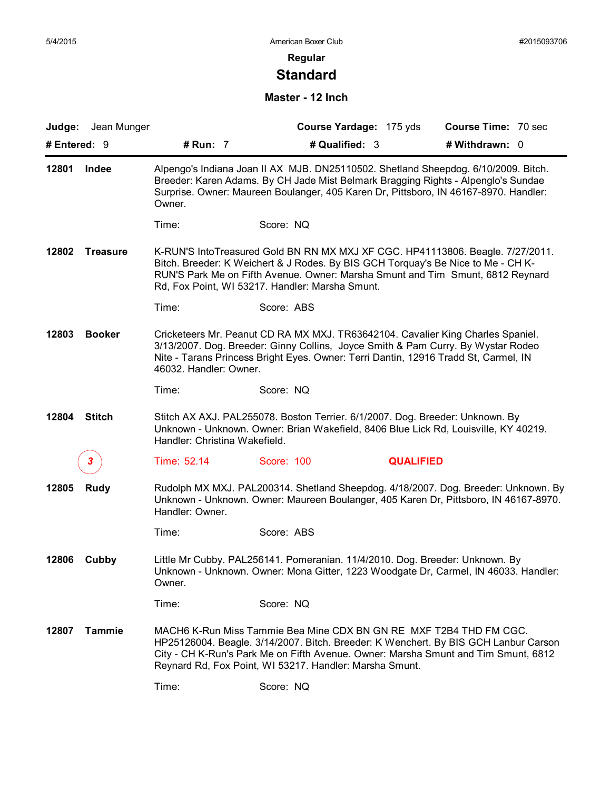# **Standard**

#### **Master - 12 Inch**

|                          | Judge: Jean Munger |                               | Course Yardage: 175 yds                                                                                                                                                                                                                                                                                    | <b>Course Time: 70 sec</b> |  |
|--------------------------|--------------------|-------------------------------|------------------------------------------------------------------------------------------------------------------------------------------------------------------------------------------------------------------------------------------------------------------------------------------------------------|----------------------------|--|
| # Entered: 9             |                    | # Run: 7                      | # Qualified: 3                                                                                                                                                                                                                                                                                             | # Withdrawn: 0             |  |
| 12801                    | Indee              | Owner.                        | Alpengo's Indiana Joan II AX MJB. DN25110502. Shetland Sheepdog. 6/10/2009. Bitch.<br>Breeder: Karen Adams. By CH Jade Mist Belmark Bragging Rights - Alpenglo's Sundae<br>Surprise. Owner: Maureen Boulanger, 405 Karen Dr, Pittsboro, IN 46167-8970. Handler:                                            |                            |  |
|                          |                    | Time:                         | Score: NQ                                                                                                                                                                                                                                                                                                  |                            |  |
| 12802<br><b>Treasure</b> |                    |                               | K-RUN'S IntoTreasured Gold BN RN MX MXJ XF CGC. HP41113806. Beagle. 7/27/2011.<br>Bitch. Breeder: K Weichert & J Rodes. By BIS GCH Torquay's Be Nice to Me - CH K-<br>RUN'S Park Me on Fifth Avenue. Owner: Marsha Smunt and Tim Smunt, 6812 Reynard<br>Rd, Fox Point, WI 53217. Handler: Marsha Smunt.    |                            |  |
|                          |                    | Time:                         | Score: ABS                                                                                                                                                                                                                                                                                                 |                            |  |
| 12803                    | <b>Booker</b>      | 46032. Handler: Owner.        | Cricketeers Mr. Peanut CD RA MX MXJ. TR63642104. Cavalier King Charles Spaniel.<br>3/13/2007. Dog. Breeder: Ginny Collins, Joyce Smith & Pam Curry. By Wystar Rodeo<br>Nite - Tarans Princess Bright Eyes. Owner: Terri Dantin, 12916 Tradd St, Carmel, IN                                                 |                            |  |
|                          |                    | Time:                         | Score: NQ                                                                                                                                                                                                                                                                                                  |                            |  |
| 12804                    | <b>Stitch</b>      | Handler: Christina Wakefield. | Stitch AX AXJ. PAL255078. Boston Terrier. 6/1/2007. Dog. Breeder: Unknown. By<br>Unknown - Unknown. Owner: Brian Wakefield, 8406 Blue Lick Rd, Louisville, KY 40219.                                                                                                                                       |                            |  |
|                          |                    | Time: 52.14                   | Score: 100                                                                                                                                                                                                                                                                                                 | <b>QUALIFIED</b>           |  |
| 12805                    | <b>Rudy</b>        | Handler: Owner.               | Rudolph MX MXJ. PAL200314. Shetland Sheepdog. 4/18/2007. Dog. Breeder: Unknown. By<br>Unknown - Unknown. Owner: Maureen Boulanger, 405 Karen Dr, Pittsboro, IN 46167-8970.                                                                                                                                 |                            |  |
|                          |                    | Time:                         | Score: ABS                                                                                                                                                                                                                                                                                                 |                            |  |
| 12806                    | Cubby              | Owner.                        | Little Mr Cubby. PAL256141. Pomeranian. 11/4/2010. Dog. Breeder: Unknown. By<br>Unknown - Unknown. Owner: Mona Gitter, 1223 Woodgate Dr, Carmel, IN 46033. Handler:                                                                                                                                        |                            |  |
|                          |                    | Time:                         | Score: NQ                                                                                                                                                                                                                                                                                                  |                            |  |
| 12807                    | <b>Tammie</b>      |                               | MACH6 K-Run Miss Tammie Bea Mine CDX BN GN RE MXF T2B4 THD FM CGC.<br>HP25126004. Beagle. 3/14/2007. Bitch. Breeder: K Wenchert. By BIS GCH Lanbur Carson<br>City - CH K-Run's Park Me on Fifth Avenue. Owner: Marsha Smunt and Tim Smunt, 6812<br>Reynard Rd, Fox Point, WI 53217. Handler: Marsha Smunt. |                            |  |
|                          |                    | Time:                         | Score: NQ                                                                                                                                                                                                                                                                                                  |                            |  |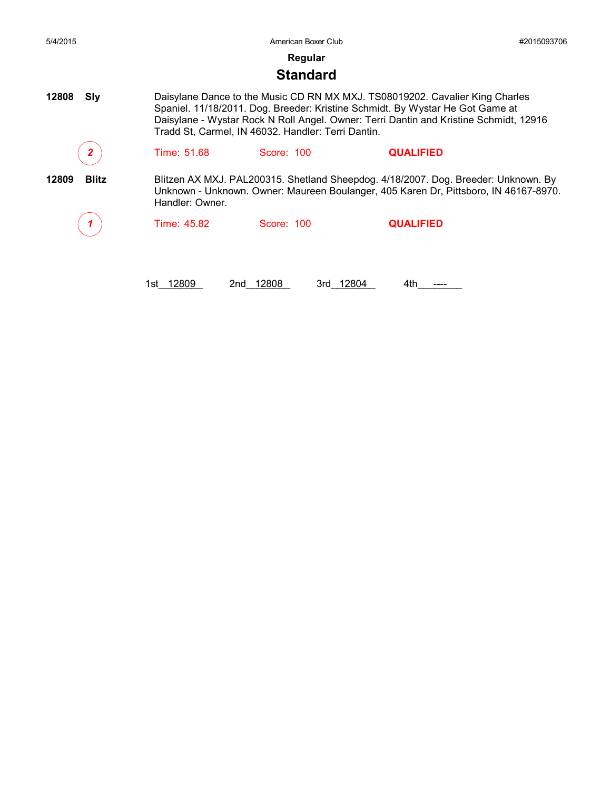| 5/4/2015              |                 | American Boxer Club                                |                                                                                                                                                                                                                                                        | #2015093706 |
|-----------------------|-----------------|----------------------------------------------------|--------------------------------------------------------------------------------------------------------------------------------------------------------------------------------------------------------------------------------------------------------|-------------|
|                       |                 | Regular                                            |                                                                                                                                                                                                                                                        |             |
|                       |                 | <b>Standard</b>                                    |                                                                                                                                                                                                                                                        |             |
| 12808<br>Sly          |                 | Tradd St, Carmel, IN 46032. Handler: Terri Dantin. | Daisylane Dance to the Music CD RN MX MXJ. TS08019202. Cavalier King Charles<br>Spaniel. 11/18/2011. Dog. Breeder: Kristine Schmidt. By Wystar He Got Game at<br>Daisylane - Wystar Rock N Roll Angel. Owner: Terri Dantin and Kristine Schmidt, 12916 |             |
|                       | Time: 51.68     | Score: 100                                         | <b>QUALIFIED</b>                                                                                                                                                                                                                                       |             |
| <b>Blitz</b><br>12809 | Handler: Owner. |                                                    | Blitzen AX MXJ. PAL200315. Shetland Sheepdog. 4/18/2007. Dog. Breeder: Unknown. By<br>Unknown - Unknown. Owner: Maureen Boulanger, 405 Karen Dr, Pittsboro, IN 46167-8970.                                                                             |             |
|                       | Time: 45.82     | Score: 100                                         | <b>QUALIFIED</b>                                                                                                                                                                                                                                       |             |
|                       | 12809<br>1st l  | 12808<br>3rd 12804<br>2nd                          | 4th                                                                                                                                                                                                                                                    |             |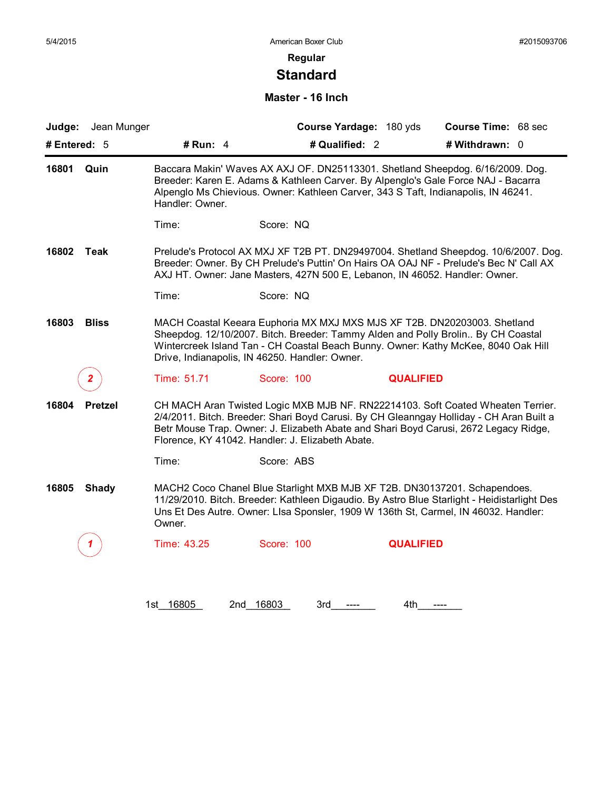# **Standard**

#### **Master - 16 Inch**

| Judge:<br># Entered: 5  | Jean Munger<br># Run: 4 | Course Yardage: 180 yds<br># Qualified: 2                                                                                                                                                                                                                                                            |                  | Course Time: 68 sec<br># Withdrawn: 0                                                                                                                                                                                                                              |  |
|-------------------------|-------------------------|------------------------------------------------------------------------------------------------------------------------------------------------------------------------------------------------------------------------------------------------------------------------------------------------------|------------------|--------------------------------------------------------------------------------------------------------------------------------------------------------------------------------------------------------------------------------------------------------------------|--|
|                         |                         |                                                                                                                                                                                                                                                                                                      |                  |                                                                                                                                                                                                                                                                    |  |
| 16801<br>Quin           | Handler: Owner.         | Breeder: Karen E. Adams & Kathleen Carver. By Alpenglo's Gale Force NAJ - Bacarra<br>Alpenglo Ms Chievious. Owner: Kathleen Carver, 343 S Taft, Indianapolis, IN 46241.                                                                                                                              |                  | Baccara Makin' Waves AX AXJ OF. DN25113301. Shetland Sheepdog. 6/16/2009. Dog.                                                                                                                                                                                     |  |
|                         | Time:                   | Score: NQ                                                                                                                                                                                                                                                                                            |                  |                                                                                                                                                                                                                                                                    |  |
| 16802<br>Teak           |                         | AXJ HT. Owner: Jane Masters, 427N 500 E, Lebanon, IN 46052. Handler: Owner.                                                                                                                                                                                                                          |                  | Prelude's Protocol AX MXJ XF T2B PT. DN29497004. Shetland Sheepdog. 10/6/2007. Dog.<br>Breeder: Owner. By CH Prelude's Puttin' On Hairs OA OAJ NF - Prelude's Bec N' Call AX                                                                                       |  |
|                         | Time:                   | Score: NQ                                                                                                                                                                                                                                                                                            |                  |                                                                                                                                                                                                                                                                    |  |
| 16803<br><b>Bliss</b>   |                         | MACH Coastal Keeara Euphoria MX MXJ MXS MJS XF T2B. DN20203003. Shetland<br>Sheepdog. 12/10/2007. Bitch. Breeder: Tammy Alden and Polly Brolin By CH Coastal<br>Wintercreek Island Tan - CH Coastal Beach Bunny. Owner: Kathy McKee, 8040 Oak Hill<br>Drive, Indianapolis, IN 46250. Handler: Owner. |                  |                                                                                                                                                                                                                                                                    |  |
|                         | Time: 51.71             | Score: 100                                                                                                                                                                                                                                                                                           | <b>QUALIFIED</b> |                                                                                                                                                                                                                                                                    |  |
| 16804<br><b>Pretzel</b> |                         | Florence, KY 41042. Handler: J. Elizabeth Abate.                                                                                                                                                                                                                                                     |                  | CH MACH Aran Twisted Logic MXB MJB NF. RN22214103. Soft Coated Wheaten Terrier.<br>2/4/2011. Bitch. Breeder: Shari Boyd Carusi. By CH Gleanngay Holliday - CH Aran Built a<br>Betr Mouse Trap. Owner: J. Elizabeth Abate and Shari Boyd Carusi, 2672 Legacy Ridge, |  |
|                         | Time:                   | Score: ABS                                                                                                                                                                                                                                                                                           |                  |                                                                                                                                                                                                                                                                    |  |
| 16805<br><b>Shady</b>   | Owner.                  | MACH2 Coco Chanel Blue Starlight MXB MJB XF T2B. DN30137201. Schapendoes.<br>Uns Et Des Autre. Owner: Lisa Sponsler, 1909 W 136th St, Carmel, IN 46032. Handler:                                                                                                                                     |                  | 11/29/2010. Bitch. Breeder: Kathleen Digaudio. By Astro Blue Starlight - Heidistarlight Des                                                                                                                                                                        |  |
|                         | Time: 43.25             | Score: 100                                                                                                                                                                                                                                                                                           | <b>QUALIFIED</b> |                                                                                                                                                                                                                                                                    |  |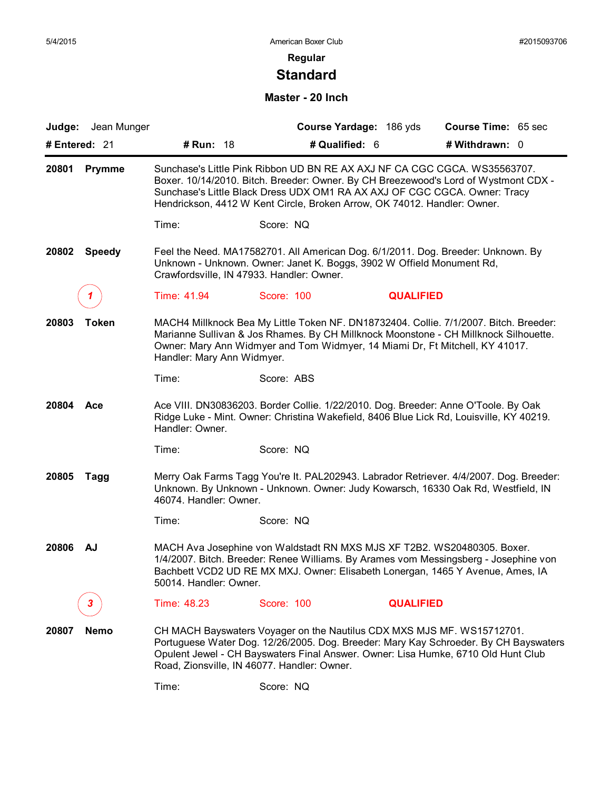# **Standard**

#### **Master - 20 Inch**

| Judge: Jean Munger     |                            |                                                                                                                                                                                                                                                                                                                           | Course Yardage: 186 yds | Course Time: 65 sec |  |
|------------------------|----------------------------|---------------------------------------------------------------------------------------------------------------------------------------------------------------------------------------------------------------------------------------------------------------------------------------------------------------------------|-------------------------|---------------------|--|
| # Entered: 21          | # Run: 18                  | # Qualified: 6                                                                                                                                                                                                                                                                                                            |                         | # Withdrawn: 0      |  |
| 20801<br><b>Prymme</b> |                            | Sunchase's Little Pink Ribbon UD BN RE AX AXJ NF CA CGC CGCA. WS35563707.<br>Boxer. 10/14/2010. Bitch. Breeder: Owner. By CH Breezewood's Lord of Wystmont CDX -<br>Sunchase's Little Black Dress UDX OM1 RA AX AXJ OF CGC CGCA. Owner: Tracy<br>Hendrickson, 4412 W Kent Circle, Broken Arrow, OK 74012. Handler: Owner. |                         |                     |  |
|                        | Time:                      | Score: NQ                                                                                                                                                                                                                                                                                                                 |                         |                     |  |
| 20802<br><b>Speedy</b> |                            | Feel the Need. MA17582701. All American Dog. 6/1/2011. Dog. Breeder: Unknown. By<br>Unknown - Unknown. Owner: Janet K. Boggs, 3902 W Offield Monument Rd,<br>Crawfordsville, IN 47933. Handler: Owner.                                                                                                                    |                         |                     |  |
|                        | Time: 41.94                | Score: 100                                                                                                                                                                                                                                                                                                                | <b>QUALIFIED</b>        |                     |  |
| 20803<br>Token         | Handler: Mary Ann Widmyer. | MACH4 Millknock Bea My Little Token NF. DN18732404. Collie. 7/1/2007. Bitch. Breeder:<br>Marianne Sullivan & Jos Rhames. By CH Millknock Moonstone - CH Millknock Silhouette.<br>Owner: Mary Ann Widmyer and Tom Widmyer, 14 Miami Dr, Ft Mitchell, KY 41017.                                                             |                         |                     |  |
|                        | Time:                      | Score: ABS                                                                                                                                                                                                                                                                                                                |                         |                     |  |
| 20804<br>Ace           | Handler: Owner.            | Ace VIII. DN30836203. Border Collie. 1/22/2010. Dog. Breeder: Anne O'Toole. By Oak<br>Ridge Luke - Mint. Owner: Christina Wakefield, 8406 Blue Lick Rd, Louisville, KY 40219.                                                                                                                                             |                         |                     |  |
|                        | Time:                      | Score: NQ                                                                                                                                                                                                                                                                                                                 |                         |                     |  |
| 20805<br>Tagg          | 46074. Handler: Owner.     | Merry Oak Farms Tagg You're It. PAL202943. Labrador Retriever. 4/4/2007. Dog. Breeder:<br>Unknown. By Unknown - Unknown. Owner: Judy Kowarsch, 16330 Oak Rd, Westfield, IN                                                                                                                                                |                         |                     |  |
|                        | Time:                      | Score: NQ                                                                                                                                                                                                                                                                                                                 |                         |                     |  |
| 20806<br>AJ            | 50014. Handler: Owner.     | MACH Ava Josephine von Waldstadt RN MXS MJS XF T2B2. WS20480305. Boxer.<br>1/4/2007. Bitch. Breeder: Renee Williams. By Arames vom Messingsberg - Josephine von<br>Bachbett VCD2 UD RE MX MXJ. Owner: Elisabeth Lonergan, 1465 Y Avenue, Ames, IA                                                                         |                         |                     |  |
| 3.                     | Time: 48.23                | Score: 100                                                                                                                                                                                                                                                                                                                | <b>QUALIFIED</b>        |                     |  |
| 20807<br><b>Nemo</b>   |                            | CH MACH Bayswaters Voyager on the Nautilus CDX MXS MJS MF. WS15712701.<br>Portuguese Water Dog. 12/26/2005. Dog. Breeder: Mary Kay Schroeder. By CH Bayswaters<br>Opulent Jewel - CH Bayswaters Final Answer. Owner: Lisa Humke, 6710 Old Hunt Club<br>Road, Zionsville, IN 46077. Handler: Owner.                        |                         |                     |  |
|                        | Time:                      | Score: NQ                                                                                                                                                                                                                                                                                                                 |                         |                     |  |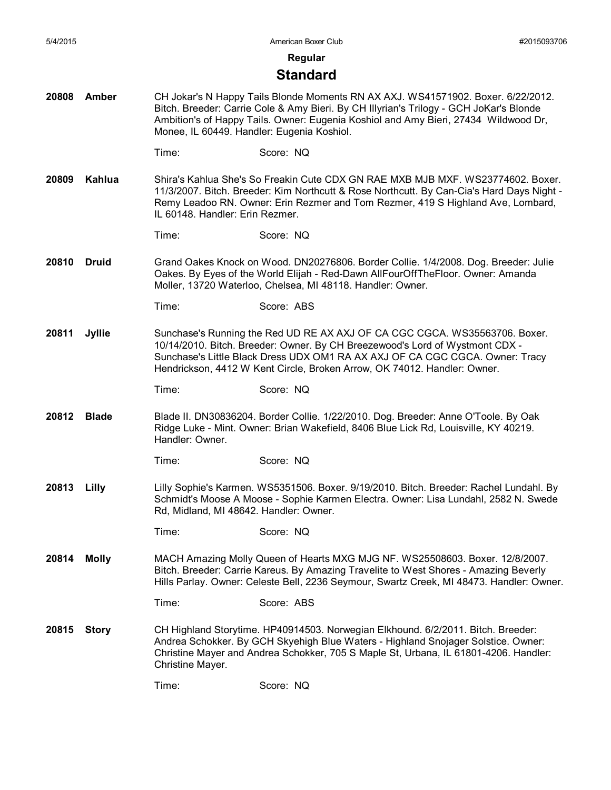#### **Regular**

#### **Standard**

- **20808 Amber** CH Jokar's N Happy Tails Blonde Moments RN AX AXJ. WS41571902. Boxer. 6/22/2012. Bitch. Breeder: Carrie Cole & Amy Bieri. By CH Illyrian's Trilogy - GCH JoKar's Blonde Ambition's of Happy Tails. Owner: Eugenia Koshiol and Amy Bieri, 27434 Wildwood Dr, Monee, IL 60449. Handler: Eugenia Koshiol.
	- Time: Score: NQ
- **20809 Kahlua** Shira's Kahlua She's So Freakin Cute CDX GN RAE MXB MJB MXF. WS23774602. Boxer. 11/3/2007. Bitch. Breeder: Kim Northcutt & Rose Northcutt. By Can-Cia's Hard Days Night - Remy Leadoo RN. Owner: Erin Rezmer and Tom Rezmer, 419 S Highland Ave, Lombard, IL 60148. Handler: Erin Rezmer.
	- Time: Score: NQ
- **20810 Druid** Grand Oakes Knock on Wood. DN20276806. Border Collie. 1/4/2008. Dog. Breeder: Julie Oakes. By Eyes of the World Elijah - Red-Dawn AllFourOffTheFloor. Owner: Amanda Moller, 13720 Waterloo, Chelsea, MI 48118. Handler: Owner.

- **20811 Jyllie** Sunchase's Running the Red UD RE AX AXJ OF CA CGC CGCA. WS35563706. Boxer. 10/14/2010. Bitch. Breeder: Owner. By CH Breezewood's Lord of Wystmont CDX - Sunchase's Little Black Dress UDX OM1 RA AX AXJ OF CA CGC CGCA. Owner: Tracy Hendrickson, 4412 W Kent Circle, Broken Arrow, OK 74012. Handler: Owner.
	- Time: Score: NQ
- **20812 Blade** Blade II. DN30836204. Border Collie. 1/22/2010. Dog. Breeder: Anne O'Toole. By Oak Ridge Luke - Mint. Owner: Brian Wakefield, 8406 Blue Lick Rd, Louisville, KY 40219. Handler: Owner.
	- Time: Score: NQ
- **20813 Lilly** Lilly Sophie's Karmen. WS5351506. Boxer. 9/19/2010. Bitch. Breeder: Rachel Lundahl. By Schmidt's Moose A Moose - Sophie Karmen Electra. Owner: Lisa Lundahl, 2582 N. Swede Rd, Midland, MI 48642. Handler: Owner.
	- Time: Score: NQ
- **20814 Molly** MACH Amazing Molly Queen of Hearts MXG MJG NF. WS25508603. Boxer. 12/8/2007. Bitch. Breeder: Carrie Kareus. By Amazing Travelite to West Shores - Amazing Beverly Hills Parlay. Owner: Celeste Bell, 2236 Seymour, Swartz Creek, MI 48473. Handler: Owner.
	- Time: Score: ABS
- **20815 Story** CH Highland Storytime. HP40914503. Norwegian Elkhound. 6/2/2011. Bitch. Breeder: Andrea Schokker. By GCH Skyehigh Blue Waters - Highland Snojager Solstice. Owner: Christine Mayer and Andrea Schokker, 705 S Maple St, Urbana, IL 61801-4206. Handler: Christine Mayer.

Time: Score: NQ

Time: Score: ABS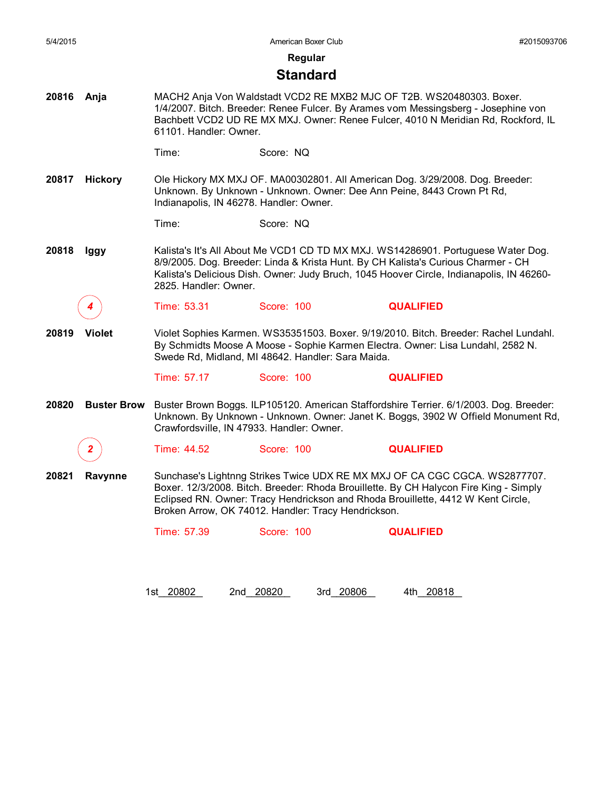**Regular**

#### **Standard**

**20816 Anja** MACH2 Anja Von Waldstadt VCD2 RE MXB2 MJC OF T2B. WS20480303. Boxer. 1/4/2007. Bitch. Breeder: Renee Fulcer. By Arames vom Messingsberg - Josephine von Bachbett VCD2 UD RE MX MXJ. Owner: Renee Fulcer, 4010 N Meridian Rd, Rockford, IL 61101. Handler: Owner.

Time: Score: NQ

**20817 Hickory** Ole Hickory MX MXJ OF. MA00302801. All American Dog. 3/29/2008. Dog. Breeder: Unknown. By Unknown - Unknown. Owner: Dee Ann Peine, 8443 Crown Pt Rd, Indianapolis, IN 46278. Handler: Owner.

Time: Score: NQ

**20818 Iggy** Kalista's It's All About Me VCD1 CD TD MX MXJ. WS14286901. Portuguese Water Dog. 8/9/2005. Dog. Breeder: Linda & Krista Hunt. By CH Kalista's Curious Charmer - CH Kalista's Delicious Dish. Owner: Judy Bruch, 1045 Hoover Circle, Indianapolis, IN 46260- 2825. Handler: Owner.

*4* Time: 53.31 Score: 100 **QUALIFIED**

**20819 Violet** Violet Sophies Karmen. WS35351503. Boxer. 9/19/2010. Bitch. Breeder: Rachel Lundahl. By Schmidts Moose A Moose - Sophie Karmen Electra. Owner: Lisa Lundahl, 2582 N. Swede Rd, Midland, MI 48642. Handler: Sara Maida.

Time: 57.17 Score: 100 **QUALIFIED**

20820 **Buster Brow** Buster Brown Boggs. ILP105120. American Staffordshire Terrier. 6/1/2003. Dog. Breeder: Unknown. By Unknown - Unknown. Owner: Janet K. Boggs, 3902 W Offield Monument Rd, Crawfordsville, IN 47933. Handler: Owner.

*2* Time: 44.52 Score: 100 **QUALIFIED**

**20821 Ravynne** Sunchase's Lightnng Strikes Twice UDX RE MX MXJ OF CA CGC CGCA. WS2877707. Boxer. 12/3/2008. Bitch. Breeder: Rhoda Brouillette. By CH Halycon Fire King - Simply Eclipsed RN. Owner: Tracy Hendrickson and Rhoda Brouillette, 4412 W Kent Circle, Broken Arrow, OK 74012. Handler: Tracy Hendrickson.

Time: 57.39 Score: 100 **QUALIFIED**

1st\_\_\_\_\_\_\_\_ 20802 2nd\_\_\_\_\_\_\_\_ 20820 3rd\_\_\_\_\_\_\_\_ 20806 4th\_\_\_\_\_\_\_\_ 20818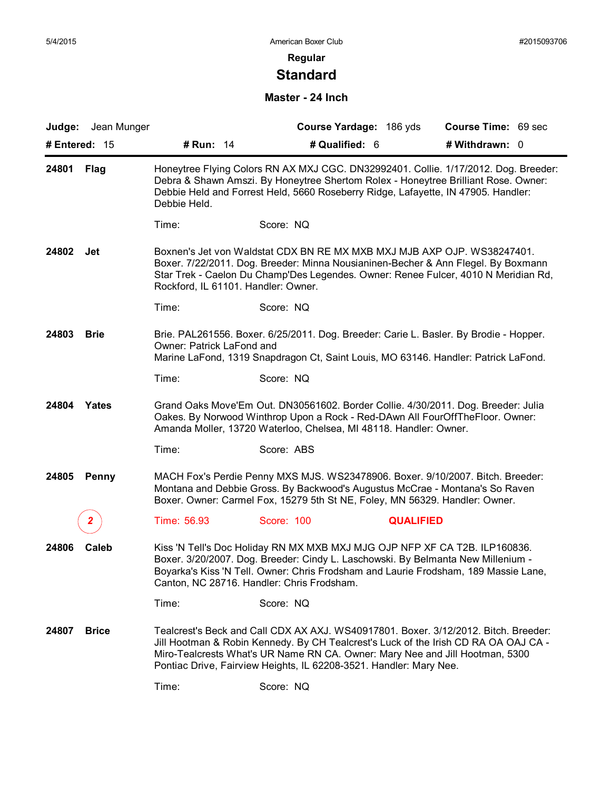# **Standard**

#### **Master - 24 Inch**

| Judge: Jean Munger    |                                     | Course Yardage: 186 yds                                                                                                                                                                                                                                                                                                          | Course Time: 69 sec |
|-----------------------|-------------------------------------|----------------------------------------------------------------------------------------------------------------------------------------------------------------------------------------------------------------------------------------------------------------------------------------------------------------------------------|---------------------|
| # Entered: 15         | <b># Run: 14</b>                    | # Qualified: 6                                                                                                                                                                                                                                                                                                                   | # Withdrawn: 0      |
| 24801<br>Flag         | Debbie Held.                        | Honeytree Flying Colors RN AX MXJ CGC. DN32992401. Collie. 1/17/2012. Dog. Breeder:<br>Debra & Shawn Amszi. By Honeytree Shertom Rolex - Honeytree Brilliant Rose. Owner:<br>Debbie Held and Forrest Held, 5660 Roseberry Ridge, Lafayette, IN 47905. Handler:                                                                   |                     |
|                       | Time:                               | Score: NQ                                                                                                                                                                                                                                                                                                                        |                     |
| 24802<br>Jet          | Rockford, IL 61101. Handler: Owner. | Boxnen's Jet von Waldstat CDX BN RE MX MXB MXJ MJB AXP OJP. WS38247401.<br>Boxer. 7/22/2011. Dog. Breeder: Minna Nousianinen-Becher & Ann Flegel. By Boxmann<br>Star Trek - Caelon Du Champ'Des Legendes. Owner: Renee Fulcer, 4010 N Meridian Rd,                                                                               |                     |
|                       | Time:                               | Score: NQ                                                                                                                                                                                                                                                                                                                        |                     |
| 24803<br><b>Brie</b>  | Owner: Patrick LaFond and           | Brie. PAL261556. Boxer. 6/25/2011. Dog. Breeder: Carie L. Basler. By Brodie - Hopper.<br>Marine LaFond, 1319 Snapdragon Ct, Saint Louis, MO 63146. Handler: Patrick LaFond.                                                                                                                                                      |                     |
|                       | Time:                               | Score: NQ                                                                                                                                                                                                                                                                                                                        |                     |
| 24804<br>Yates        |                                     | Grand Oaks Move'Em Out. DN30561602. Border Collie. 4/30/2011. Dog. Breeder: Julia<br>Oakes. By Norwood Winthrop Upon a Rock - Red-DAwn All FourOffTheFloor. Owner:<br>Amanda Moller, 13720 Waterloo, Chelsea, MI 48118. Handler: Owner.                                                                                          |                     |
|                       | Time:                               | Score: ABS                                                                                                                                                                                                                                                                                                                       |                     |
| 24805<br><b>Penny</b> |                                     | MACH Fox's Perdie Penny MXS MJS. WS23478906. Boxer. 9/10/2007. Bitch. Breeder:<br>Montana and Debbie Gross. By Backwood's Augustus McCrae - Montana's So Raven<br>Boxer. Owner: Carmel Fox, 15279 5th St NE, Foley, MN 56329. Handler: Owner.                                                                                    |                     |
|                       | Time: 56.93                         | Score: 100<br><b>QUALIFIED</b>                                                                                                                                                                                                                                                                                                   |                     |
| 24806<br>Caleb        |                                     | Kiss 'N Tell's Doc Holiday RN MX MXB MXJ MJG OJP NFP XF CA T2B. ILP160836.<br>Boxer. 3/20/2007. Dog. Breeder: Cindy L. Laschowski. By Belmanta New Millenium -<br>Boyarka's Kiss 'N Tell. Owner: Chris Frodsham and Laurie Frodsham, 189 Massie Lane,<br>Canton, NC 28716. Handler: Chris Frodsham.                              |                     |
|                       | Time:                               | Score: NQ                                                                                                                                                                                                                                                                                                                        |                     |
| 24807<br><b>Brice</b> |                                     | Tealcrest's Beck and Call CDX AX AXJ. WS40917801. Boxer. 3/12/2012. Bitch. Breeder:<br>Jill Hootman & Robin Kennedy. By CH Tealcrest's Luck of the Irish CD RA OA OAJ CA -<br>Miro-Tealcrests What's UR Name RN CA. Owner: Mary Nee and Jill Hootman, 5300<br>Pontiac Drive, Fairview Heights, IL 62208-3521. Handler: Mary Nee. |                     |
|                       | Time:                               | Score: NQ                                                                                                                                                                                                                                                                                                                        |                     |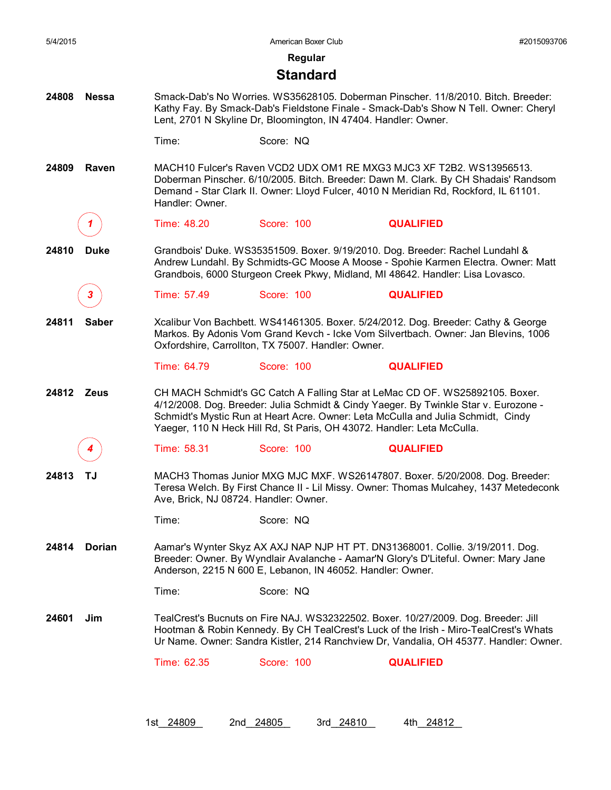| 5/4/2015 |              |                                       | American Boxer Club                                                    |                                                                                                                                                                                                                                                                      | #2015093706 |
|----------|--------------|---------------------------------------|------------------------------------------------------------------------|----------------------------------------------------------------------------------------------------------------------------------------------------------------------------------------------------------------------------------------------------------------------|-------------|
|          |              |                                       | Regular                                                                |                                                                                                                                                                                                                                                                      |             |
|          |              |                                       | <b>Standard</b>                                                        |                                                                                                                                                                                                                                                                      |             |
| 24808    | <b>Nessa</b> |                                       | Lent, 2701 N Skyline Dr, Bloomington, IN 47404. Handler: Owner.        | Smack-Dab's No Worries. WS35628105. Doberman Pinscher. 11/8/2010. Bitch. Breeder:<br>Kathy Fay. By Smack-Dab's Fieldstone Finale - Smack-Dab's Show N Tell. Owner: Cheryl                                                                                            |             |
|          |              | Time:                                 | Score: NQ                                                              |                                                                                                                                                                                                                                                                      |             |
| 24809    | Raven        | Handler: Owner.                       |                                                                        | MACH10 Fulcer's Raven VCD2 UDX OM1 RE MXG3 MJC3 XF T2B2. WS13956513.<br>Doberman Pinscher. 6/10/2005. Bitch. Breeder: Dawn M. Clark. By CH Shadais' Randsom<br>Demand - Star Clark II. Owner: Lloyd Fulcer, 4010 N Meridian Rd, Rockford, IL 61101.                  |             |
|          |              | Time: 48.20                           | Score: 100                                                             | <b>QUALIFIED</b>                                                                                                                                                                                                                                                     |             |
| 24810    | <b>Duke</b>  |                                       |                                                                        | Grandbois' Duke. WS35351509. Boxer. 9/19/2010. Dog. Breeder: Rachel Lundahl &<br>Andrew Lundahl. By Schmidts-GC Moose A Moose - Spohie Karmen Electra. Owner: Matt<br>Grandbois, 6000 Sturgeon Creek Pkwy, Midland, MI 48642. Handler: Lisa Lovasco.                 |             |
|          |              | Time: 57.49                           | Score: 100                                                             | <b>QUALIFIED</b>                                                                                                                                                                                                                                                     |             |
| 24811    | <b>Saber</b> |                                       | Oxfordshire, Carrollton, TX 75007. Handler: Owner.                     | Xcalibur Von Bachbett. WS41461305. Boxer. 5/24/2012. Dog. Breeder: Cathy & George<br>Markos. By Adonis Vom Grand Kevch - Icke Vom Silvertbach. Owner: Jan Blevins, 1006                                                                                              |             |
|          |              | Time: 64.79                           | Score: 100                                                             | <b>QUALIFIED</b>                                                                                                                                                                                                                                                     |             |
| 24812    | <b>Zeus</b>  |                                       | Yaeger, 110 N Heck Hill Rd, St Paris, OH 43072. Handler: Leta McCulla. | CH MACH Schmidt's GC Catch A Falling Star at LeMac CD OF. WS25892105. Boxer.<br>4/12/2008. Dog. Breeder: Julia Schmidt & Cindy Yaeger. By Twinkle Star v. Eurozone -<br>Schmidt's Mystic Run at Heart Acre. Owner: Leta McCulla and Julia Schmidt, Cindy             |             |
|          |              | Time: 58.31                           | Score: 100                                                             | <b>QUALIFIED</b>                                                                                                                                                                                                                                                     |             |
| 24813    | ТJ           | Ave, Brick, NJ 08724. Handler: Owner. |                                                                        | MACH3 Thomas Junior MXG MJC MXF. WS26147807. Boxer. 5/20/2008. Dog. Breeder:<br>Teresa Welch. By First Chance II - Lil Missy. Owner: Thomas Mulcahey, 1437 Metedeconk                                                                                                |             |
|          |              | Time:                                 | Score: NQ                                                              |                                                                                                                                                                                                                                                                      |             |
| 24814    | Dorian       |                                       | Anderson, 2215 N 600 E, Lebanon, IN 46052. Handler: Owner.             | Aamar's Wynter Skyz AX AXJ NAP NJP HT PT. DN31368001. Collie. 3/19/2011. Dog.<br>Breeder: Owner. By Wyndlair Avalanche - Aamar'N Glory's D'Liteful. Owner: Mary Jane                                                                                                 |             |
|          |              | Time:                                 | Score: NQ                                                              |                                                                                                                                                                                                                                                                      |             |
| 24601    | Jim          |                                       |                                                                        | TealCrest's Bucnuts on Fire NAJ. WS32322502. Boxer. 10/27/2009. Dog. Breeder: Jill<br>Hootman & Robin Kennedy. By CH TealCrest's Luck of the Irish - Miro-TealCrest's Whats<br>Ur Name. Owner: Sandra Kistler, 214 Ranchview Dr, Vandalia, OH 45377. Handler: Owner. |             |
|          |              | Time: 62.35                           | Score: 100                                                             | <b>QUALIFIED</b>                                                                                                                                                                                                                                                     |             |
|          |              |                                       |                                                                        |                                                                                                                                                                                                                                                                      |             |
|          |              |                                       |                                                                        |                                                                                                                                                                                                                                                                      |             |
|          |              | 1st 24809                             | 2nd 24805<br>3rd 24810                                                 | 4th 24812                                                                                                                                                                                                                                                            |             |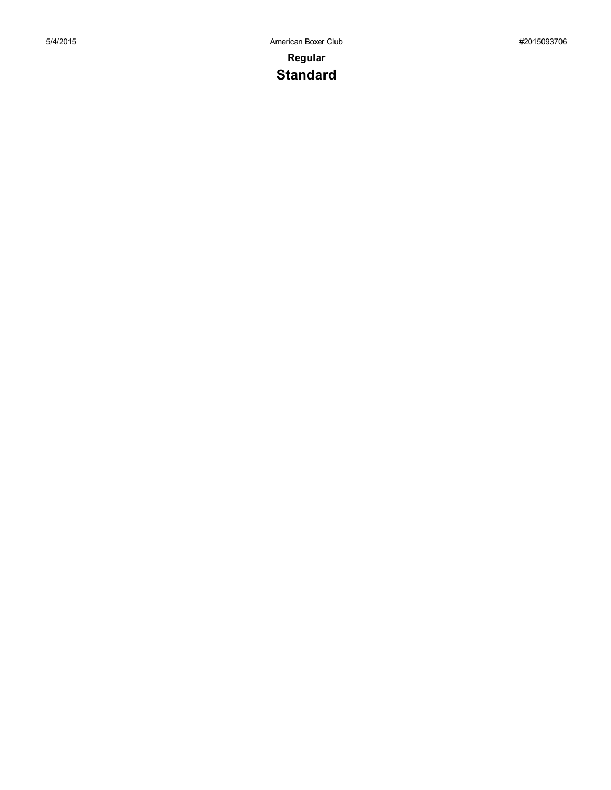## **Regular Standard**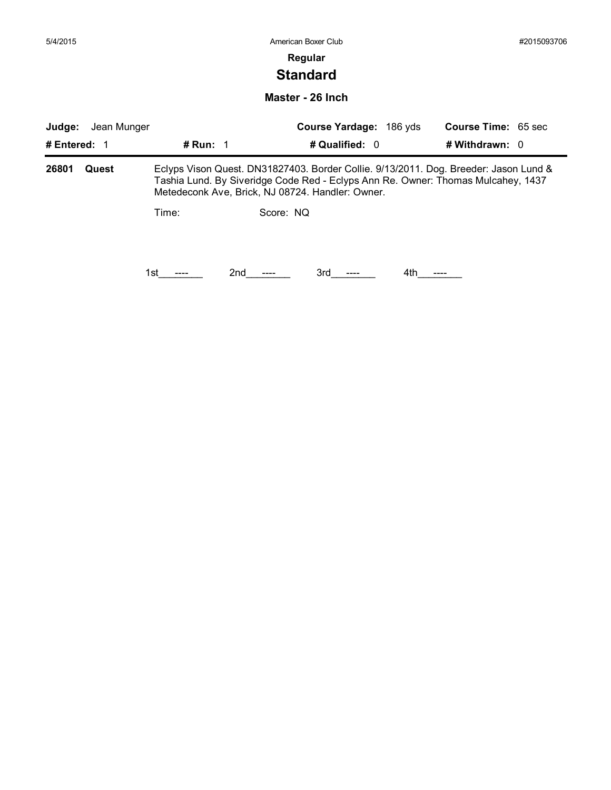# **Standard**

**Master - 26 Inch**

| Judge:<br>Jean Munger |       |                   | Course Yardage: 186 yds                                                                                                                                                                                                      |                | <b>Course Time: 65 sec</b> |                  |  |
|-----------------------|-------|-------------------|------------------------------------------------------------------------------------------------------------------------------------------------------------------------------------------------------------------------------|----------------|----------------------------|------------------|--|
| # Entered: 1          |       | # Run: $\sqrt{1}$ |                                                                                                                                                                                                                              | # Qualified: 0 |                            | # Withdrawn: $0$ |  |
| 26801                 | Quest |                   | Eclyps Vison Quest. DN31827403. Border Collie. 9/13/2011. Dog. Breeder: Jason Lund &<br>Tashia Lund. By Siveridge Code Red - Eclyps Ann Re. Owner: Thomas Mulcahey, 1437<br>Metedeconk Ave, Brick, NJ 08724. Handler: Owner. |                |                            |                  |  |
|                       |       | Time:             | Score: NO                                                                                                                                                                                                                    |                |                            |                  |  |
|                       |       | 1st.              | 2nd                                                                                                                                                                                                                          | 3rd            | 4th.                       |                  |  |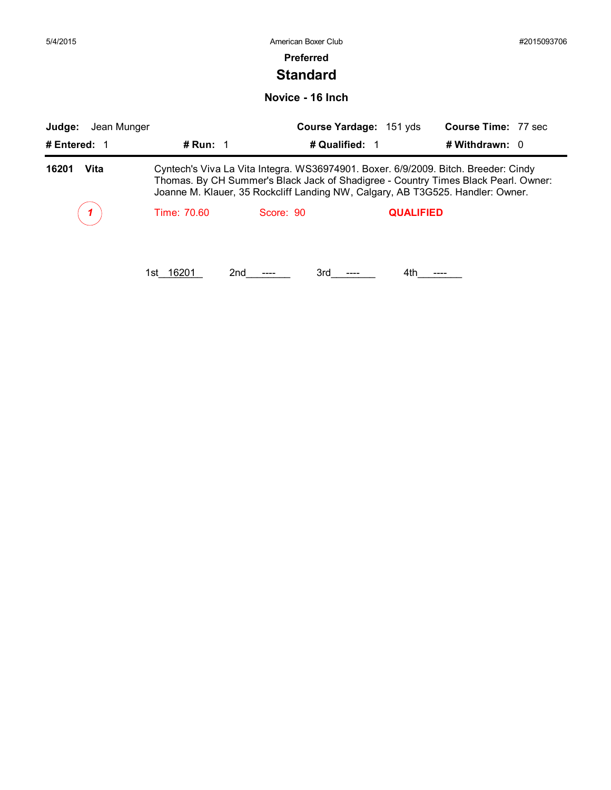| 5/4/2015              |              | American Boxer Club                                                                                                                                                                                                                                        |                         |                             | #2015093706 |
|-----------------------|--------------|------------------------------------------------------------------------------------------------------------------------------------------------------------------------------------------------------------------------------------------------------------|-------------------------|-----------------------------|-------------|
|                       |              | <b>Preferred</b>                                                                                                                                                                                                                                           |                         |                             |             |
|                       |              | <b>Standard</b>                                                                                                                                                                                                                                            |                         |                             |             |
|                       |              | Novice - 16 Inch                                                                                                                                                                                                                                           |                         |                             |             |
| Jean Munger<br>Judge: |              |                                                                                                                                                                                                                                                            | Course Yardage: 151 yds | <b>Course Time: 77 sec.</b> |             |
| # Entered: 1          | # Run: $1$   |                                                                                                                                                                                                                                                            | # Qualified: 1          | # Withdrawn: 0              |             |
| Vita<br>16201         |              | Cyntech's Viva La Vita Integra. WS36974901. Boxer. 6/9/2009. Bitch. Breeder: Cindy<br>Thomas. By CH Summer's Black Jack of Shadigree - Country Times Black Pearl. Owner:<br>Joanne M. Klauer, 35 Rockcliff Landing NW, Calgary, AB T3G525. Handler: Owner. |                         |                             |             |
|                       | Time: 70.60  | Score: 90                                                                                                                                                                                                                                                  | <b>QUALIFIED</b>        |                             |             |
|                       |              |                                                                                                                                                                                                                                                            |                         |                             |             |
|                       | 16201<br>1st | 2nd<br>3rd                                                                                                                                                                                                                                                 | 4th                     |                             |             |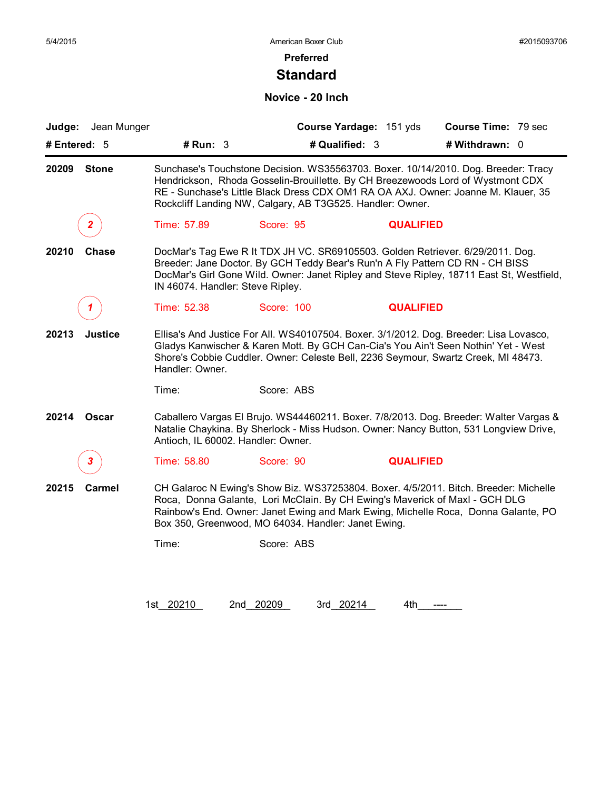### **Standard**

### **Novice - 20 Inch**

| Judge: Jean Munger      |                                                                                    |                                                                                                                                                                                                                                                                                                                         | Course Yardage: 151 yds | <b>Course Time: 79 sec</b> |  |
|-------------------------|------------------------------------------------------------------------------------|-------------------------------------------------------------------------------------------------------------------------------------------------------------------------------------------------------------------------------------------------------------------------------------------------------------------------|-------------------------|----------------------------|--|
| # Entered: $5$          | # $Run: 3$                                                                         |                                                                                                                                                                                                                                                                                                                         | # Qualified: 3          | # Withdrawn: 0             |  |
| 20209<br><b>Stone</b>   |                                                                                    | Sunchase's Touchstone Decision. WS35563703. Boxer. 10/14/2010. Dog. Breeder: Tracy<br>Hendrickson, Rhoda Gosselin-Brouillette. By CH Breezewoods Lord of Wystmont CDX<br>RE - Sunchase's Little Black Dress CDX OM1 RA OA AXJ. Owner: Joanne M. Klauer, 35<br>Rockcliff Landing NW, Calgary, AB T3G525. Handler: Owner. |                         |                            |  |
| $\mathbf{2}$            | Time: 57.89                                                                        | Score: 95                                                                                                                                                                                                                                                                                                               | <b>QUALIFIED</b>        |                            |  |
| <b>Chase</b><br>20210   | IN 46074. Handler: Steve Ripley.                                                   | DocMar's Tag Ewe R It TDX JH VC. SR69105503. Golden Retriever. 6/29/2011. Dog.<br>Breeder: Jane Doctor. By GCH Teddy Bear's Run'n A Fly Pattern CD RN - CH BISS<br>DocMar's Girl Gone Wild. Owner: Janet Ripley and Steve Ripley, 18711 East St, Westfield,                                                             |                         |                            |  |
|                         | Time: 52.38                                                                        | Score: 100                                                                                                                                                                                                                                                                                                              | <b>QUALIFIED</b>        |                            |  |
| 20213<br><b>Justice</b> | Handler: Owner.                                                                    | Ellisa's And Justice For All. WS40107504. Boxer. 3/1/2012. Dog. Breeder: Lisa Lovasco,<br>Gladys Kanwischer & Karen Mott. By GCH Can-Cia's You Ain't Seen Nothin' Yet - West<br>Shore's Cobbie Cuddler. Owner: Celeste Bell, 2236 Seymour, Swartz Creek, MI 48473.                                                      |                         |                            |  |
|                         | Time:                                                                              | Score: ABS                                                                                                                                                                                                                                                                                                              |                         |                            |  |
| Oscar<br>20214          | Antioch, IL 60002. Handler: Owner.                                                 | Caballero Vargas El Brujo. WS44460211. Boxer. 7/8/2013. Dog. Breeder: Walter Vargas &<br>Natalie Chaykina. By Sherlock - Miss Hudson. Owner: Nancy Button, 531 Longview Drive,                                                                                                                                          |                         |                            |  |
| 3.                      | Time: 58.80                                                                        | Score: 90                                                                                                                                                                                                                                                                                                               | <b>QUALIFIED</b>        |                            |  |
| 20215<br>Carmel         |                                                                                    | CH Galaroc N Ewing's Show Biz. WS37253804. Boxer. 4/5/2011. Bitch. Breeder: Michelle<br>Roca, Donna Galante, Lori McClain. By CH Ewing's Maverick of Maxl - GCH DLG                                                                                                                                                     |                         |                            |  |
|                         | Rainbow's End. Owner: Janet Ewing and Mark Ewing, Michelle Roca, Donna Galante, PO | Box 350, Greenwood, MO 64034. Handler: Janet Ewing.                                                                                                                                                                                                                                                                     |                         |                            |  |

1st\_20210 2nd\_20209 3rd\_20214 4th\_\_\_\_\_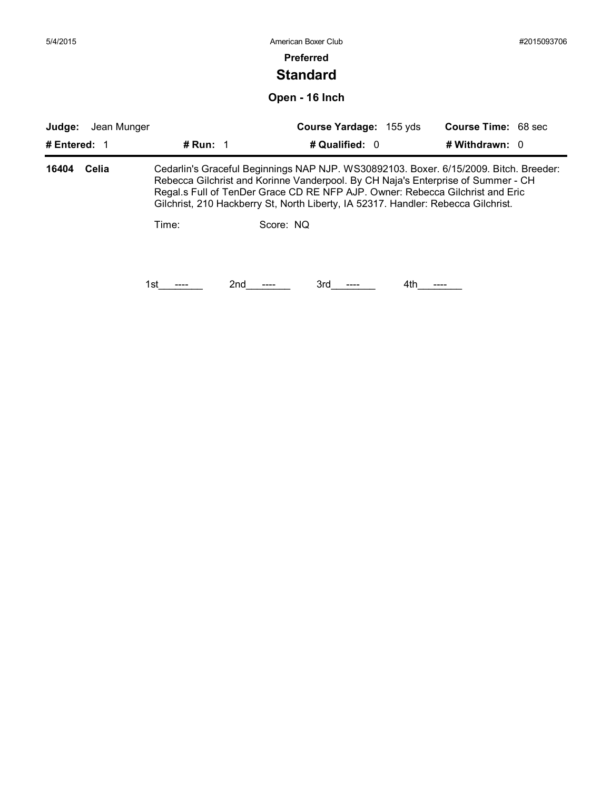| 5/4/2015     |             |              |           | American Boxer Club                                                                                                                                                                                                                                                                                                                             |     |                            | #2015093706 |
|--------------|-------------|--------------|-----------|-------------------------------------------------------------------------------------------------------------------------------------------------------------------------------------------------------------------------------------------------------------------------------------------------------------------------------------------------|-----|----------------------------|-------------|
|              |             |              |           | <b>Preferred</b>                                                                                                                                                                                                                                                                                                                                |     |                            |             |
|              |             |              |           | <b>Standard</b>                                                                                                                                                                                                                                                                                                                                 |     |                            |             |
|              |             |              |           | Open - 16 Inch                                                                                                                                                                                                                                                                                                                                  |     |                            |             |
| Judge:       | Jean Munger |              |           | Course Yardage: 155 yds                                                                                                                                                                                                                                                                                                                         |     | <b>Course Time: 68 sec</b> |             |
| # Entered: 1 |             | # Run: $1$   |           | # Qualified: 0                                                                                                                                                                                                                                                                                                                                  |     | # Withdrawn: 0             |             |
| 16404        | Celia       |              |           | Cedarlin's Graceful Beginnings NAP NJP. WS30892103. Boxer. 6/15/2009. Bitch. Breeder:<br>Rebecca Gilchrist and Korinne Vanderpool. By CH Naja's Enterprise of Summer - CH<br>Regal.s Full of TenDer Grace CD RE NFP AJP. Owner: Rebecca Gilchrist and Eric<br>Gilchrist, 210 Hackberry St, North Liberty, IA 52317. Handler: Rebecca Gilchrist. |     |                            |             |
|              |             | Time:<br>1st | Score: NQ |                                                                                                                                                                                                                                                                                                                                                 | 4th |                            |             |
|              |             |              | 2nd       | 3rd                                                                                                                                                                                                                                                                                                                                             |     |                            |             |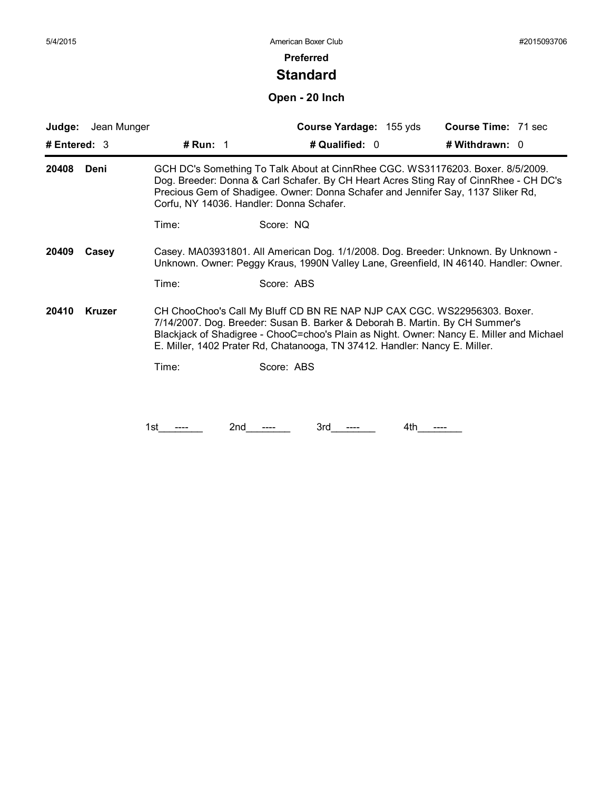### **Standard**

# **Open - 20 Inch**

| Jean Munger<br>Judge:  |                                                                                                                                                                             | Course Yardage: 155 yds                                                                                                                                                                                                                                                                                                            | Course Time: 71 sec |  |  |  |
|------------------------|-----------------------------------------------------------------------------------------------------------------------------------------------------------------------------|------------------------------------------------------------------------------------------------------------------------------------------------------------------------------------------------------------------------------------------------------------------------------------------------------------------------------------|---------------------|--|--|--|
| # Entered: $3$         | # Run: $1$                                                                                                                                                                  | # Qualified: 0                                                                                                                                                                                                                                                                                                                     | # Withdrawn: 0      |  |  |  |
| 20408<br>Deni          |                                                                                                                                                                             | GCH DC's Something To Talk About at CinnRhee CGC. WS31176203. Boxer. 8/5/2009.<br>Dog. Breeder: Donna & Carl Schafer. By CH Heart Acres Sting Ray of CinnRhee - CH DC's<br>Precious Gem of Shadigee. Owner: Donna Schafer and Jennifer Say, 1137 Sliker Rd,<br>Corfu, NY 14036. Handler: Donna Schafer.                            |                     |  |  |  |
|                        | Time:                                                                                                                                                                       | Score: NQ                                                                                                                                                                                                                                                                                                                          |                     |  |  |  |
| 20409<br>Casey         | Casey. MA03931801. All American Dog. 1/1/2008. Dog. Breeder: Unknown. By Unknown -<br>Unknown. Owner: Peggy Kraus, 1990N Valley Lane, Greenfield, IN 46140. Handler: Owner. |                                                                                                                                                                                                                                                                                                                                    |                     |  |  |  |
|                        | Time:                                                                                                                                                                       | Score: ABS                                                                                                                                                                                                                                                                                                                         |                     |  |  |  |
| <b>Kruzer</b><br>20410 |                                                                                                                                                                             | CH ChooChoo's Call My Bluff CD BN RE NAP NJP CAX CGC. WS22956303. Boxer.<br>7/14/2007. Dog. Breeder: Susan B. Barker & Deborah B. Martin. By CH Summer's<br>Blackjack of Shadigree - ChooC=choo's Plain as Night. Owner: Nancy E. Miller and Michael<br>E. Miller, 1402 Prater Rd, Chatanooga, TN 37412. Handler: Nancy E. Miller. |                     |  |  |  |
|                        | Time:                                                                                                                                                                       | Score: ABS                                                                                                                                                                                                                                                                                                                         |                     |  |  |  |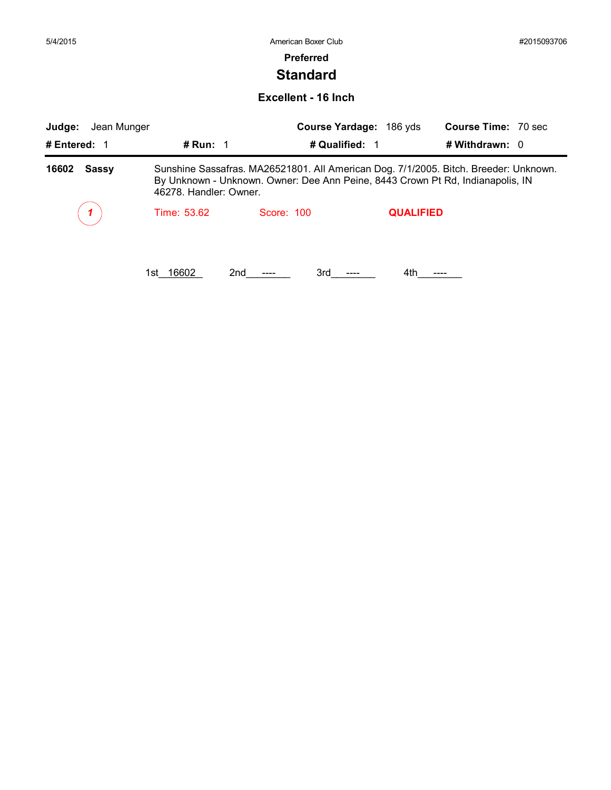### **Standard**

#### **Excellent - 16 Inch**

| Judge:<br>Jean Munger |                                                                                                                                                                                                  |                | Course Yardage: 186 yds | <b>Course Time: 70 sec</b> |
|-----------------------|--------------------------------------------------------------------------------------------------------------------------------------------------------------------------------------------------|----------------|-------------------------|----------------------------|
| # Entered: 1          | # Run: $1$                                                                                                                                                                                       | # Qualified: 1 |                         | # Withdrawn: 0             |
| 16602<br><b>Sassy</b> | Sunshine Sassafras. MA26521801. All American Dog. 7/1/2005. Bitch. Breeder: Unknown.<br>By Unknown - Unknown. Owner: Dee Ann Peine, 8443 Crown Pt Rd, Indianapolis, IN<br>46278. Handler: Owner. |                |                         |                            |
|                       | Time: 53.62                                                                                                                                                                                      | Score: 100     | <b>QUALIFIED</b>        |                            |
|                       | 16602<br>2nd<br>1st i                                                                                                                                                                            | 3rd            | 4th.                    |                            |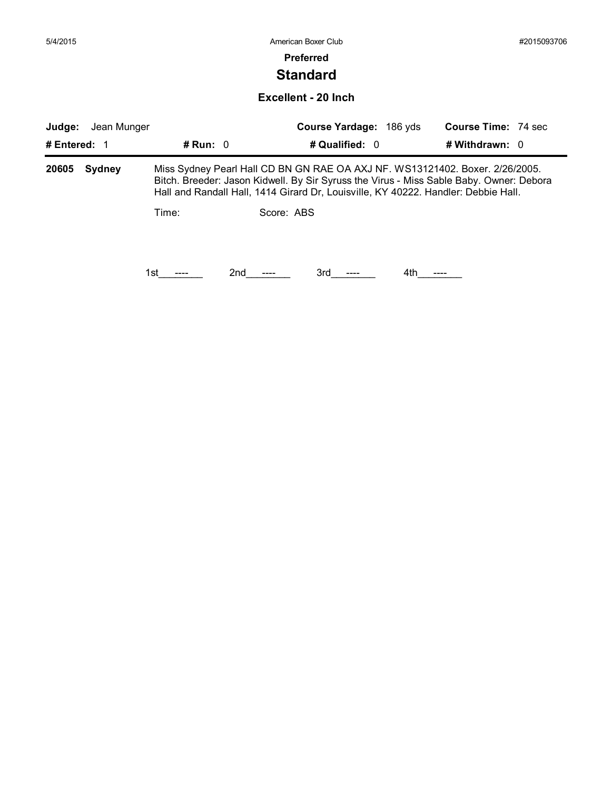### **Preferred**

### **Standard**

### **Excellent - 20 Inch**

| Judge:       | Jean Munger   |            |                                                                                                                                                                                                                                                               | Course Yardage: 186 yds |     | <b>Course Time: 74 sec</b> |  |  |
|--------------|---------------|------------|---------------------------------------------------------------------------------------------------------------------------------------------------------------------------------------------------------------------------------------------------------------|-------------------------|-----|----------------------------|--|--|
| # Entered: 1 |               | # Run: $0$ |                                                                                                                                                                                                                                                               | # Qualified: 0          |     | # Withdrawn: $0$           |  |  |
| 20605        | <b>Sydney</b> |            | Miss Sydney Pearl Hall CD BN GN RAE OA AXJ NF. WS13121402. Boxer. 2/26/2005.<br>Bitch. Breeder: Jason Kidwell. By Sir Syruss the Virus - Miss Sable Baby. Owner: Debora<br>Hall and Randall Hall, 1414 Girard Dr, Louisville, KY 40222. Handler: Debbie Hall. |                         |     |                            |  |  |
|              |               | Time:      | Score: ABS                                                                                                                                                                                                                                                    |                         |     |                            |  |  |
|              |               |            |                                                                                                                                                                                                                                                               |                         |     |                            |  |  |
|              |               | 1st        | 2nd                                                                                                                                                                                                                                                           | 3rd                     | 4th |                            |  |  |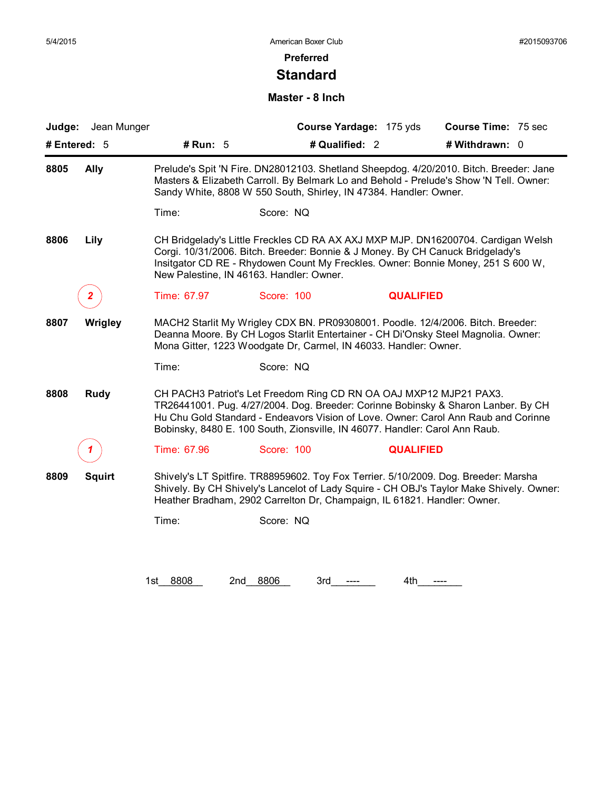### **Preferred**

### **Standard**

### **Master - 8 Inch**

| Judge: Jean Munger    |                                                                                                                                                                                                                                                            |                                                                                                                                                   | Course Yardage: 175 yds | <b>Course Time: 75 sec</b>                                                                                                                                              |  |  |
|-----------------------|------------------------------------------------------------------------------------------------------------------------------------------------------------------------------------------------------------------------------------------------------------|---------------------------------------------------------------------------------------------------------------------------------------------------|-------------------------|-------------------------------------------------------------------------------------------------------------------------------------------------------------------------|--|--|
| # Entered: 5          | # Run: 5                                                                                                                                                                                                                                                   |                                                                                                                                                   | # Qualified: 2          | # Withdrawn: 0                                                                                                                                                          |  |  |
| 8805<br><b>Ally</b>   | Prelude's Spit 'N Fire. DN28012103. Shetland Sheepdog. 4/20/2010. Bitch. Breeder: Jane<br>Masters & Elizabeth Carroll. By Belmark Lo and Behold - Prelude's Show 'N Tell. Owner:<br>Sandy White, 8808 W 550 South, Shirley, IN 47384. Handler: Owner.      |                                                                                                                                                   |                         |                                                                                                                                                                         |  |  |
|                       | Time:                                                                                                                                                                                                                                                      | Score: NQ                                                                                                                                         |                         |                                                                                                                                                                         |  |  |
| 8806<br>Lily          |                                                                                                                                                                                                                                                            | Corgi. 10/31/2006. Bitch. Breeder: Bonnie & J Money. By CH Canuck Bridgelady's<br>New Palestine, IN 46163. Handler: Owner.                        |                         | CH Bridgelady's Little Freckles CD RA AX AXJ MXP MJP. DN16200704. Cardigan Welsh<br>Insitgator CD RE - Rhydowen Count My Freckles. Owner: Bonnie Money, 251 S 600 W,    |  |  |
| $\mathbf{2}^-$        | Time: 67.97                                                                                                                                                                                                                                                | Score: 100                                                                                                                                        | <b>QUALIFIED</b>        |                                                                                                                                                                         |  |  |
| 8807<br>Wrigley       | MACH2 Starlit My Wrigley CDX BN. PR09308001. Poodle. 12/4/2006. Bitch. Breeder:<br>Deanna Moore. By CH Logos Starlit Entertainer - CH Di'Onsky Steel Magnolia. Owner:<br>Mona Gitter, 1223 Woodgate Dr, Carmel, IN 46033. Handler: Owner.                  |                                                                                                                                                   |                         |                                                                                                                                                                         |  |  |
|                       | Time:                                                                                                                                                                                                                                                      | Score: NQ                                                                                                                                         |                         |                                                                                                                                                                         |  |  |
| 8808<br><b>Rudy</b>   |                                                                                                                                                                                                                                                            | CH PACH3 Patriot's Let Freedom Ring CD RN OA OAJ MXP12 MJP21 PAX3.<br>Bobinsky, 8480 E. 100 South, Zionsville, IN 46077. Handler: Carol Ann Raub. |                         | TR26441001. Pug. 4/27/2004. Dog. Breeder: Corinne Bobinsky & Sharon Lanber. By CH<br>Hu Chu Gold Standard - Endeavors Vision of Love. Owner: Carol Ann Raub and Corinne |  |  |
|                       | Time: 67.96                                                                                                                                                                                                                                                | Score: 100                                                                                                                                        | <b>QUALIFIED</b>        |                                                                                                                                                                         |  |  |
| 8809<br><b>Squirt</b> | Shively's LT Spitfire. TR88959602. Toy Fox Terrier. 5/10/2009. Dog. Breeder: Marsha<br>Shively. By CH Shively's Lancelot of Lady Squire - CH OBJ's Taylor Make Shively. Owner:<br>Heather Bradham, 2902 Carrelton Dr, Champaign, IL 61821. Handler: Owner. |                                                                                                                                                   |                         |                                                                                                                                                                         |  |  |
|                       | Time:                                                                                                                                                                                                                                                      | Score: NQ                                                                                                                                         |                         |                                                                                                                                                                         |  |  |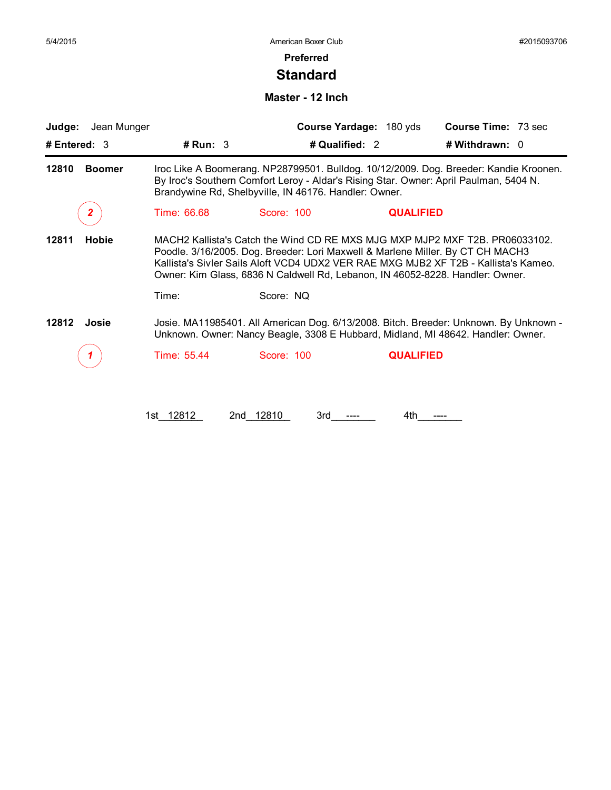### **Preferred**

### **Standard**

#### **Master - 12 Inch**

| Judge: Jean Munger     |                                                                                                                                                                                                                                                                                                                                       |                     | Course Yardage: 180 yds | <b>Course Time: 73 sec</b>                                                                                                                                                |  |  |
|------------------------|---------------------------------------------------------------------------------------------------------------------------------------------------------------------------------------------------------------------------------------------------------------------------------------------------------------------------------------|---------------------|-------------------------|---------------------------------------------------------------------------------------------------------------------------------------------------------------------------|--|--|
| # Entered: $3$         | # Run: 3                                                                                                                                                                                                                                                                                                                              | # Qualified: 2      |                         | # Withdrawn: 0                                                                                                                                                            |  |  |
| 12810<br><b>Boomer</b> | Iroc Like A Boomerang. NP28799501. Bulldog. 10/12/2009. Dog. Breeder: Kandie Kroonen.<br>By Iroc's Southern Comfort Leroy - Aldar's Rising Star. Owner: April Paulman, 5404 N.<br>Brandywine Rd, Shelbyville, IN 46176. Handler: Owner.                                                                                               |                     |                         |                                                                                                                                                                           |  |  |
| 2.                     | Time: 66.68                                                                                                                                                                                                                                                                                                                           | Score: 100          | <b>QUALIFIED</b>        |                                                                                                                                                                           |  |  |
| 12811<br>Hobie         | MACH2 Kallista's Catch the Wind CD RE MXS MJG MXP MJP2 MXF T2B, PR06033102.<br>Poodle. 3/16/2005. Dog. Breeder: Lori Maxwell & Marlene Miller. By CT CH MACH3<br>Kallista's Sivler Sails Aloft VCD4 UDX2 VER RAE MXG MJB2 XF T2B - Kallista's Kameo.<br>Owner: Kim Glass, 6836 N Caldwell Rd, Lebanon, IN 46052-8228. Handler: Owner. |                     |                         |                                                                                                                                                                           |  |  |
|                        | Time:                                                                                                                                                                                                                                                                                                                                 | Score: NQ           |                         |                                                                                                                                                                           |  |  |
| 12812<br>Josie         |                                                                                                                                                                                                                                                                                                                                       |                     |                         | Josie. MA11985401. All American Dog. 6/13/2008. Bitch. Breeder: Unknown. By Unknown -<br>Unknown. Owner: Nancy Beagle, 3308 E Hubbard, Midland, MI 48642. Handler: Owner. |  |  |
|                        | Time: 55.44                                                                                                                                                                                                                                                                                                                           | Score: 100          | <b>QUALIFIED</b>        |                                                                                                                                                                           |  |  |
|                        |                                                                                                                                                                                                                                                                                                                                       |                     |                         |                                                                                                                                                                           |  |  |
|                        | 1st 12812                                                                                                                                                                                                                                                                                                                             | 12810<br>2nd<br>3rd | 4th                     |                                                                                                                                                                           |  |  |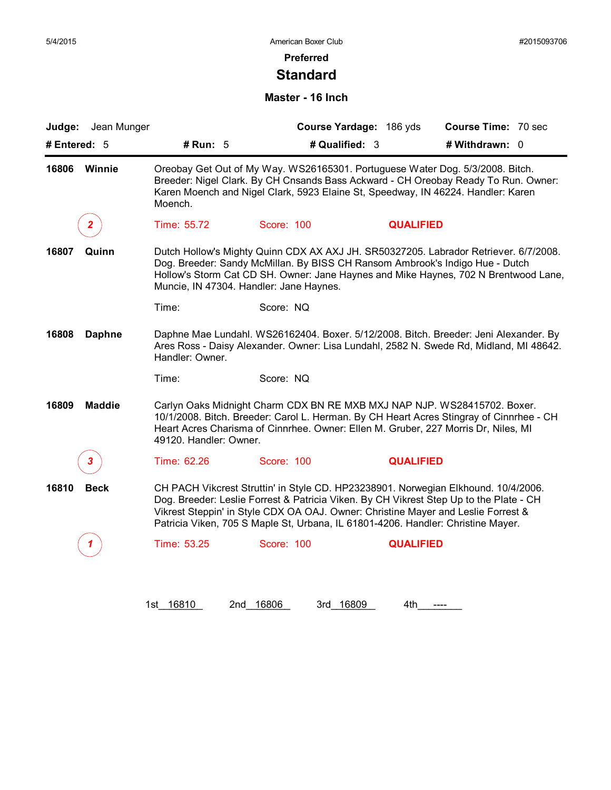## **Preferred**

### **Standard**

### **Master - 16 Inch**

| Jean Munger<br>Judge:  |                                                                                                                                                                                                                                                                                                                                                       |                                                                                                                                                                   | Course Yardage: 186 yds | <b>Course Time: 70 sec</b>                                                                                                                                                  |  |  |
|------------------------|-------------------------------------------------------------------------------------------------------------------------------------------------------------------------------------------------------------------------------------------------------------------------------------------------------------------------------------------------------|-------------------------------------------------------------------------------------------------------------------------------------------------------------------|-------------------------|-----------------------------------------------------------------------------------------------------------------------------------------------------------------------------|--|--|
| # Entered: 5           | # Run: 5                                                                                                                                                                                                                                                                                                                                              | # Qualified: 3                                                                                                                                                    |                         | # Withdrawn: 0                                                                                                                                                              |  |  |
| 16806<br><b>Winnie</b> | Moench.                                                                                                                                                                                                                                                                                                                                               | Oreobay Get Out of My Way. WS26165301. Portuguese Water Dog. 5/3/2008. Bitch.<br>Karen Moench and Nigel Clark, 5923 Elaine St, Speedway, IN 46224. Handler: Karen |                         | Breeder: Nigel Clark. By CH Cnsands Bass Ackward - CH Oreobay Ready To Run. Owner:                                                                                          |  |  |
| 2.                     | Time: 55.72                                                                                                                                                                                                                                                                                                                                           | Score: 100                                                                                                                                                        | <b>QUALIFIED</b>        |                                                                                                                                                                             |  |  |
| 16807<br>Quinn         |                                                                                                                                                                                                                                                                                                                                                       | Dog. Breeder: Sandy McMillan. By BISS CH Ransom Ambrook's Indigo Hue - Dutch<br>Muncie, IN 47304. Handler: Jane Haynes.                                           |                         | Dutch Hollow's Mighty Quinn CDX AX AXJ JH. SR50327205. Labrador Retriever. 6/7/2008.<br>Hollow's Storm Cat CD SH. Owner: Jane Haynes and Mike Haynes, 702 N Brentwood Lane, |  |  |
|                        | Time:                                                                                                                                                                                                                                                                                                                                                 | Score: NQ                                                                                                                                                         |                         |                                                                                                                                                                             |  |  |
| 16808<br><b>Daphne</b> | Daphne Mae Lundahl. WS26162404. Boxer. 5/12/2008. Bitch. Breeder: Jeni Alexander. By<br>Ares Ross - Daisy Alexander. Owner: Lisa Lundahl, 2582 N. Swede Rd, Midland, MI 48642.<br>Handler: Owner.                                                                                                                                                     |                                                                                                                                                                   |                         |                                                                                                                                                                             |  |  |
|                        | Time:                                                                                                                                                                                                                                                                                                                                                 | Score: NQ                                                                                                                                                         |                         |                                                                                                                                                                             |  |  |
| 16809<br><b>Maddie</b> | 49120. Handler: Owner.                                                                                                                                                                                                                                                                                                                                | Carlyn Oaks Midnight Charm CDX BN RE MXB MXJ NAP NJP. WS28415702. Boxer.<br>Heart Acres Charisma of Cinnrhee. Owner: Ellen M. Gruber, 227 Morris Dr, Niles, MI    |                         | 10/1/2008. Bitch. Breeder: Carol L. Herman. By CH Heart Acres Stingray of Cinnrhee - CH                                                                                     |  |  |
| 3                      | Time: 62.26                                                                                                                                                                                                                                                                                                                                           | Score: 100                                                                                                                                                        | <b>QUALIFIED</b>        |                                                                                                                                                                             |  |  |
| 16810<br><b>Beck</b>   | CH PACH Vikcrest Struttin' in Style CD. HP23238901. Norwegian Elkhound. 10/4/2006.<br>Dog. Breeder: Leslie Forrest & Patricia Viken. By CH Vikrest Step Up to the Plate - CH<br>Vikrest Steppin' in Style CDX OA OAJ. Owner: Christine Mayer and Leslie Forrest &<br>Patricia Viken, 705 S Maple St, Urbana, IL 61801-4206. Handler: Christine Mayer. |                                                                                                                                                                   |                         |                                                                                                                                                                             |  |  |
|                        |                                                                                                                                                                                                                                                                                                                                                       |                                                                                                                                                                   |                         |                                                                                                                                                                             |  |  |

1st\_ 16810 2nd\_ 16806 3rd\_ 16809 4th\_\_\_\_\_\_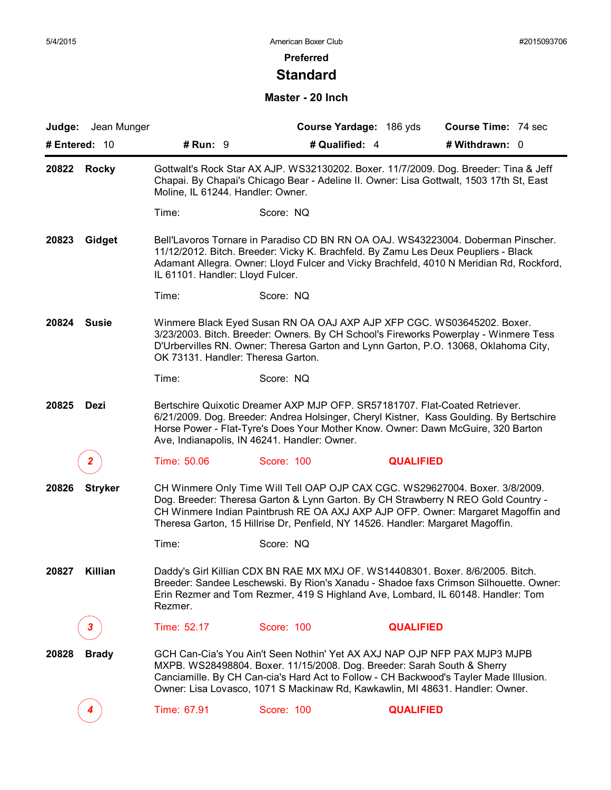### **Standard**

### **Master - 20 Inch**

|                       | Judge: Jean Munger |                                                                                                                                                                                                                      | Course Yardage: 186 yds                                                                                                                                                                                                                                                                                                                  |                  | <b>Course Time: 74 sec</b> |  |  |
|-----------------------|--------------------|----------------------------------------------------------------------------------------------------------------------------------------------------------------------------------------------------------------------|------------------------------------------------------------------------------------------------------------------------------------------------------------------------------------------------------------------------------------------------------------------------------------------------------------------------------------------|------------------|----------------------------|--|--|
| # Entered: $10$       |                    | # $Run: 9$                                                                                                                                                                                                           | # Qualified: 4                                                                                                                                                                                                                                                                                                                           |                  | # Withdrawn: 0             |  |  |
| 20822 Rocky           |                    | Gottwalt's Rock Star AX AJP. WS32130202. Boxer. 11/7/2009. Dog. Breeder: Tina & Jeff<br>Chapai. By Chapai's Chicago Bear - Adeline II. Owner: Lisa Gottwalt, 1503 17th St, East<br>Moline, IL 61244. Handler: Owner. |                                                                                                                                                                                                                                                                                                                                          |                  |                            |  |  |
|                       |                    | Time:                                                                                                                                                                                                                | Score: NQ                                                                                                                                                                                                                                                                                                                                |                  |                            |  |  |
| 20823<br>Gidget       |                    | IL 61101. Handler: Lloyd Fulcer.                                                                                                                                                                                     | Bell'Lavoros Tornare in Paradiso CD BN RN OA OAJ. WS43223004. Doberman Pinscher.<br>11/12/2012. Bitch. Breeder: Vicky K. Brachfeld. By Zamu Les Deux Peupliers - Black<br>Adamant Allegra. Owner: Lloyd Fulcer and Vicky Brachfeld, 4010 N Meridian Rd, Rockford,                                                                        |                  |                            |  |  |
|                       |                    | Time:                                                                                                                                                                                                                | Score: NQ                                                                                                                                                                                                                                                                                                                                |                  |                            |  |  |
| 20824<br><b>Susie</b> |                    | OK 73131. Handler: Theresa Garton.                                                                                                                                                                                   | Winmere Black Eyed Susan RN OA OAJ AXP AJP XFP CGC. WS03645202. Boxer.<br>3/23/2003. Bitch. Breeder: Owners. By CH School's Fireworks Powerplay - Winmere Tess<br>D'Urbervilles RN. Owner: Theresa Garton and Lynn Garton, P.O. 13068, Oklahoma City,                                                                                    |                  |                            |  |  |
|                       |                    | Time:                                                                                                                                                                                                                | Score: NQ                                                                                                                                                                                                                                                                                                                                |                  |                            |  |  |
| 20825                 | Dezi               |                                                                                                                                                                                                                      | Bertschire Quixotic Dreamer AXP MJP OFP. SR57181707. Flat-Coated Retriever.<br>6/21/2009. Dog. Breeder: Andrea Holsinger, Cheryl Kistner, Kass Goulding. By Bertschire<br>Horse Power - Flat-Tyre's Does Your Mother Know. Owner: Dawn McGuire, 320 Barton<br>Ave, Indianapolis, IN 46241. Handler: Owner.                               |                  |                            |  |  |
|                       | 2.                 | Time: 50.06                                                                                                                                                                                                          | Score: 100                                                                                                                                                                                                                                                                                                                               | <b>QUALIFIED</b> |                            |  |  |
| 20826                 | <b>Stryker</b>     |                                                                                                                                                                                                                      | CH Winmere Only Time Will Tell OAP OJP CAX CGC. WS29627004. Boxer. 3/8/2009.<br>Dog. Breeder: Theresa Garton & Lynn Garton. By CH Strawberry N REO Gold Country -<br>CH Winmere Indian Paintbrush RE OA AXJ AXP AJP OFP. Owner: Margaret Magoffin and<br>Theresa Garton, 15 Hillrise Dr, Penfield, NY 14526. Handler: Margaret Magoffin. |                  |                            |  |  |
|                       |                    | Time:                                                                                                                                                                                                                | Score: NQ                                                                                                                                                                                                                                                                                                                                |                  |                            |  |  |
| 20827                 | Killian            | Rezmer.                                                                                                                                                                                                              | Daddy's Girl Killian CDX BN RAE MX MXJ OF. WS14408301. Boxer. 8/6/2005. Bitch.<br>Breeder: Sandee Leschewski. By Rion's Xanadu - Shadoe faxs Crimson Silhouette. Owner:<br>Erin Rezmer and Tom Rezmer, 419 S Highland Ave, Lombard, IL 60148. Handler: Tom                                                                               |                  |                            |  |  |
|                       | 3.                 | Time: 52.17                                                                                                                                                                                                          | Score: 100                                                                                                                                                                                                                                                                                                                               | <b>QUALIFIED</b> |                            |  |  |
| 20828                 | <b>Brady</b>       |                                                                                                                                                                                                                      | GCH Can-Cia's You Ain't Seen Nothin' Yet AX AXJ NAP OJP NFP PAX MJP3 MJPB<br>MXPB. WS28498804. Boxer. 11/15/2008. Dog. Breeder: Sarah South & Sherry<br>Canciamille. By CH Can-cia's Hard Act to Follow - CH Backwood's Tayler Made Illusion.<br>Owner: Lisa Lovasco, 1071 S Mackinaw Rd, Kawkawlin, MI 48631. Handler: Owner.           |                  |                            |  |  |
|                       |                    | Time: 67.91                                                                                                                                                                                                          | Score: 100                                                                                                                                                                                                                                                                                                                               | <b>QUALIFIED</b> |                            |  |  |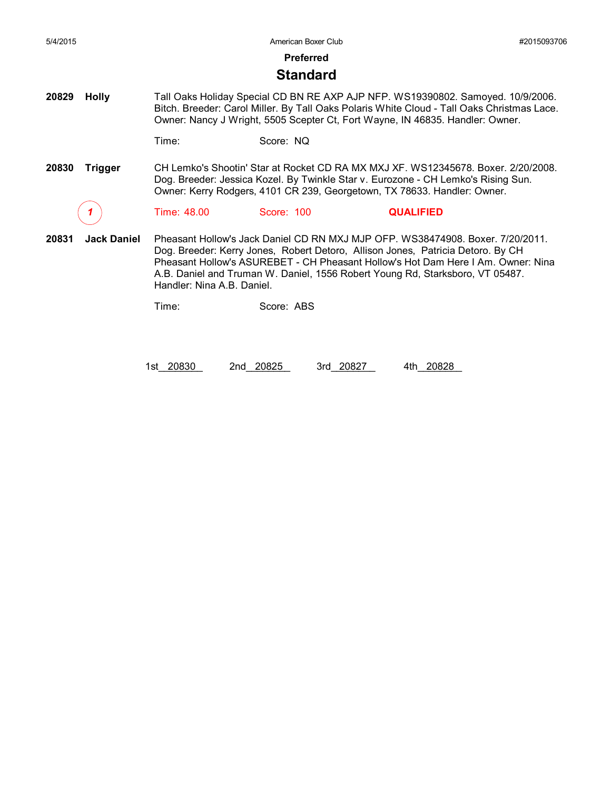#### **Standard**

**20829 Holly** Tall Oaks Holiday Special CD BN RE AXP AJP NFP. WS19390802. Samoyed. 10/9/2006. Bitch. Breeder: Carol Miller. By Tall Oaks Polaris White Cloud - Tall Oaks Christmas Lace. Owner: Nancy J Wright, 5505 Scepter Ct, Fort Wayne, IN 46835. Handler: Owner.

Time: Score: NQ

**20830 Trigger** CH Lemko's Shootin' Star at Rocket CD RA MX MXJ XF. WS12345678. Boxer. 2/20/2008. Dog. Breeder: Jessica Kozel. By Twinkle Star v. Eurozone - CH Lemko's Rising Sun. Owner: Kerry Rodgers, 4101 CR 239, Georgetown, TX 78633. Handler: Owner.

*1* Time: 48.00 Score: 100 **QUALIFIED**

**20831 Jack Daniel** Pheasant Hollow's Jack Daniel CD RN MXJ MJP OFP. WS38474908. Boxer. 7/20/2011. Dog. Breeder: Kerry Jones, Robert Detoro, Allison Jones, Patricia Detoro. By CH Pheasant Hollow's ASUREBET - CH Pheasant Hollow's Hot Dam Here I Am. Owner: Nina A.B. Daniel and Truman W. Daniel, 1556 Robert Young Rd, Starksboro, VT 05487. Handler: Nina A.B. Daniel.

Time: Score: ABS

1st\_20830 2nd\_20825 3rd\_20827 4th\_20828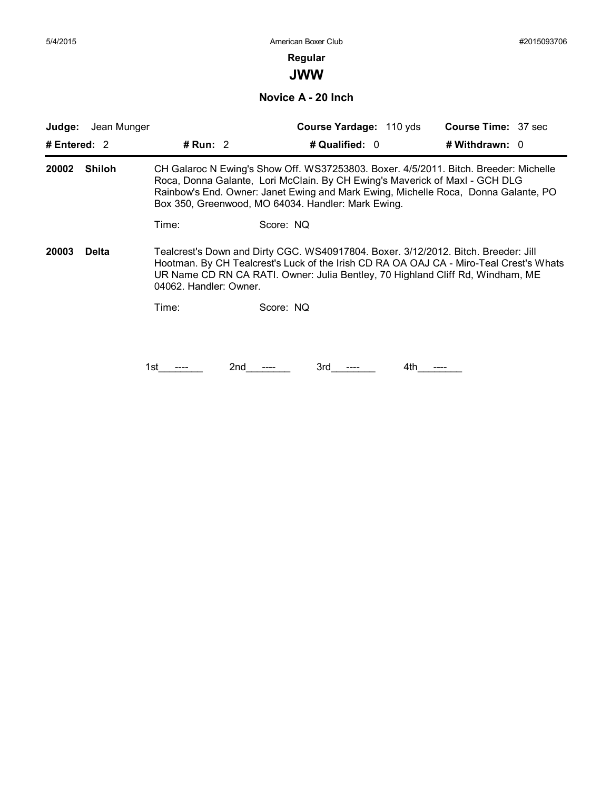## **Regular**

**JWW**

**Novice A - 20 Inch**

| Judge:         | Jean Munger   |                        |                                                                                                                                                                                                                                                                                                                 | Course Yardage: 110 yds |     | <b>Course Time: 37 sec</b> |  |
|----------------|---------------|------------------------|-----------------------------------------------------------------------------------------------------------------------------------------------------------------------------------------------------------------------------------------------------------------------------------------------------------------|-------------------------|-----|----------------------------|--|
| # Entered: $2$ |               | # Run: $2$             |                                                                                                                                                                                                                                                                                                                 | # Qualified: 0          |     | # Withdrawn: $0$           |  |
| 20002          | <b>Shiloh</b> |                        | CH Galaroc N Ewing's Show Off. WS37253803. Boxer. 4/5/2011. Bitch. Breeder: Michelle<br>Roca, Donna Galante, Lori McClain. By CH Ewing's Maverick of Maxl - GCH DLG<br>Rainbow's End. Owner: Janet Ewing and Mark Ewing, Michelle Roca, Donna Galante, PO<br>Box 350, Greenwood, MO 64034. Handler: Mark Ewing. |                         |     |                            |  |
|                |               | Time:                  | Score: NQ                                                                                                                                                                                                                                                                                                       |                         |     |                            |  |
| 20003          | <b>Delta</b>  | 04062. Handler: Owner. | Tealcrest's Down and Dirty CGC. WS40917804. Boxer. 3/12/2012. Bitch. Breeder: Jill<br>Hootman. By CH Tealcrest's Luck of the Irish CD RA OA OAJ CA - Miro-Teal Crest's Whats<br>UR Name CD RN CA RATI. Owner: Julia Bentley, 70 Highland Cliff Rd, Windham, ME                                                  |                         |     |                            |  |
|                |               | Time:                  | Score: NQ                                                                                                                                                                                                                                                                                                       |                         |     |                            |  |
|                |               |                        |                                                                                                                                                                                                                                                                                                                 |                         |     |                            |  |
|                |               | 1st                    | 2nd                                                                                                                                                                                                                                                                                                             | 3rd                     | 4th |                            |  |
|                |               |                        |                                                                                                                                                                                                                                                                                                                 |                         |     |                            |  |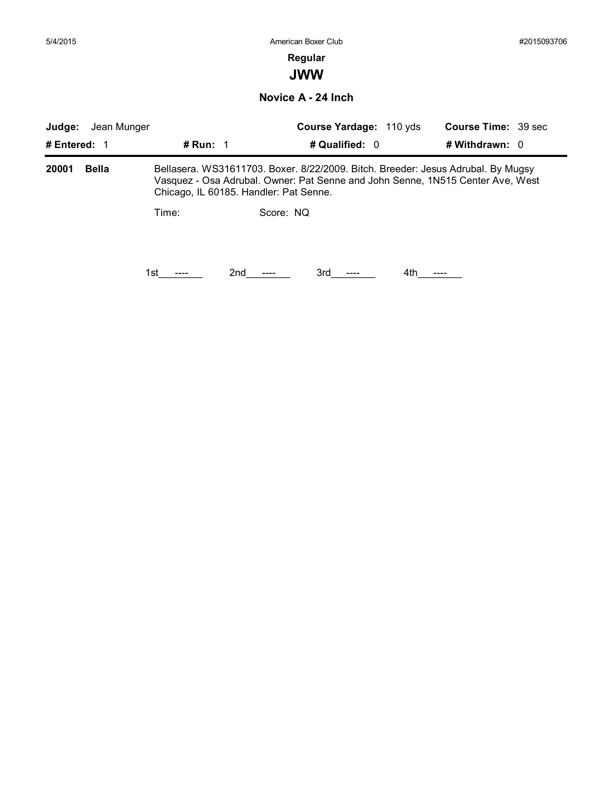**JWW**

**Novice A - 24 Inch**

| Judge:       | Jean Munger  |                   |                                        | Course Yardage: 110 yds | <b>Course Time: 39 sec</b>                                                                                                                                         |  |
|--------------|--------------|-------------------|----------------------------------------|-------------------------|--------------------------------------------------------------------------------------------------------------------------------------------------------------------|--|
| # Entered: 1 |              | # Run: $\sqrt{1}$ |                                        | # Qualified: 0          | # Withdrawn: $0$                                                                                                                                                   |  |
| 20001        | <b>Bella</b> |                   | Chicago, IL 60185. Handler: Pat Senne. |                         | Bellasera. WS31611703. Boxer. 8/22/2009. Bitch. Breeder: Jesus Adrubal. By Mugsy<br>Vasquez - Osa Adrubal. Owner: Pat Senne and John Senne, 1N515 Center Ave, West |  |
|              |              | Time:             | Score: NO                              |                         |                                                                                                                                                                    |  |
|              |              | 1st.              | 2nd<br>3rd                             | 4th.                    |                                                                                                                                                                    |  |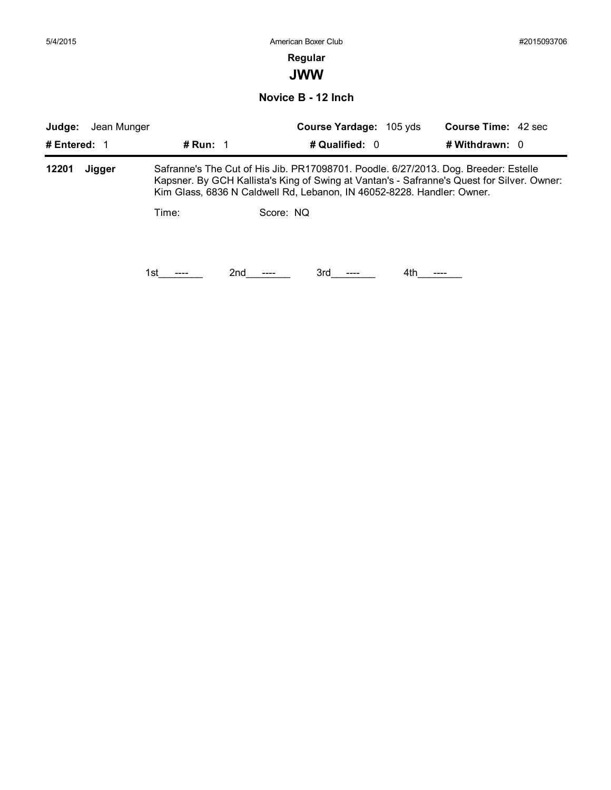| 5/4/2015     |             |                   |                                                                                                                                                                      | #2015093706                |  |
|--------------|-------------|-------------------|----------------------------------------------------------------------------------------------------------------------------------------------------------------------|----------------------------|--|
|              |             |                   | Regular                                                                                                                                                              |                            |  |
|              |             |                   | <b>JWW</b>                                                                                                                                                           |                            |  |
|              |             |                   | Novice B - 12 Inch                                                                                                                                                   |                            |  |
| Judge:       | Jean Munger |                   | Course Yardage: 105 yds                                                                                                                                              | <b>Course Time: 42 sec</b> |  |
| # Entered: 1 |             | # Run: $\sqrt{1}$ | # Qualified: 0                                                                                                                                                       | # Withdrawn: $0$           |  |
| 12201        | Jigger      |                   | Safranne's The Cut of His Jib. PR17098701. Poodle. 6/27/2013. Dog. Breeder: Estelle                                                                                  |                            |  |
|              |             |                   | Kapsner. By GCH Kallista's King of Swing at Vantan's - Safranne's Quest for Silver. Owner:<br>Kim Glass, 6836 N Caldwell Rd, Lebanon, IN 46052-8228. Handler: Owner. |                            |  |
|              |             | Time:             | Score: NQ                                                                                                                                                            |                            |  |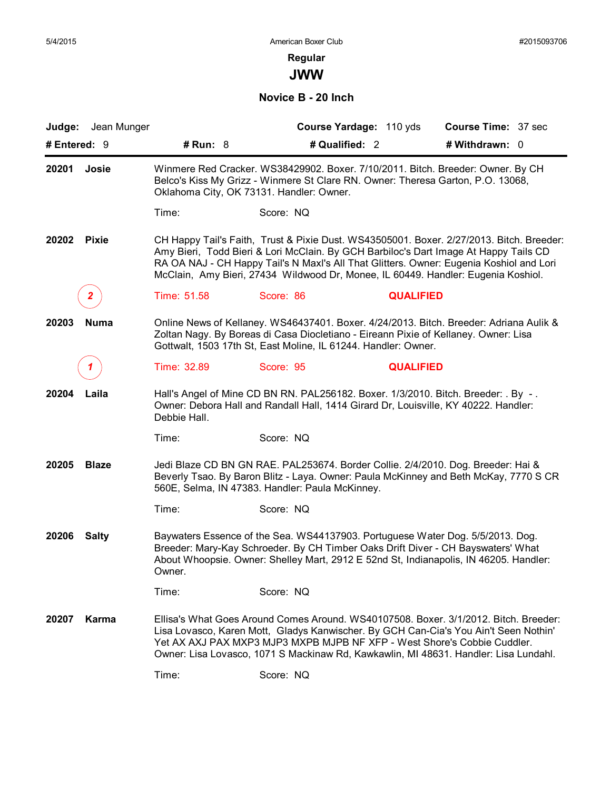**JWW**

**Novice B - 20 Inch**

| Judge: Jean Munger    |                                          | Course Yardage: 110 yds                                                                                                                                                                                                                                                                                                                                          | <b>Course Time: 37 sec</b> |  |  |  |
|-----------------------|------------------------------------------|------------------------------------------------------------------------------------------------------------------------------------------------------------------------------------------------------------------------------------------------------------------------------------------------------------------------------------------------------------------|----------------------------|--|--|--|
| # Entered: $9$        | # $Run: 8$                               | # Qualified: 2                                                                                                                                                                                                                                                                                                                                                   | # Withdrawn: 0             |  |  |  |
| 20201<br>Josie        | Oklahoma City, OK 73131. Handler: Owner. | Winmere Red Cracker. WS38429902. Boxer. 7/10/2011. Bitch. Breeder: Owner. By CH<br>Belco's Kiss My Grizz - Winmere St Clare RN. Owner: Theresa Garton, P.O. 13068,                                                                                                                                                                                               |                            |  |  |  |
|                       | Time:                                    | Score: NQ                                                                                                                                                                                                                                                                                                                                                        |                            |  |  |  |
| 20202<br><b>Pixie</b> |                                          | CH Happy Tail's Faith, Trust & Pixie Dust. WS43505001. Boxer. 2/27/2013. Bitch. Breeder:<br>Amy Bieri, Todd Bieri & Lori McClain. By GCH Barbiloc's Dart Image At Happy Tails CD<br>RA OA NAJ - CH Happy Tail's N Maxl's All That Glitters. Owner: Eugenia Koshiol and Lori<br>McClain, Amy Bieri, 27434 Wildwood Dr, Monee, IL 60449. Handler: Eugenia Koshiol. |                            |  |  |  |
|                       | Time: 51.58                              | Score: 86<br><b>QUALIFIED</b>                                                                                                                                                                                                                                                                                                                                    |                            |  |  |  |
| 20203<br><b>Numa</b>  |                                          | Online News of Kellaney. WS46437401. Boxer. 4/24/2013. Bitch. Breeder: Adriana Aulik &<br>Zoltan Nagy. By Boreas di Casa Diocletiano - Eireann Pixie of Kellaney. Owner: Lisa<br>Gottwalt, 1503 17th St, East Moline, IL 61244. Handler: Owner.                                                                                                                  |                            |  |  |  |
|                       | Time: 32.89                              | Score: 95<br><b>QUALIFIED</b>                                                                                                                                                                                                                                                                                                                                    |                            |  |  |  |
| 20204<br>Laila        | Debbie Hall.                             | Hall's Angel of Mine CD BN RN. PAL256182. Boxer. 1/3/2010. Bitch. Breeder: . By -.<br>Owner: Debora Hall and Randall Hall, 1414 Girard Dr, Louisville, KY 40222. Handler:                                                                                                                                                                                        |                            |  |  |  |
|                       | Time:                                    | Score: NQ                                                                                                                                                                                                                                                                                                                                                        |                            |  |  |  |
| 20205<br><b>Blaze</b> |                                          | Jedi Blaze CD BN GN RAE. PAL253674. Border Collie. 2/4/2010. Dog. Breeder: Hai &<br>Beverly Tsao. By Baron Blitz - Laya. Owner: Paula McKinney and Beth McKay, 7770 S CR<br>560E, Selma, IN 47383. Handler: Paula McKinney.                                                                                                                                      |                            |  |  |  |
|                       | Time:                                    | Score: NQ                                                                                                                                                                                                                                                                                                                                                        |                            |  |  |  |
| 20206<br><b>Salty</b> | Owner.                                   | Baywaters Essence of the Sea. WS44137903. Portuguese Water Dog. 5/5/2013. Dog.<br>Breeder: Mary-Kay Schroeder. By CH Timber Oaks Drift Diver - CH Bayswaters' What<br>About Whoopsie. Owner: Shelley Mart, 2912 E 52nd St, Indianapolis, IN 46205. Handler:                                                                                                      |                            |  |  |  |
|                       | Time:                                    | Score: NQ                                                                                                                                                                                                                                                                                                                                                        |                            |  |  |  |
| Karma<br>20207        |                                          | Ellisa's What Goes Around Comes Around, WS40107508, Boxer, 3/1/2012, Bitch, Breeder:<br>Lisa Lovasco, Karen Mott, Gladys Kanwischer. By GCH Can-Cia's You Ain't Seen Nothin'<br>Yet AX AXJ PAX MXP3 MJP3 MXPB MJPB NF XFP - West Shore's Cobbie Cuddler.<br>Owner: Lisa Lovasco, 1071 S Mackinaw Rd, Kawkawlin, MI 48631. Handler: Lisa Lundahl.                 |                            |  |  |  |
|                       | Time:                                    | Score: NQ                                                                                                                                                                                                                                                                                                                                                        |                            |  |  |  |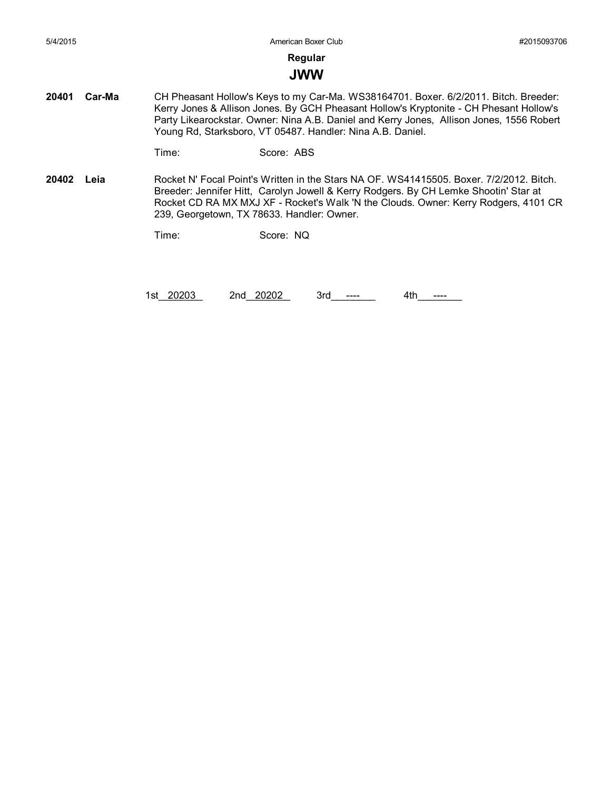#### **JWW**

**20401 Car-Ma** CH Pheasant Hollow's Keys to my Car-Ma. WS38164701. Boxer. 6/2/2011. Bitch. Breeder: Kerry Jones & Allison Jones. By GCH Pheasant Hollow's Kryptonite - CH Phesant Hollow's Party Likearockstar. Owner: Nina A.B. Daniel and Kerry Jones, Allison Jones, 1556 Robert Young Rd, Starksboro, VT 05487. Handler: Nina A.B. Daniel.

```
Time: Score: ABS
```
**20402 Leia** Rocket N' Focal Point's Written in the Stars NA OF. WS41415505. Boxer. 7/2/2012. Bitch. Breeder: Jennifer Hitt, Carolyn Jowell & Kerry Rodgers. By CH Lemke Shootin' Star at Rocket CD RA MX MXJ XF - Rocket's Walk 'N the Clouds. Owner: Kerry Rodgers, 4101 CR 239, Georgetown, TX 78633. Handler: Owner.

Time: Score: NQ

1st\_20203 2nd\_20202 3rd\_\_\_\_\_\_ 4th\_\_\_\_\_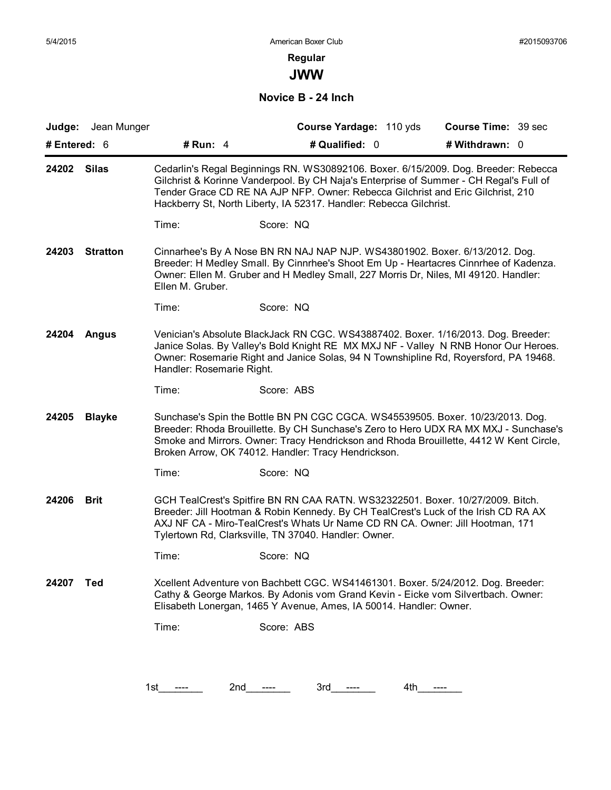**JWW**

#### **Novice B - 24 Inch**

|                          | Judge: Jean Munger |                           | Course Yardage: 110 yds                                                                                                                                                                                                                                                                                                                | <b>Course Time: 39 sec</b> |
|--------------------------|--------------------|---------------------------|----------------------------------------------------------------------------------------------------------------------------------------------------------------------------------------------------------------------------------------------------------------------------------------------------------------------------------------|----------------------------|
| # Entered: 6             |                    | # Run: $4$                | # Qualified: 0                                                                                                                                                                                                                                                                                                                         | # Withdrawn: 0             |
| 24202                    | <b>Silas</b>       |                           | Cedarlin's Regal Beginnings RN. WS30892106. Boxer. 6/15/2009. Dog. Breeder: Rebecca<br>Gilchrist & Korinne Vanderpool. By CH Naja's Enterprise of Summer - CH Regal's Full of<br>Tender Grace CD RE NA AJP NFP. Owner: Rebecca Gilchrist and Eric Gilchrist, 210<br>Hackberry St, North Liberty, IA 52317. Handler: Rebecca Gilchrist. |                            |
|                          |                    | Time:                     | Score: NQ                                                                                                                                                                                                                                                                                                                              |                            |
| 24203<br><b>Stratton</b> |                    | Ellen M. Gruber.          | Cinnarhee's By A Nose BN RN NAJ NAP NJP. WS43801902. Boxer. 6/13/2012. Dog.<br>Breeder: H Medley Small. By Cinnrhee's Shoot Em Up - Heartacres Cinnrhee of Kadenza.<br>Owner: Ellen M. Gruber and H Medley Small, 227 Morris Dr, Niles, MI 49120. Handler:                                                                             |                            |
|                          |                    | Time:                     | Score: NQ                                                                                                                                                                                                                                                                                                                              |                            |
| 24204<br>Angus           |                    | Handler: Rosemarie Right. | Venician's Absolute BlackJack RN CGC. WS43887402. Boxer. 1/16/2013. Dog. Breeder:<br>Janice Solas. By Valley's Bold Knight RE MX MXJ NF - Valley N RNB Honor Our Heroes.<br>Owner: Rosemarie Right and Janice Solas, 94 N Townshipline Rd, Royersford, PA 19468.                                                                       |                            |
|                          |                    | Time:                     | Score: ABS                                                                                                                                                                                                                                                                                                                             |                            |
| 24205                    | <b>Blayke</b>      |                           | Sunchase's Spin the Bottle BN PN CGC CGCA. WS45539505. Boxer. 10/23/2013. Dog.<br>Breeder: Rhoda Brouillette. By CH Sunchase's Zero to Hero UDX RA MX MXJ - Sunchase's<br>Smoke and Mirrors. Owner: Tracy Hendrickson and Rhoda Brouillette, 4412 W Kent Circle,<br>Broken Arrow, OK 74012. Handler: Tracy Hendrickson.                |                            |
|                          |                    | Time:                     | Score: NQ                                                                                                                                                                                                                                                                                                                              |                            |
| 24206                    | <b>Brit</b>        |                           | GCH TealCrest's Spitfire BN RN CAA RATN. WS32322501. Boxer. 10/27/2009. Bitch.<br>Breeder: Jill Hootman & Robin Kennedy. By CH TealCrest's Luck of the Irish CD RA AX<br>AXJ NF CA - Miro-TealCrest's Whats Ur Name CD RN CA. Owner: Jill Hootman, 171<br>Tylertown Rd, Clarksville, TN 37040. Handler: Owner.                         |                            |
|                          |                    | Time:                     | Score: NQ                                                                                                                                                                                                                                                                                                                              |                            |
| 24207                    | Ted                |                           | Xcellent Adventure von Bachbett CGC. WS41461301. Boxer. 5/24/2012. Dog. Breeder:<br>Cathy & George Markos. By Adonis vom Grand Kevin - Eicke vom Silvertbach. Owner:<br>Elisabeth Lonergan, 1465 Y Avenue, Ames, IA 50014. Handler: Owner.                                                                                             |                            |
|                          |                    | Time:                     | Score: ABS                                                                                                                                                                                                                                                                                                                             |                            |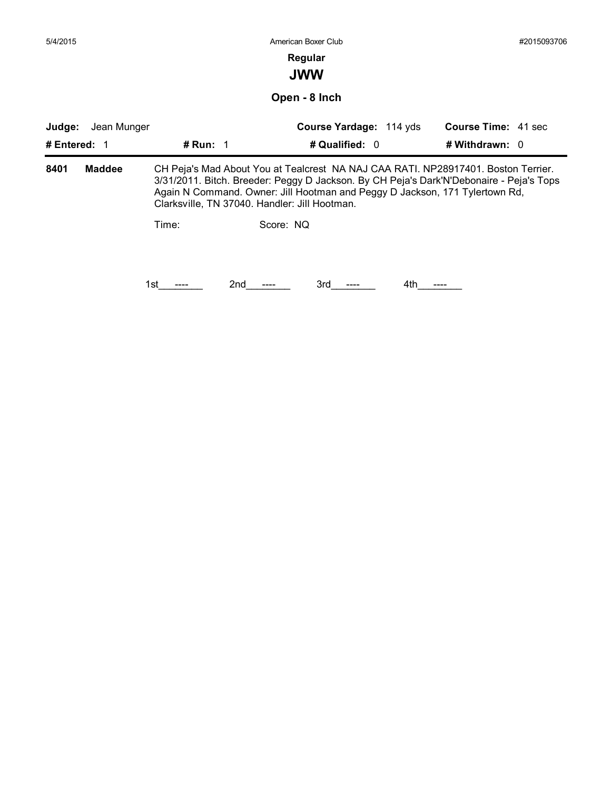| 5/4/2015     |               |                                               | American Boxer Club                                                                                                                                                                                                                                         |                            | #2015093706 |
|--------------|---------------|-----------------------------------------------|-------------------------------------------------------------------------------------------------------------------------------------------------------------------------------------------------------------------------------------------------------------|----------------------------|-------------|
|              |               |                                               | Regular                                                                                                                                                                                                                                                     |                            |             |
|              |               |                                               | <b>JWW</b>                                                                                                                                                                                                                                                  |                            |             |
|              |               |                                               | Open - 8 Inch                                                                                                                                                                                                                                               |                            |             |
| Judge:       | Jean Munger   |                                               | Course Yardage: 114 yds                                                                                                                                                                                                                                     | <b>Course Time: 41 sec</b> |             |
| # Entered: 1 |               | # Run: 1                                      | # Qualified: 0                                                                                                                                                                                                                                              | # Withdrawn: 0             |             |
| 8401         | <b>Maddee</b> |                                               | CH Peja's Mad About You at Tealcrest NA NAJ CAA RATI. NP28917401. Boston Terrier.<br>3/31/2011. Bitch. Breeder: Peggy D Jackson. By CH Peja's Dark'N'Debonaire - Peja's Tops<br>Again N Command. Owner: Jill Hootman and Peggy D Jackson, 171 Tylertown Rd, |                            |             |
|              |               | Clarksville, TN 37040. Handler: Jill Hootman. |                                                                                                                                                                                                                                                             |                            |             |
|              |               | Time:                                         | Score: NQ                                                                                                                                                                                                                                                   |                            |             |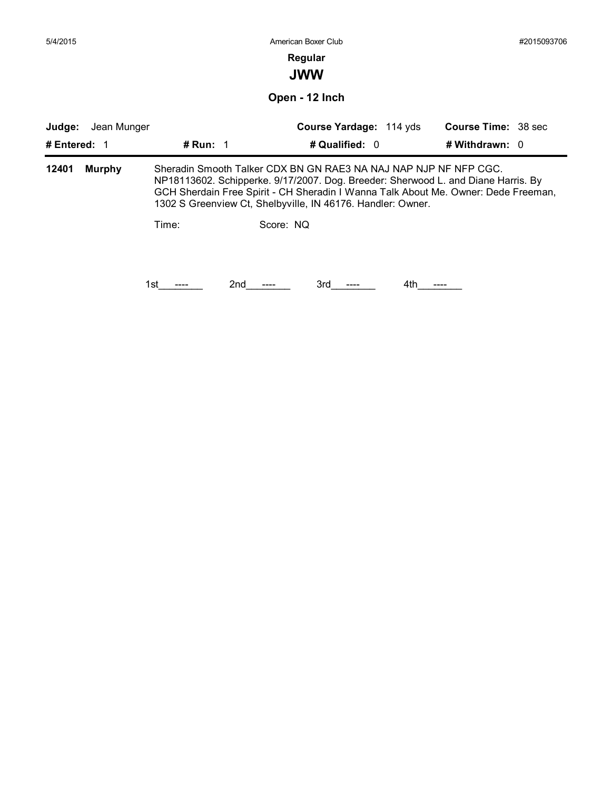| 5/4/2015                              |            | American Boxer Club                                                                                                                                                                                                                                                                                                     |                                              | #2015093706 |
|---------------------------------------|------------|-------------------------------------------------------------------------------------------------------------------------------------------------------------------------------------------------------------------------------------------------------------------------------------------------------------------------|----------------------------------------------|-------------|
|                                       |            | Regular<br><b>JWW</b>                                                                                                                                                                                                                                                                                                   |                                              |             |
|                                       |            | Open - 12 Inch                                                                                                                                                                                                                                                                                                          |                                              |             |
| Judge:<br>Jean Munger<br># Entered: 1 | # Run: $1$ | Course Yardage: 114 yds<br># Qualified: 0                                                                                                                                                                                                                                                                               | <b>Course Time: 38 sec</b><br># Withdrawn: 0 |             |
| 12401<br><b>Murphy</b>                | Time:      | Sheradin Smooth Talker CDX BN GN RAE3 NA NAJ NAP NJP NF NFP CGC.<br>NP18113602. Schipperke. 9/17/2007. Dog. Breeder: Sherwood L. and Diane Harris. By<br>GCH Sherdain Free Spirit - CH Sheradin I Wanna Talk About Me. Owner: Dede Freeman,<br>1302 S Greenview Ct, Shelbyville, IN 46176. Handler: Owner.<br>Score: NQ |                                              |             |
|                                       |            |                                                                                                                                                                                                                                                                                                                         |                                              |             |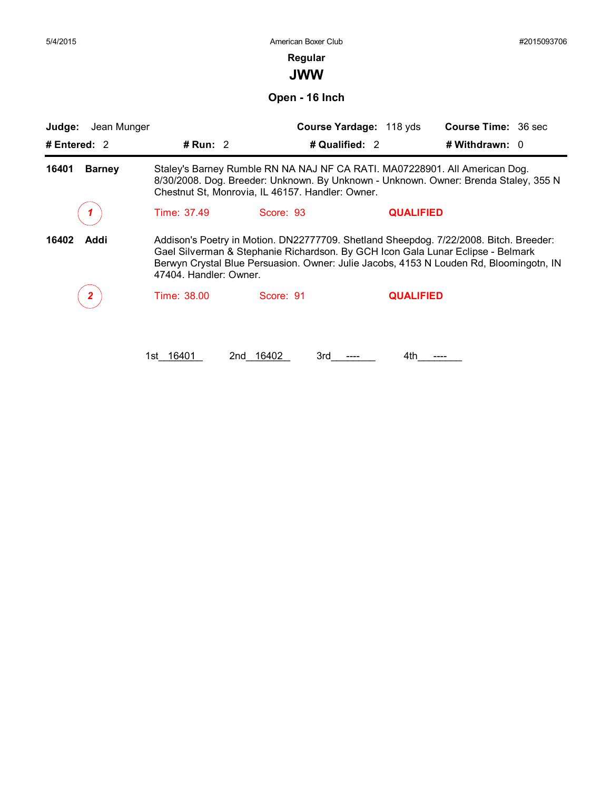**Regular**

**JWW**

**Open - 16 Inch**

| Judge:<br>Jean Munger  |                                                                                                                                                                                                                                                                                              | Course Yardage: 118 yds                                                                                                                                                                                               |                  | <b>Course Time: 36 sec</b> |
|------------------------|----------------------------------------------------------------------------------------------------------------------------------------------------------------------------------------------------------------------------------------------------------------------------------------------|-----------------------------------------------------------------------------------------------------------------------------------------------------------------------------------------------------------------------|------------------|----------------------------|
| # Entered: 2           | # Run: 2                                                                                                                                                                                                                                                                                     | # Qualified: 2                                                                                                                                                                                                        |                  | # Withdrawn: 0             |
| 16401<br><b>Barney</b> |                                                                                                                                                                                                                                                                                              | Staley's Barney Rumble RN NA NAJ NF CA RATI. MA07228901. All American Dog.<br>8/30/2008. Dog. Breeder: Unknown. By Unknown - Unknown. Owner: Brenda Staley, 355 N<br>Chestnut St, Monrovia, IL 46157. Handler: Owner. |                  |                            |
|                        | Time: 37.49                                                                                                                                                                                                                                                                                  | Score: 93                                                                                                                                                                                                             | <b>QUALIFIED</b> |                            |
| 16402<br>Addi          | Addison's Poetry in Motion. DN22777709. Shetland Sheepdog. 7/22/2008. Bitch. Breeder:<br>Gael Silverman & Stephanie Richardson. By GCH Icon Gala Lunar Eclipse - Belmark<br>Berwyn Crystal Blue Persuasion. Owner: Julie Jacobs, 4153 N Louden Rd, Bloomingotn, IN<br>47404. Handler: Owner. |                                                                                                                                                                                                                       |                  |                            |
|                        | Time: 38.00                                                                                                                                                                                                                                                                                  | Score: 91                                                                                                                                                                                                             | <b>QUALIFIED</b> |                            |

1st\_16401 2nd\_16402 3rd\_\_---\_\_ 4th\_\_---\_\_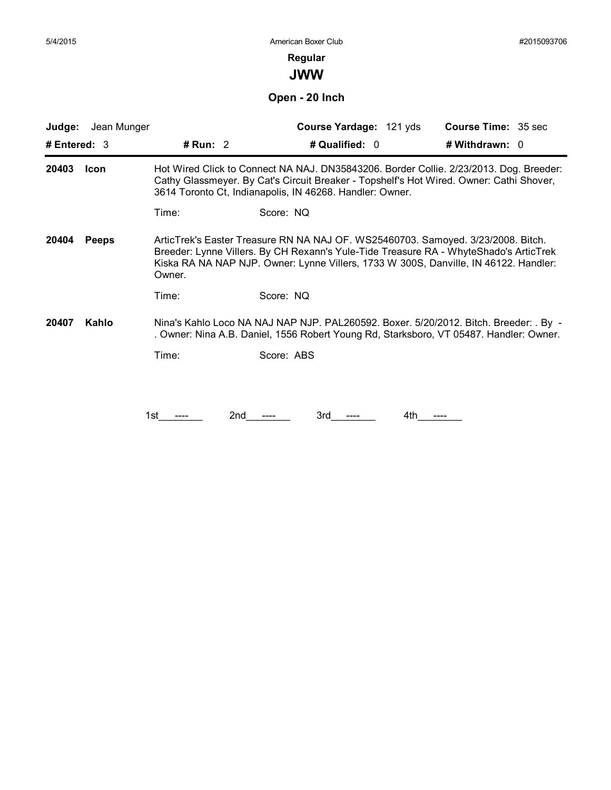**JWW**

**Open - 20 Inch**

| Jean Munger<br>Judge: |            | Course Yardage: 121 yds                                                                                                                                                                                                                                           | Course Time: 35 sec |
|-----------------------|------------|-------------------------------------------------------------------------------------------------------------------------------------------------------------------------------------------------------------------------------------------------------------------|---------------------|
| # Entered: $3$        | # Run: $2$ | # Qualified: 0                                                                                                                                                                                                                                                    | # Withdrawn: 0      |
| 20403<br><b>Icon</b>  |            | Hot Wired Click to Connect NA NAJ. DN35843206. Border Collie. 2/23/2013. Dog. Breeder:<br>Cathy Glassmeyer. By Cat's Circuit Breaker - Topshelf's Hot Wired. Owner: Cathi Shover,<br>3614 Toronto Ct, Indianapolis, IN 46268. Handler: Owner.                     |                     |
|                       | Time:      | Score: NQ                                                                                                                                                                                                                                                         |                     |
| <b>Peeps</b><br>20404 | Owner.     | ArticTrek's Easter Treasure RN NA NAJ OF. WS25460703. Samoyed. 3/23/2008. Bitch.<br>Breeder: Lynne Villers. By CH Rexann's Yule-Tide Treasure RA - WhyteShado's ArticTrek<br>Kiska RA NA NAP NJP. Owner: Lynne Villers, 1733 W 300S, Danville, IN 46122. Handler: |                     |
|                       | Time:      | Score: NQ                                                                                                                                                                                                                                                         |                     |
| Kahlo<br>20407        |            | Nina's Kahlo Loco NA NAJ NAP NJP. PAL260592. Boxer. 5/20/2012. Bitch. Breeder: . By -<br>. Owner: Nina A.B. Daniel, 1556 Robert Young Rd, Starksboro, VT 05487. Handler: Owner.                                                                                   |                     |
|                       | Time:      | Score: ABS                                                                                                                                                                                                                                                        |                     |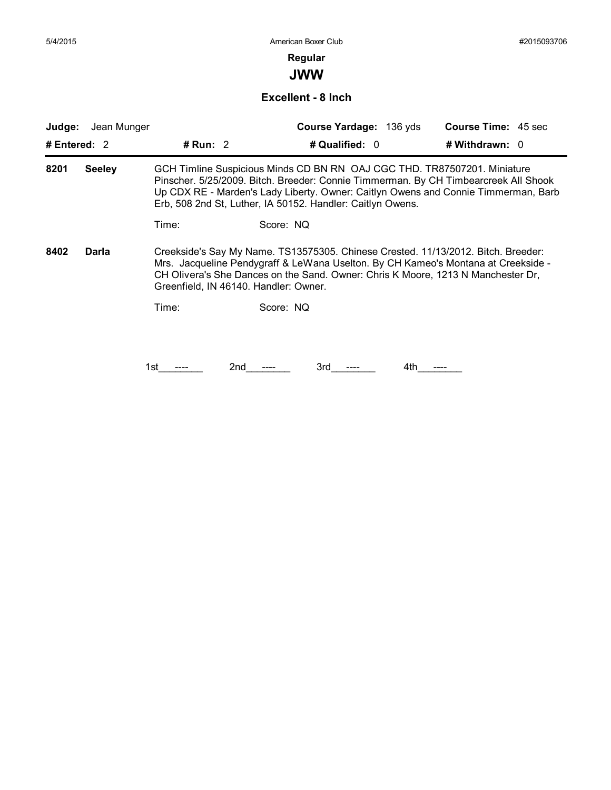**JWW**

#### **Excellent - 8 Inch**

| Judge:         | Jean Munger   |            |                                       | Course Yardage: 136 yds                                                                                                                                                                                                                                                                                             |     | <b>Course Time: 45 sec</b> |  |
|----------------|---------------|------------|---------------------------------------|---------------------------------------------------------------------------------------------------------------------------------------------------------------------------------------------------------------------------------------------------------------------------------------------------------------------|-----|----------------------------|--|
| # Entered: $2$ |               | # Run: $2$ |                                       | # Qualified: 0                                                                                                                                                                                                                                                                                                      |     | # Withdrawn: $0$           |  |
| 8201           | <b>Seeley</b> |            |                                       | GCH Timline Suspicious Minds CD BN RN OAJ CGC THD. TR87507201. Miniature<br>Pinscher. 5/25/2009. Bitch. Breeder: Connie Timmerman. By CH Timbearcreek All Shook<br>Up CDX RE - Marden's Lady Liberty. Owner: Caitlyn Owens and Connie Timmerman, Barb<br>Erb, 508 2nd St, Luther, IA 50152. Handler: Caitlyn Owens. |     |                            |  |
|                |               | Time:      | Score: NQ                             |                                                                                                                                                                                                                                                                                                                     |     |                            |  |
| 8402           | Darla         |            | Greenfield, IN 46140. Handler: Owner. | Creekside's Say My Name. TS13575305. Chinese Crested. 11/13/2012. Bitch. Breeder:<br>Mrs. Jacqueline Pendygraff & LeWana Uselton. By CH Kameo's Montana at Creekside -<br>CH Olivera's She Dances on the Sand. Owner: Chris K Moore, 1213 N Manchester Dr,                                                          |     |                            |  |
|                |               | Time:      | Score: NQ                             |                                                                                                                                                                                                                                                                                                                     |     |                            |  |
|                |               |            |                                       |                                                                                                                                                                                                                                                                                                                     |     |                            |  |
|                |               | 1st        | 2nd                                   | 3rd                                                                                                                                                                                                                                                                                                                 | 4th |                            |  |
|                |               |            |                                       |                                                                                                                                                                                                                                                                                                                     |     |                            |  |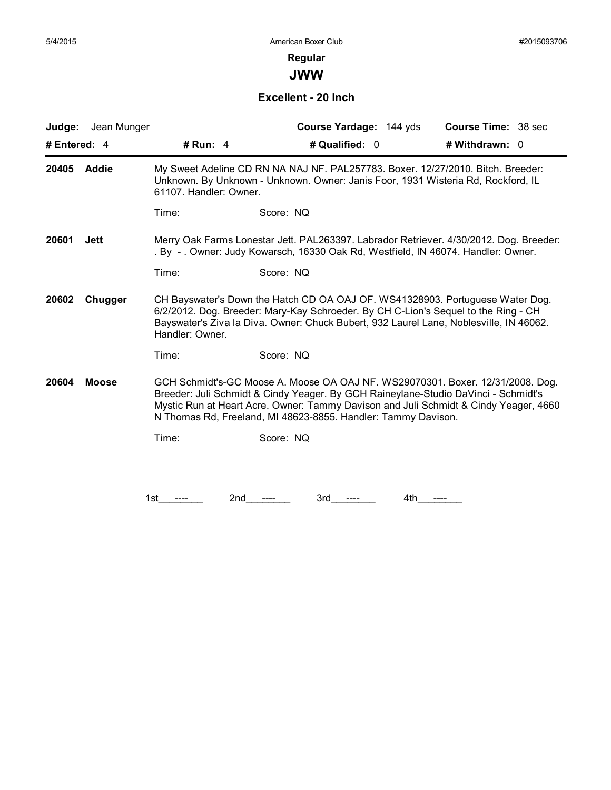**JWW**

#### **Excellent - 20 Inch**

| Jean Munger<br>Judge: |                        | Course Yardage: 144 yds                                                                                                                                                                                                                                                                                                       | <b>Course Time: 38 sec</b> |
|-----------------------|------------------------|-------------------------------------------------------------------------------------------------------------------------------------------------------------------------------------------------------------------------------------------------------------------------------------------------------------------------------|----------------------------|
| # Entered: $4$        | # Run: $4$             | # Qualified: 0                                                                                                                                                                                                                                                                                                                | # Withdrawn: 0             |
| Addie<br>20405        | 61107. Handler: Owner. | My Sweet Adeline CD RN NA NAJ NF. PAL257783. Boxer. 12/27/2010. Bitch. Breeder:<br>Unknown. By Unknown - Unknown. Owner: Janis Foor, 1931 Wisteria Rd, Rockford, IL                                                                                                                                                           |                            |
|                       | Time:                  | Score: NQ                                                                                                                                                                                                                                                                                                                     |                            |
| 20601<br><b>Jett</b>  |                        | Merry Oak Farms Lonestar Jett. PAL263397. Labrador Retriever. 4/30/2012. Dog. Breeder:<br>. By -. Owner: Judy Kowarsch, 16330 Oak Rd, Westfield, IN 46074. Handler: Owner.                                                                                                                                                    |                            |
|                       | Time:                  | Score: NQ                                                                                                                                                                                                                                                                                                                     |                            |
| 20602<br>Chugger      | Handler: Owner.        | CH Bayswater's Down the Hatch CD OA OAJ OF. WS41328903. Portuguese Water Dog.<br>6/2/2012. Dog. Breeder: Mary-Kay Schroeder. By CH C-Lion's Sequel to the Ring - CH<br>Bayswater's Ziva la Diva. Owner: Chuck Bubert, 932 Laurel Lane, Noblesville, IN 46062.                                                                 |                            |
|                       | Time:                  | Score: NQ                                                                                                                                                                                                                                                                                                                     |                            |
| 20604<br><b>Moose</b> |                        | GCH Schmidt's-GC Moose A. Moose OA OAJ NF. WS29070301. Boxer. 12/31/2008. Dog.<br>Breeder: Juli Schmidt & Cindy Yeager. By GCH Raineylane-Studio DaVinci - Schmidt's<br>Mystic Run at Heart Acre. Owner: Tammy Davison and Juli Schmidt & Cindy Yeager, 4660<br>N Thomas Rd, Freeland, MI 48623-8855. Handler: Tammy Davison. |                            |
|                       | Time:                  | Score: NQ                                                                                                                                                                                                                                                                                                                     |                            |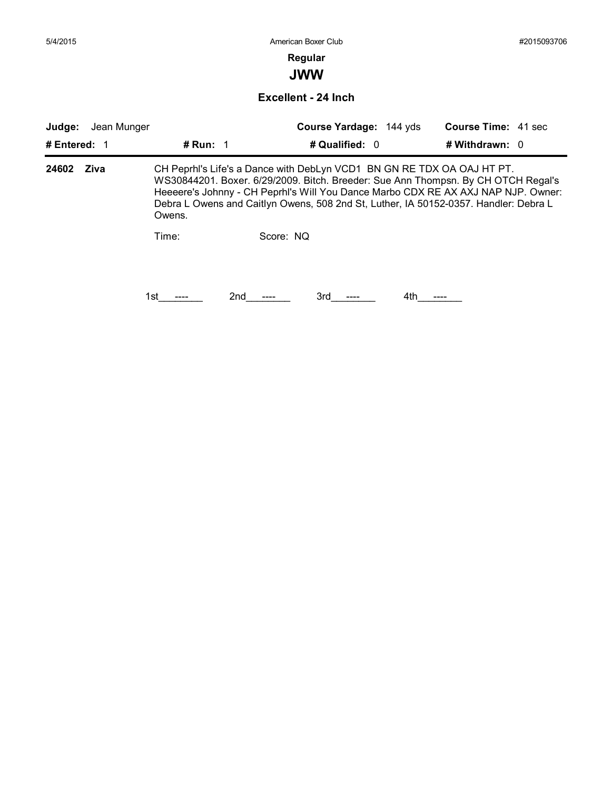### **Regular**

**JWW**

#### **Excellent - 24 Inch**

| Judge:       | Jean Munger |            |           | Course Yardage: 144 yds |     | <b>Course Time: 41 sec</b>                                             |                                                                                                                                                                                                                                                                |  |  |
|--------------|-------------|------------|-----------|-------------------------|-----|------------------------------------------------------------------------|----------------------------------------------------------------------------------------------------------------------------------------------------------------------------------------------------------------------------------------------------------------|--|--|
| # Entered: 1 |             | # Run: $1$ |           | # Qualified: 0          |     | # Withdrawn: $0$                                                       |                                                                                                                                                                                                                                                                |  |  |
| 24602        | Ziva        | Owens.     |           |                         |     | CH Peprhl's Life's a Dance with DebLyn VCD1 BN GN RE TDX OA OAJ HT PT. | WS30844201. Boxer. 6/29/2009. Bitch. Breeder: Sue Ann Thompsn. By CH OTCH Regal's<br>Heeeere's Johnny - CH Peprhl's Will You Dance Marbo CDX RE AX AXJ NAP NJP. Owner:<br>Debra L Owens and Caitlyn Owens, 508 2nd St, Luther, IA 50152-0357. Handler: Debra L |  |  |
|              |             | Time:      | Score: NO |                         |     |                                                                        |                                                                                                                                                                                                                                                                |  |  |
|              |             | 1st        | 2nd       | 3rd                     | 4th |                                                                        |                                                                                                                                                                                                                                                                |  |  |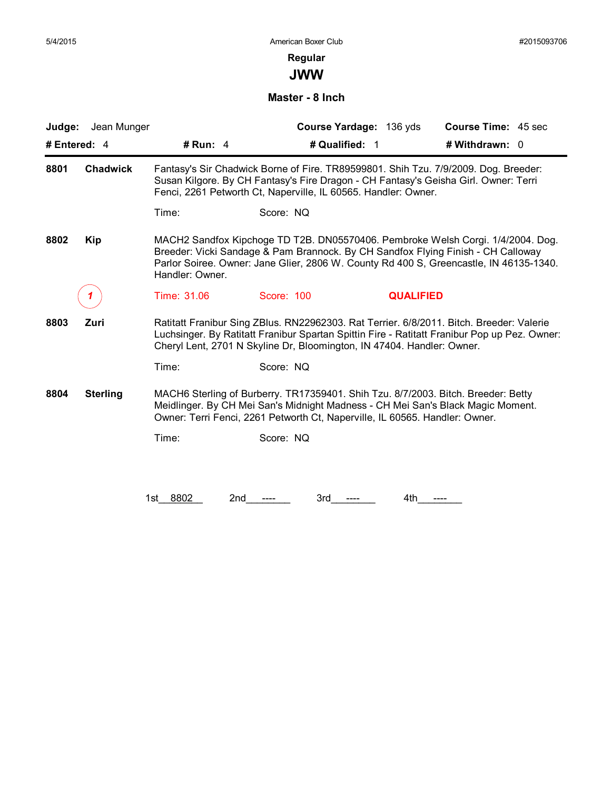**JWW**

**Master - 8 Inch**

| Judge:                  | Jean Munger     | Course Yardage: 136 yds                                                                                                                                                                                                                                            |                  | Course Time: 45 sec |  |  |  |
|-------------------------|-----------------|--------------------------------------------------------------------------------------------------------------------------------------------------------------------------------------------------------------------------------------------------------------------|------------------|---------------------|--|--|--|
| # Entered: 4            | # Run: $4$      | # Qualified: 1                                                                                                                                                                                                                                                     | # Withdrawn: 0   |                     |  |  |  |
| 8801<br><b>Chadwick</b> |                 | Fantasy's Sir Chadwick Borne of Fire. TR89599801. Shih Tzu. 7/9/2009. Dog. Breeder:<br>Susan Kilgore. By CH Fantasy's Fire Dragon - CH Fantasy's Geisha Girl. Owner: Terri<br>Fenci, 2261 Petworth Ct, Naperville, IL 60565. Handler: Owner.                       |                  |                     |  |  |  |
|                         | Time:           | Score: NQ                                                                                                                                                                                                                                                          |                  |                     |  |  |  |
| 8802<br><b>Kip</b>      | Handler: Owner. | MACH2 Sandfox Kipchoge TD T2B. DN05570406. Pembroke Welsh Corgi. 1/4/2004. Dog.<br>Breeder: Vicki Sandage & Pam Brannock. By CH Sandfox Flying Finish - CH Calloway<br>Parlor Soiree. Owner: Jane Glier, 2806 W. County Rd 400 S, Greencastle, IN 46135-1340.      |                  |                     |  |  |  |
|                         | Time: 31.06     | Score: 100                                                                                                                                                                                                                                                         | <b>QUALIFIED</b> |                     |  |  |  |
| 8803<br>Zuri            |                 | Ratitatt Franibur Sing ZBlus. RN22962303. Rat Terrier. 6/8/2011. Bitch. Breeder: Valerie<br>Luchsinger. By Ratitatt Franibur Spartan Spittin Fire - Ratitatt Franibur Pop up Pez. Owner:<br>Cheryl Lent, 2701 N Skyline Dr, Bloomington, IN 47404. Handler: Owner. |                  |                     |  |  |  |
|                         | Time:           | Score: NQ                                                                                                                                                                                                                                                          |                  |                     |  |  |  |
| 8804<br><b>Sterling</b> |                 | MACH6 Sterling of Burberry. TR17359401. Shih Tzu. 8/7/2003. Bitch. Breeder: Betty<br>Meidlinger. By CH Mei San's Midnight Madness - CH Mei San's Black Magic Moment.<br>Owner: Terri Fenci, 2261 Petworth Ct, Naperville, IL 60565. Handler: Owner.                |                  |                     |  |  |  |
|                         | Time:           | Score: NQ                                                                                                                                                                                                                                                          |                  |                     |  |  |  |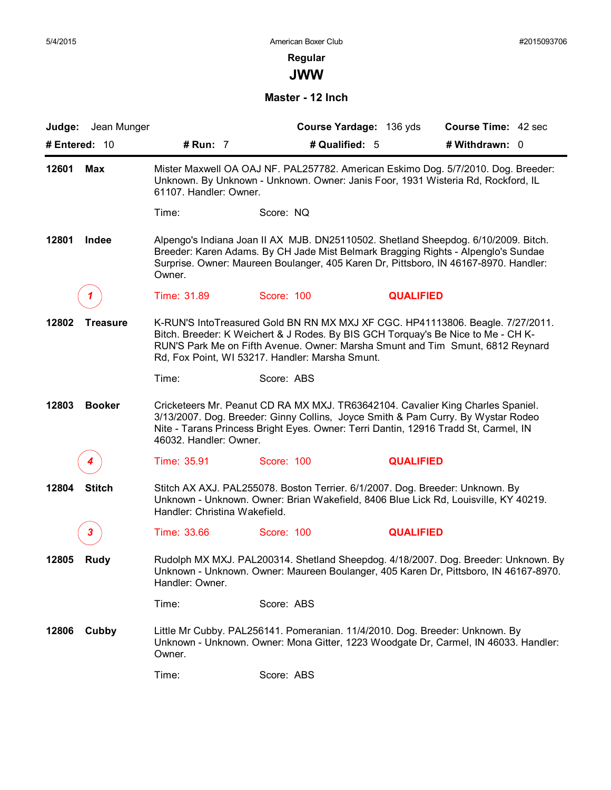### **Regular JWW**

#### **Master - 12 Inch**

| Judge: Jean Munger       |                               |                                                                               | Course Yardage: 136 yds | <b>Course Time: 42 sec</b>                                                                                                                                                                                                                                      |
|--------------------------|-------------------------------|-------------------------------------------------------------------------------|-------------------------|-----------------------------------------------------------------------------------------------------------------------------------------------------------------------------------------------------------------------------------------------------------------|
| # Entered: 10            | # Run: 7                      |                                                                               | # Qualified: 5          | # Withdrawn: 0                                                                                                                                                                                                                                                  |
| 12601<br><b>Max</b>      | 61107. Handler: Owner.        |                                                                               |                         | Mister Maxwell OA OAJ NF. PAL257782. American Eskimo Dog. 5/7/2010. Dog. Breeder:<br>Unknown. By Unknown - Unknown. Owner: Janis Foor, 1931 Wisteria Rd, Rockford, IL                                                                                           |
|                          | Time:                         | Score: NQ                                                                     |                         |                                                                                                                                                                                                                                                                 |
| 12801<br>Indee           | Owner.                        |                                                                               |                         | Alpengo's Indiana Joan II AX MJB. DN25110502. Shetland Sheepdog. 6/10/2009. Bitch.<br>Breeder: Karen Adams. By CH Jade Mist Belmark Bragging Rights - Alpenglo's Sundae<br>Surprise. Owner: Maureen Boulanger, 405 Karen Dr, Pittsboro, IN 46167-8970. Handler: |
|                          | Time: 31.89                   | Score: 100                                                                    | <b>QUALIFIED</b>        |                                                                                                                                                                                                                                                                 |
| 12802<br><b>Treasure</b> |                               | Rd, Fox Point, WI 53217. Handler: Marsha Smunt.                               |                         | K-RUN'S IntoTreasured Gold BN RN MX MXJ XF CGC. HP41113806. Beagle. 7/27/2011.<br>Bitch. Breeder: K Weichert & J Rodes. By BIS GCH Torquay's Be Nice to Me - CH K-<br>RUN'S Park Me on Fifth Avenue. Owner: Marsha Smunt and Tim Smunt, 6812 Reynard            |
|                          | Time:                         | Score: ABS                                                                    |                         |                                                                                                                                                                                                                                                                 |
| 12803<br><b>Booker</b>   | 46032. Handler: Owner.        |                                                                               |                         | Cricketeers Mr. Peanut CD RA MX MXJ. TR63642104. Cavalier King Charles Spaniel.<br>3/13/2007. Dog. Breeder: Ginny Collins, Joyce Smith & Pam Curry. By Wystar Rodeo<br>Nite - Tarans Princess Bright Eyes. Owner: Terri Dantin, 12916 Tradd St, Carmel, IN      |
|                          | Time: 35.91                   | Score: 100                                                                    | <b>QUALIFIED</b>        |                                                                                                                                                                                                                                                                 |
| <b>Stitch</b><br>12804   | Handler: Christina Wakefield. | Stitch AX AXJ. PAL255078. Boston Terrier. 6/1/2007. Dog. Breeder: Unknown. By |                         | Unknown - Unknown. Owner: Brian Wakefield, 8406 Blue Lick Rd, Louisville, KY 40219.                                                                                                                                                                             |
| 3.                       | Time: 33.66                   | Score: 100                                                                    | <b>QUALIFIED</b>        |                                                                                                                                                                                                                                                                 |
| 12805<br><b>Rudy</b>     | Handler: Owner.               |                                                                               |                         | Rudolph MX MXJ. PAL200314. Shetland Sheepdog. 4/18/2007. Dog. Breeder: Unknown. By<br>Unknown - Unknown. Owner: Maureen Boulanger, 405 Karen Dr, Pittsboro, IN 46167-8970.                                                                                      |
|                          | Time:                         | Score: ABS                                                                    |                         |                                                                                                                                                                                                                                                                 |
| Cubby<br>12806           | Owner.                        | Little Mr Cubby. PAL256141. Pomeranian. 11/4/2010. Dog. Breeder: Unknown. By  |                         | Unknown - Unknown. Owner: Mona Gitter, 1223 Woodgate Dr, Carmel, IN 46033. Handler:                                                                                                                                                                             |
|                          | Time:                         | Score: ABS                                                                    |                         |                                                                                                                                                                                                                                                                 |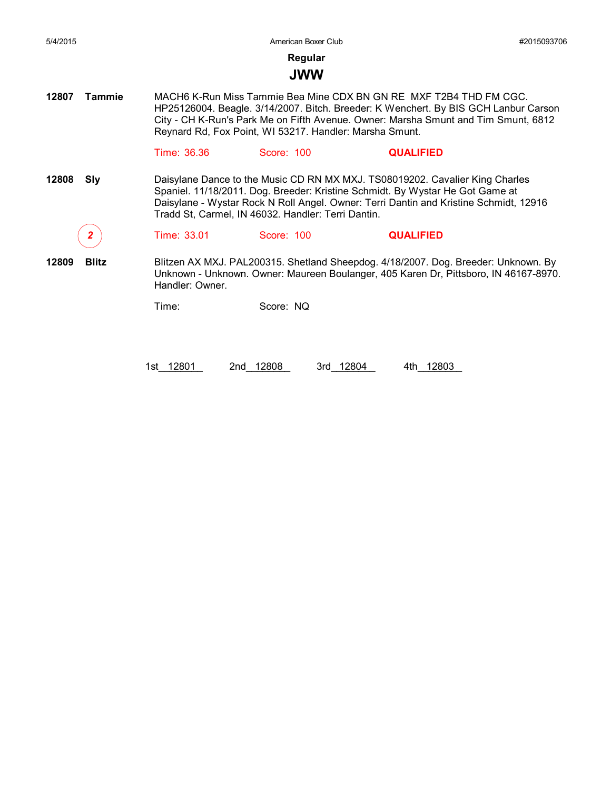### **JWW**

**12807 Tammie** MACH6 K-Run Miss Tammie Bea Mine CDX BN GN RE MXF T2B4 THD FM CGC. HP25126004. Beagle. 3/14/2007. Bitch. Breeder: K Wenchert. By BIS GCH Lanbur Carson City - CH K-Run's Park Me on Fifth Avenue. Owner: Marsha Smunt and Tim Smunt, 6812 Reynard Rd, Fox Point, WI 53217. Handler: Marsha Smunt.

#### Time: 36.36 Score: 100 **QUALIFIED**

**12808 Sly** Daisylane Dance to the Music CD RN MX MXJ. TS08019202. Cavalier King Charles Spaniel. 11/18/2011. Dog. Breeder: Kristine Schmidt. By Wystar He Got Game at Daisylane - Wystar Rock N Roll Angel. Owner: Terri Dantin and Kristine Schmidt, 12916 Tradd St, Carmel, IN 46032. Handler: Terri Dantin.

*2* Time: 33.01 Score: 100 **QUALIFIED**

**12809 Blitz** Blitzen AX MXJ. PAL200315. Shetland Sheepdog. 4/18/2007. Dog. Breeder: Unknown. By Unknown - Unknown. Owner: Maureen Boulanger, 405 Karen Dr, Pittsboro, IN 46167-8970. Handler: Owner.

Time: Score: NQ

1st\_12801 2nd\_12808 3rd\_12804 4th\_12803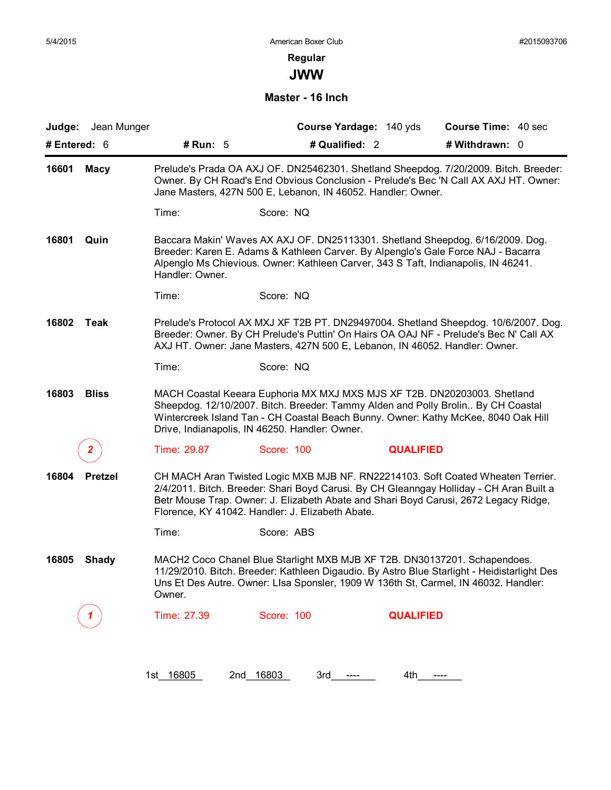**JWW**

#### **Master - 16 Inch**

| Judge: Jean Munger      |                 |                                                                                                                                                                         | Course Yardage: 140 yds | <b>Course Time: 40 sec</b>                                                                                                                                                                                                                                         |
|-------------------------|-----------------|-------------------------------------------------------------------------------------------------------------------------------------------------------------------------|-------------------------|--------------------------------------------------------------------------------------------------------------------------------------------------------------------------------------------------------------------------------------------------------------------|
| # Entered: $6$          | # Run: 5        | # Qualified: 2                                                                                                                                                          |                         | # Withdrawn: 0                                                                                                                                                                                                                                                     |
| 16601<br><b>Macy</b>    |                 | Jane Masters, 427N 500 E, Lebanon, IN 46052. Handler: Owner.                                                                                                            |                         | Prelude's Prada OA AXJ OF. DN25462301. Shetland Sheepdog. 7/20/2009. Bitch. Breeder:<br>Owner. By CH Road's End Obvious Conclusion - Prelude's Bec 'N Call AX AXJ HT. Owner:                                                                                       |
|                         | Time:           | Score: NQ                                                                                                                                                               |                         |                                                                                                                                                                                                                                                                    |
| 16801<br>Quin           | Handler: Owner. | Breeder: Karen E. Adams & Kathleen Carver. By Alpenglo's Gale Force NAJ - Bacarra<br>Alpenglo Ms Chievious. Owner: Kathleen Carver, 343 S Taft, Indianapolis, IN 46241. |                         | Baccara Makin' Waves AX AXJ OF. DN25113301. Shetland Sheepdog. 6/16/2009. Dog.                                                                                                                                                                                     |
|                         | Time:           | Score: NQ                                                                                                                                                               |                         |                                                                                                                                                                                                                                                                    |
| 16802<br>Teak           |                 | AXJ HT. Owner: Jane Masters, 427N 500 E, Lebanon, IN 46052. Handler: Owner.                                                                                             |                         | Prelude's Protocol AX MXJ XF T2B PT. DN29497004. Shetland Sheepdog. 10/6/2007. Dog.<br>Breeder: Owner. By CH Prelude's Puttin' On Hairs OA OAJ NF - Prelude's Bec N' Call AX                                                                                       |
|                         | Time:           | Score: NQ                                                                                                                                                               |                         |                                                                                                                                                                                                                                                                    |
| 16803<br><b>Bliss</b>   |                 | MACH Coastal Keeara Euphoria MX MXJ MXS MJS XF T2B. DN20203003. Shetland<br>Drive, Indianapolis, IN 46250. Handler: Owner.                                              |                         | Sheepdog. 12/10/2007. Bitch. Breeder: Tammy Alden and Polly Brolin By CH Coastal<br>Wintercreek Island Tan - CH Coastal Beach Bunny. Owner: Kathy McKee, 8040 Oak Hill                                                                                             |
|                         | Time: 29.87     | Score: 100                                                                                                                                                              | <b>QUALIFIED</b>        |                                                                                                                                                                                                                                                                    |
| 16804<br><b>Pretzel</b> |                 | Florence, KY 41042. Handler: J. Elizabeth Abate.                                                                                                                        |                         | CH MACH Aran Twisted Logic MXB MJB NF. RN22214103. Soft Coated Wheaten Terrier.<br>2/4/2011. Bitch. Breeder: Shari Boyd Carusi. By CH Gleanngay Holliday - CH Aran Built a<br>Betr Mouse Trap. Owner: J. Elizabeth Abate and Shari Boyd Carusi, 2672 Legacy Ridge, |
|                         | Time:           | Score: ABS                                                                                                                                                              |                         |                                                                                                                                                                                                                                                                    |
| 16805<br><b>Shady</b>   | Owner.          | MACH2 Coco Chanel Blue Starlight MXB MJB XF T2B. DN30137201. Schapendoes.                                                                                               |                         | 11/29/2010. Bitch. Breeder: Kathleen Digaudio. By Astro Blue Starlight - Heidistarlight Des<br>Uns Et Des Autre. Owner: Lisa Sponsier, 1909 W 136th St, Carmel, IN 46032. Handler:                                                                                 |
|                         | Time: 27.39     | Score: 100                                                                                                                                                              | <b>QUALIFIED</b>        |                                                                                                                                                                                                                                                                    |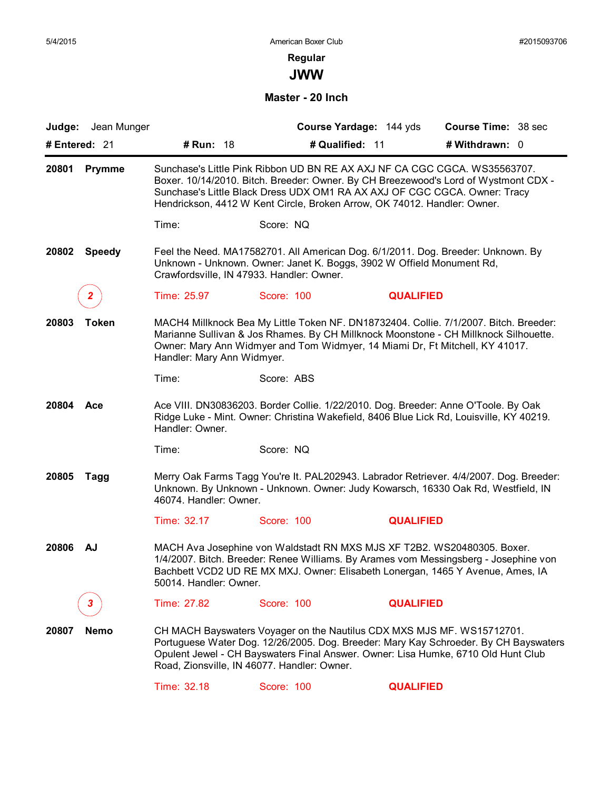**JWW**

#### **Master - 20 Inch**

| <b>Judge:</b> Jean Munger |                            |                                                                                                                                                                                                                                                                                                                           | Course Yardage: 144 yds | <b>Course Time: 38 sec</b> |  |
|---------------------------|----------------------------|---------------------------------------------------------------------------------------------------------------------------------------------------------------------------------------------------------------------------------------------------------------------------------------------------------------------------|-------------------------|----------------------------|--|
| # Entered: 21             | # Run: 18                  | # Qualified: 11                                                                                                                                                                                                                                                                                                           |                         | # Withdrawn: 0             |  |
| 20801<br><b>Prymme</b>    |                            | Sunchase's Little Pink Ribbon UD BN RE AX AXJ NF CA CGC CGCA. WS35563707.<br>Boxer. 10/14/2010. Bitch. Breeder: Owner. By CH Breezewood's Lord of Wystmont CDX -<br>Sunchase's Little Black Dress UDX OM1 RA AX AXJ OF CGC CGCA. Owner: Tracy<br>Hendrickson, 4412 W Kent Circle, Broken Arrow, OK 74012. Handler: Owner. |                         |                            |  |
|                           | Time:                      | Score: NQ                                                                                                                                                                                                                                                                                                                 |                         |                            |  |
| 20802<br><b>Speedy</b>    |                            | Feel the Need. MA17582701. All American Dog. 6/1/2011. Dog. Breeder: Unknown. By<br>Unknown - Unknown. Owner: Janet K. Boggs, 3902 W Offield Monument Rd,<br>Crawfordsville, IN 47933. Handler: Owner.                                                                                                                    |                         |                            |  |
| $\mathbf{2}^-$            | Time: 25.97                | Score: 100                                                                                                                                                                                                                                                                                                                | <b>QUALIFIED</b>        |                            |  |
| 20803<br><b>Token</b>     | Handler: Mary Ann Widmyer. | MACH4 Millknock Bea My Little Token NF. DN18732404. Collie. 7/1/2007. Bitch. Breeder:<br>Marianne Sullivan & Jos Rhames. By CH Millknock Moonstone - CH Millknock Silhouette.<br>Owner: Mary Ann Widmyer and Tom Widmyer, 14 Miami Dr, Ft Mitchell, KY 41017.                                                             |                         |                            |  |
|                           | Time:                      | Score: ABS                                                                                                                                                                                                                                                                                                                |                         |                            |  |
| 20804<br>Ace              | Handler: Owner.            | Ace VIII. DN30836203. Border Collie. 1/22/2010. Dog. Breeder: Anne O'Toole. By Oak<br>Ridge Luke - Mint. Owner: Christina Wakefield, 8406 Blue Lick Rd, Louisville, KY 40219.                                                                                                                                             |                         |                            |  |
|                           | Time:                      | Score: NQ                                                                                                                                                                                                                                                                                                                 |                         |                            |  |
| 20805<br><b>Tagg</b>      | 46074. Handler: Owner.     | Merry Oak Farms Tagg You're It. PAL202943. Labrador Retriever. 4/4/2007. Dog. Breeder:<br>Unknown. By Unknown - Unknown. Owner: Judy Kowarsch, 16330 Oak Rd, Westfield, IN                                                                                                                                                |                         |                            |  |
|                           | Time: 32.17                | Score: 100                                                                                                                                                                                                                                                                                                                | <b>QUALIFIED</b>        |                            |  |
| 20806<br>AJ               | 50014. Handler: Owner.     | MACH Ava Josephine von Waldstadt RN MXS MJS XF T2B2. WS20480305. Boxer.<br>1/4/2007. Bitch. Breeder: Renee Williams. By Arames vom Messingsberg - Josephine von<br>Bachbett VCD2 UD RE MX MXJ. Owner: Elisabeth Lonergan, 1465 Y Avenue, Ames, IA                                                                         |                         |                            |  |
| 3.                        | Time: 27.82                | Score: 100                                                                                                                                                                                                                                                                                                                | <b>QUALIFIED</b>        |                            |  |
| 20807<br><b>Nemo</b>      |                            | CH MACH Bayswaters Voyager on the Nautilus CDX MXS MJS MF. WS15712701.<br>Portuguese Water Dog. 12/26/2005. Dog. Breeder: Mary Kay Schroeder. By CH Bayswaters<br>Opulent Jewel - CH Bayswaters Final Answer. Owner: Lisa Humke, 6710 Old Hunt Club<br>Road, Zionsville, IN 46077. Handler: Owner.                        |                         |                            |  |
|                           | Time: 32.18                | Score: 100                                                                                                                                                                                                                                                                                                                | <b>QUALIFIED</b>        |                            |  |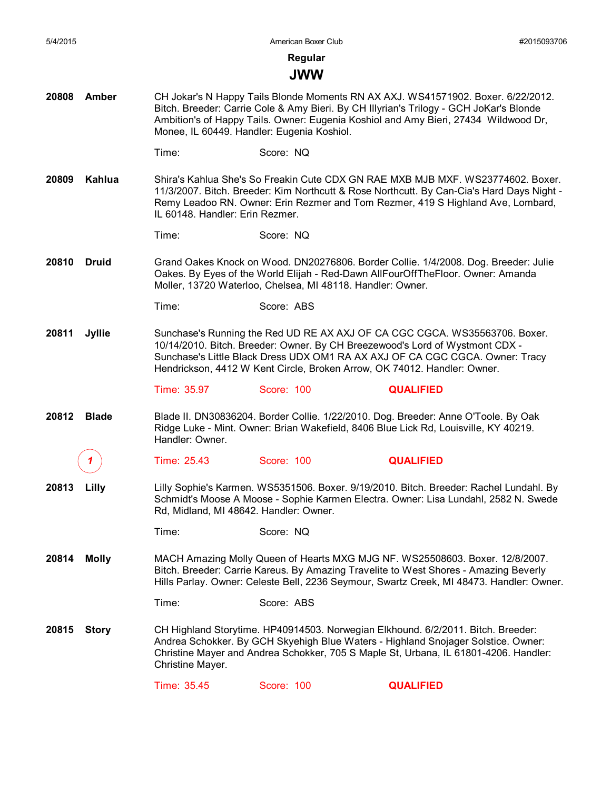#### **JWW**

- **20808 Amber** CH Jokar's N Happy Tails Blonde Moments RN AX AXJ. WS41571902. Boxer. 6/22/2012. Bitch. Breeder: Carrie Cole & Amy Bieri. By CH Illyrian's Trilogy - GCH JoKar's Blonde Ambition's of Happy Tails. Owner: Eugenia Koshiol and Amy Bieri, 27434 Wildwood Dr, Monee, IL 60449. Handler: Eugenia Koshiol.
	- Time: Score: NQ
- **20809 Kahlua** Shira's Kahlua She's So Freakin Cute CDX GN RAE MXB MJB MXF. WS23774602. Boxer. 11/3/2007. Bitch. Breeder: Kim Northcutt & Rose Northcutt. By Can-Cia's Hard Days Night - Remy Leadoo RN. Owner: Erin Rezmer and Tom Rezmer, 419 S Highland Ave, Lombard, IL 60148. Handler: Erin Rezmer.
	- Time: Score: NQ
- **20810 Druid** Grand Oakes Knock on Wood. DN20276806. Border Collie. 1/4/2008. Dog. Breeder: Julie Oakes. By Eyes of the World Elijah - Red-Dawn AllFourOffTheFloor. Owner: Amanda Moller, 13720 Waterloo, Chelsea, MI 48118. Handler: Owner.
	- Time: Score: ABS
- **20811 Jyllie** Sunchase's Running the Red UD RE AX AXJ OF CA CGC CGCA. WS35563706. Boxer. 10/14/2010. Bitch. Breeder: Owner. By CH Breezewood's Lord of Wystmont CDX - Sunchase's Little Black Dress UDX OM1 RA AX AXJ OF CA CGC CGCA. Owner: Tracy Hendrickson, 4412 W Kent Circle, Broken Arrow, OK 74012. Handler: Owner.

Time: 35.97 Score: 100 **QUALIFIED**

- **20812 Blade** Blade II. DN30836204. Border Collie. 1/22/2010. Dog. Breeder: Anne O'Toole. By Oak Ridge Luke - Mint. Owner: Brian Wakefield, 8406 Blue Lick Rd, Louisville, KY 40219. Handler: Owner.
	- *1* Time: 25.43 Score: 100 **QUALIFIED**
- **20813 Lilly** Lilly Sophie's Karmen. WS5351506. Boxer. 9/19/2010. Bitch. Breeder: Rachel Lundahl. By Schmidt's Moose A Moose - Sophie Karmen Electra. Owner: Lisa Lundahl, 2582 N. Swede Rd, Midland, MI 48642. Handler: Owner.
	- Time: Score: NQ
- **20814 Molly** MACH Amazing Molly Queen of Hearts MXG MJG NF. WS25508603. Boxer. 12/8/2007. Bitch. Breeder: Carrie Kareus. By Amazing Travelite to West Shores - Amazing Beverly Hills Parlay. Owner: Celeste Bell, 2236 Seymour, Swartz Creek, MI 48473. Handler: Owner.
	- Time: Score: ABS
- **20815 Story** CH Highland Storytime. HP40914503. Norwegian Elkhound. 6/2/2011. Bitch. Breeder: Andrea Schokker. By GCH Skyehigh Blue Waters - Highland Snojager Solstice. Owner: Christine Mayer and Andrea Schokker, 705 S Maple St, Urbana, IL 61801-4206. Handler: Christine Mayer.

Time: 35.45 Score: 100 **QUALIFIED**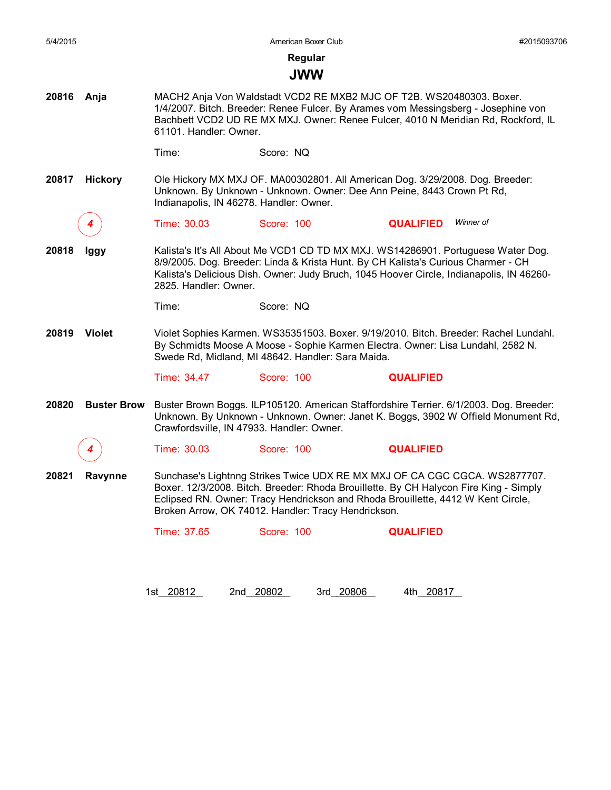| 5/4/2015               |                    |                                                                                                                                                                                                                                                                                                                | American Boxer Club                       | #2015093706                                                                                                                                                                                                                                     |  |  |
|------------------------|--------------------|----------------------------------------------------------------------------------------------------------------------------------------------------------------------------------------------------------------------------------------------------------------------------------------------------------------|-------------------------------------------|-------------------------------------------------------------------------------------------------------------------------------------------------------------------------------------------------------------------------------------------------|--|--|
|                        |                    |                                                                                                                                                                                                                                                                                                                | Regular                                   |                                                                                                                                                                                                                                                 |  |  |
|                        |                    |                                                                                                                                                                                                                                                                                                                | <b>JWW</b>                                |                                                                                                                                                                                                                                                 |  |  |
| 20816                  | Anja               | 61101. Handler: Owner.                                                                                                                                                                                                                                                                                         |                                           | MACH2 Anja Von Waldstadt VCD2 RE MXB2 MJC OF T2B. WS20480303. Boxer.<br>1/4/2007. Bitch. Breeder: Renee Fulcer. By Arames vom Messingsberg - Josephine von<br>Bachbett VCD2 UD RE MX MXJ. Owner: Renee Fulcer, 4010 N Meridian Rd, Rockford, IL |  |  |
|                        |                    | Time:                                                                                                                                                                                                                                                                                                          | Score: NQ                                 |                                                                                                                                                                                                                                                 |  |  |
| 20817                  | <b>Hickory</b>     |                                                                                                                                                                                                                                                                                                                | Indianapolis, IN 46278. Handler: Owner.   | Ole Hickory MX MXJ OF. MA00302801. All American Dog. 3/29/2008. Dog. Breeder:<br>Unknown. By Unknown - Unknown. Owner: Dee Ann Peine, 8443 Crown Pt Rd,                                                                                         |  |  |
|                        |                    | Time: 30.03                                                                                                                                                                                                                                                                                                    | Score: 100                                | Winner of<br><b>QUALIFIED</b>                                                                                                                                                                                                                   |  |  |
| 20818                  | lggy               | Kalista's It's All About Me VCD1 CD TD MX MXJ. WS14286901. Portuguese Water Dog.<br>8/9/2005. Dog. Breeder: Linda & Krista Hunt. By CH Kalista's Curious Charmer - CH<br>Kalista's Delicious Dish. Owner: Judy Bruch, 1045 Hoover Circle, Indianapolis, IN 46260-<br>2825. Handler: Owner.                     |                                           |                                                                                                                                                                                                                                                 |  |  |
|                        |                    | Time:                                                                                                                                                                                                                                                                                                          | Score: NQ                                 |                                                                                                                                                                                                                                                 |  |  |
| <b>Violet</b><br>20819 |                    | Violet Sophies Karmen. WS35351503. Boxer. 9/19/2010. Bitch. Breeder: Rachel Lundahl.<br>By Schmidts Moose A Moose - Sophie Karmen Electra. Owner: Lisa Lundahl, 2582 N.<br>Swede Rd, Midland, MI 48642. Handler: Sara Maida.                                                                                   |                                           |                                                                                                                                                                                                                                                 |  |  |
|                        |                    | Time: 34.47                                                                                                                                                                                                                                                                                                    | Score: 100                                | <b>QUALIFIED</b>                                                                                                                                                                                                                                |  |  |
| 20820                  | <b>Buster Brow</b> |                                                                                                                                                                                                                                                                                                                | Crawfordsville, IN 47933. Handler: Owner. | Buster Brown Boggs. ILP105120. American Staffordshire Terrier. 6/1/2003. Dog. Breeder:<br>Unknown. By Unknown - Unknown. Owner: Janet K. Boggs, 3902 W Offield Monument Rd,                                                                     |  |  |
|                        |                    | Time: 30.03                                                                                                                                                                                                                                                                                                    | Score: 100                                | <b>QUALIFIED</b>                                                                                                                                                                                                                                |  |  |
| 20821                  | Ravynne            | Sunchase's Lightnng Strikes Twice UDX RE MX MXJ OF CA CGC CGCA. WS2877707.<br>Boxer. 12/3/2008. Bitch. Breeder: Rhoda Brouillette. By CH Halycon Fire King - Simply<br>Eclipsed RN. Owner: Tracy Hendrickson and Rhoda Brouillette, 4412 W Kent Circle,<br>Broken Arrow, OK 74012. Handler: Tracy Hendrickson. |                                           |                                                                                                                                                                                                                                                 |  |  |
|                        |                    |                                                                                                                                                                                                                                                                                                                | Score: 100                                | <b>QUALIFIED</b>                                                                                                                                                                                                                                |  |  |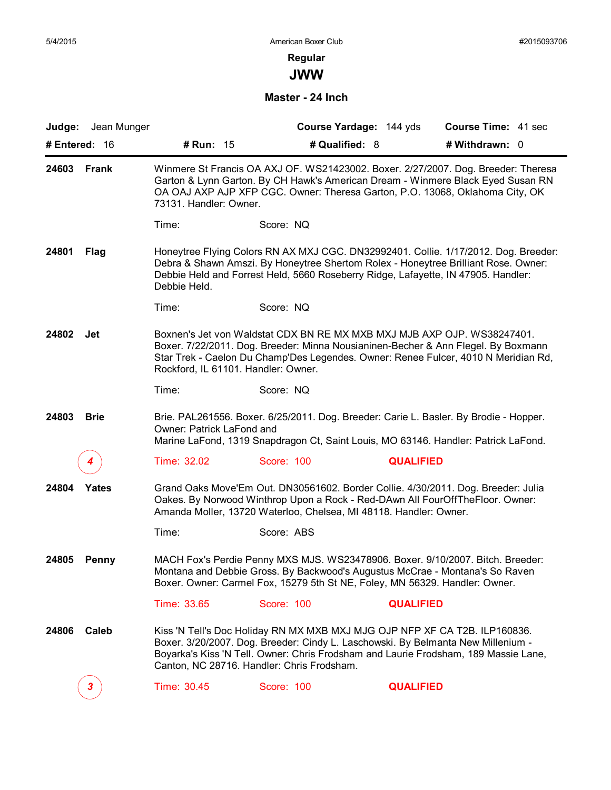**JWW**

#### **Master - 24 Inch**

|               | Judge: Jean Munger |                                     | Course Yardage: 144 yds                                                                                                                                                                                                                                                                             | Course Time: 41 sec |  |
|---------------|--------------------|-------------------------------------|-----------------------------------------------------------------------------------------------------------------------------------------------------------------------------------------------------------------------------------------------------------------------------------------------------|---------------------|--|
| # Entered: 16 |                    | # Run: 15                           | # Qualified: 8                                                                                                                                                                                                                                                                                      | # Withdrawn: 0      |  |
| 24603         | Frank              | 73131. Handler: Owner.              | Winmere St Francis OA AXJ OF. WS21423002. Boxer. 2/27/2007. Dog. Breeder: Theresa<br>Garton & Lynn Garton. By CH Hawk's American Dream - Winmere Black Eyed Susan RN<br>OA OAJ AXP AJP XFP CGC. Owner: Theresa Garton, P.O. 13068, Oklahoma City, OK                                                |                     |  |
|               |                    | Time:                               | Score: NQ                                                                                                                                                                                                                                                                                           |                     |  |
| 24801         | Flag               | Debbie Held.                        | Honeytree Flying Colors RN AX MXJ CGC. DN32992401. Collie. 1/17/2012. Dog. Breeder:<br>Debra & Shawn Amszi. By Honeytree Shertom Rolex - Honeytree Brilliant Rose. Owner:<br>Debbie Held and Forrest Held, 5660 Roseberry Ridge, Lafayette, IN 47905. Handler:                                      |                     |  |
|               |                    | Time:                               | Score: NQ                                                                                                                                                                                                                                                                                           |                     |  |
| 24802         | Jet                | Rockford, IL 61101. Handler: Owner. | Boxnen's Jet von Waldstat CDX BN RE MX MXB MXJ MJB AXP OJP. WS38247401.<br>Boxer. 7/22/2011. Dog. Breeder: Minna Nousianinen-Becher & Ann Flegel. By Boxmann<br>Star Trek - Caelon Du Champ'Des Legendes. Owner: Renee Fulcer, 4010 N Meridian Rd,                                                  |                     |  |
|               |                    | Time:                               | Score: NQ                                                                                                                                                                                                                                                                                           |                     |  |
| 24803         | <b>Brie</b>        | Owner: Patrick LaFond and           | Brie. PAL261556. Boxer. 6/25/2011. Dog. Breeder: Carie L. Basler. By Brodie - Hopper.<br>Marine LaFond, 1319 Snapdragon Ct, Saint Louis, MO 63146. Handler: Patrick LaFond.                                                                                                                         |                     |  |
|               |                    | Time: 32.02                         | Score: 100                                                                                                                                                                                                                                                                                          | <b>QUALIFIED</b>    |  |
| 24804         | Yates              |                                     | Grand Oaks Move'Em Out. DN30561602. Border Collie. 4/30/2011. Dog. Breeder: Julia<br>Oakes. By Norwood Winthrop Upon a Rock - Red-DAwn All FourOffTheFloor. Owner:<br>Amanda Moller, 13720 Waterloo, Chelsea, MI 48118. Handler: Owner.                                                             |                     |  |
|               |                    | Time:                               | Score: ABS                                                                                                                                                                                                                                                                                          |                     |  |
| 24805         | <b>Penny</b>       |                                     | MACH Fox's Perdie Penny MXS MJS. WS23478906. Boxer. 9/10/2007. Bitch. Breeder:<br>Montana and Debbie Gross. By Backwood's Augustus McCrae - Montana's So Raven<br>Boxer. Owner: Carmel Fox, 15279 5th St NE, Foley, MN 56329. Handler: Owner.                                                       |                     |  |
|               |                    | Time: 33.65                         | Score: 100                                                                                                                                                                                                                                                                                          | <b>QUALIFIED</b>    |  |
| 24806         | Caleb              |                                     | Kiss 'N Tell's Doc Holiday RN MX MXB MXJ MJG OJP NFP XF CA T2B. ILP160836.<br>Boxer. 3/20/2007. Dog. Breeder: Cindy L. Laschowski. By Belmanta New Millenium -<br>Boyarka's Kiss 'N Tell. Owner: Chris Frodsham and Laurie Frodsham, 189 Massie Lane,<br>Canton, NC 28716. Handler: Chris Frodsham. |                     |  |
|               | $\mathbf{3}$       | Time: 30.45                         | Score: 100                                                                                                                                                                                                                                                                                          | <b>QUALIFIED</b>    |  |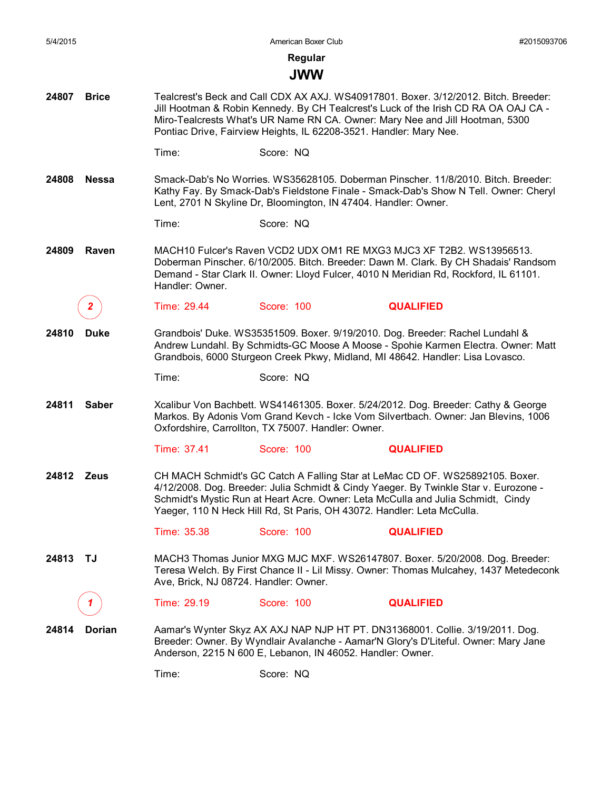**Regular**

### **JWW**

- **24807 Brice** Tealcrest's Beck and Call CDX AX AXJ. WS40917801. Boxer. 3/12/2012. Bitch. Breeder: Jill Hootman & Robin Kennedy. By CH Tealcrest's Luck of the Irish CD RA OA OAJ CA - Miro-Tealcrests What's UR Name RN CA. Owner: Mary Nee and Jill Hootman, 5300 Pontiac Drive, Fairview Heights, IL 62208-3521. Handler: Mary Nee.
	- Time: Score: NQ
- **24808 Nessa** Smack-Dab's No Worries. WS35628105. Doberman Pinscher. 11/8/2010. Bitch. Breeder: Kathy Fay. By Smack-Dab's Fieldstone Finale - Smack-Dab's Show N Tell. Owner: Cheryl Lent, 2701 N Skyline Dr, Bloomington, IN 47404. Handler: Owner.
	- Time: Score: NQ
- **24809 Raven** MACH10 Fulcer's Raven VCD2 UDX OM1 RE MXG3 MJC3 XF T2B2. WS13956513. Doberman Pinscher. 6/10/2005. Bitch. Breeder: Dawn M. Clark. By CH Shadais' Randsom Demand - Star Clark II. Owner: Lloyd Fulcer, 4010 N Meridian Rd, Rockford, IL 61101. Handler: Owner.
	- *2* Time: 29.44 Score: 100 **QUALIFIED**
- **24810 Duke** Grandbois' Duke. WS35351509. Boxer. 9/19/2010. Dog. Breeder: Rachel Lundahl & Andrew Lundahl. By Schmidts-GC Moose A Moose - Spohie Karmen Electra. Owner: Matt Grandbois, 6000 Sturgeon Creek Pkwy, Midland, MI 48642. Handler: Lisa Lovasco.

Time: Score: NQ

**24811 Saber** Xcalibur Von Bachbett. WS41461305. Boxer. 5/24/2012. Dog. Breeder: Cathy & George Markos. By Adonis Vom Grand Kevch - Icke Vom Silvertbach. Owner: Jan Blevins, 1006 Oxfordshire, Carrollton, TX 75007. Handler: Owner.

Time: 37.41 Score: 100 **QUALIFIED**

**24812 Zeus** CH MACH Schmidt's GC Catch A Falling Star at LeMac CD OF. WS25892105. Boxer. 4/12/2008. Dog. Breeder: Julia Schmidt & Cindy Yaeger. By Twinkle Star v. Eurozone - Schmidt's Mystic Run at Heart Acre. Owner: Leta McCulla and Julia Schmidt, Cindy Yaeger, 110 N Heck Hill Rd, St Paris, OH 43072. Handler: Leta McCulla.

Time: 35.38 Score: 100 **QUALIFIED**

- **24813 TJ** MACH3 Thomas Junior MXG MJC MXF. WS26147807. Boxer. 5/20/2008. Dog. Breeder: Teresa Welch. By First Chance II - Lil Missy. Owner: Thomas Mulcahey, 1437 Metedeconk Ave, Brick, NJ 08724. Handler: Owner.
	- *1* Time: 29.19 Score: 100 **QUALIFIED**
- **24814 Dorian** Aamar's Wynter Skyz AX AXJ NAP NJP HT PT. DN31368001. Collie. 3/19/2011. Dog. Breeder: Owner. By Wyndlair Avalanche - Aamar'N Glory's D'Liteful. Owner: Mary Jane Anderson, 2215 N 600 E, Lebanon, IN 46052. Handler: Owner.

Time: Score: NQ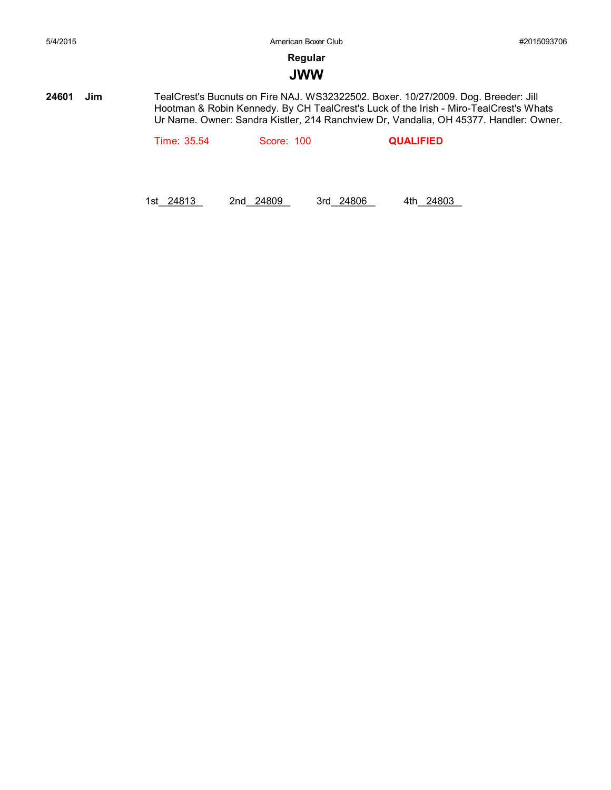#### **JWW**

**24601 Jim** TealCrest's Bucnuts on Fire NAJ. WS32322502. Boxer. 10/27/2009. Dog. Breeder: Jill Hootman & Robin Kennedy. By CH TealCrest's Luck of the Irish - Miro-TealCrest's Whats Ur Name. Owner: Sandra Kistler, 214 Ranchview Dr, Vandalia, OH 45377. Handler: Owner.

Time: 35.54 Score: 100 **QUALIFIED**

1st\_\_\_\_\_\_\_\_ 24813 2nd\_\_\_\_\_\_\_\_ 24809 3rd\_\_\_\_\_\_\_\_ 24806 4th\_\_\_\_\_\_\_\_ 24803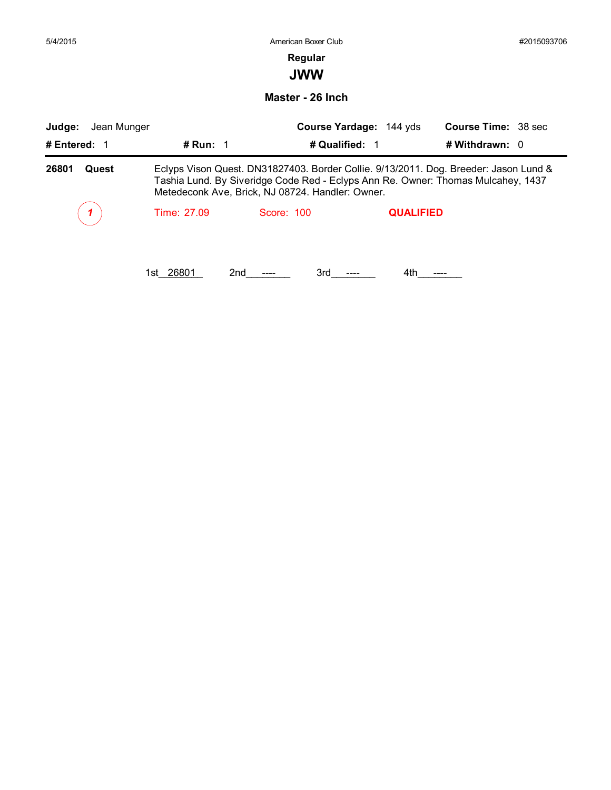|             |                  | #2015093706         |                                                                                               |                                                                                                                                                                                                                                              |  |
|-------------|------------------|---------------------|-----------------------------------------------------------------------------------------------|----------------------------------------------------------------------------------------------------------------------------------------------------------------------------------------------------------------------------------------------|--|
|             | Regular          |                     |                                                                                               |                                                                                                                                                                                                                                              |  |
|             | <b>JWW</b>       |                     |                                                                                               |                                                                                                                                                                                                                                              |  |
|             | Master - 26 Inch |                     |                                                                                               |                                                                                                                                                                                                                                              |  |
| Jean Munger |                  |                     |                                                                                               |                                                                                                                                                                                                                                              |  |
| # Run: $1$  |                  |                     |                                                                                               |                                                                                                                                                                                                                                              |  |
|             |                  |                     |                                                                                               |                                                                                                                                                                                                                                              |  |
| Time: 27.09 | Score: 100       |                     |                                                                                               |                                                                                                                                                                                                                                              |  |
|             |                  |                     |                                                                                               |                                                                                                                                                                                                                                              |  |
|             |                  | American Boxer Club | Course Yardage: 144 yds<br># Qualified: 1<br>Metedeconk Ave, Brick, NJ 08724. Handler: Owner. | <b>Course Time: 38 sec</b><br># Withdrawn: 0<br>Eclyps Vison Quest. DN31827403. Border Collie. 9/13/2011. Dog. Breeder: Jason Lund &<br>Tashia Lund. By Siveridge Code Red - Eclyps Ann Re. Owner: Thomas Mulcahey, 1437<br><b>QUALIFIED</b> |  |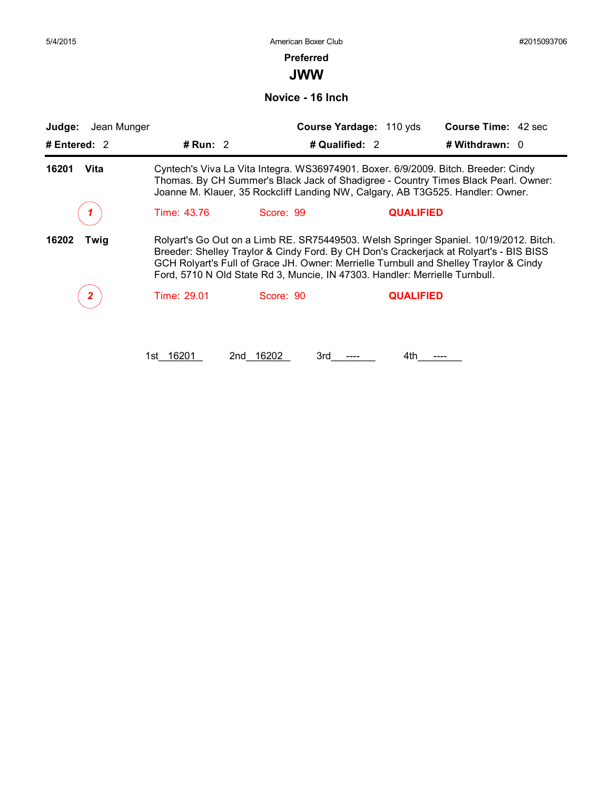#### **Preferred**

**JWW**

**Novice - 16 Inch**

| Judge:        | Jean Munger | Course Yardage: 110 yds                                                        | <b>Course Time: 42 sec</b>                                                                                                                                                                                                                                               |
|---------------|-------------|--------------------------------------------------------------------------------|--------------------------------------------------------------------------------------------------------------------------------------------------------------------------------------------------------------------------------------------------------------------------|
| # Entered: 2  | # Run: $2$  | # Qualified: 2                                                                 | # Withdrawn: $0$                                                                                                                                                                                                                                                         |
| 16201<br>Vita |             | Joanne M. Klauer, 35 Rockcliff Landing NW, Calgary, AB T3G525. Handler: Owner. | Cyntech's Viva La Vita Integra. WS36974901. Boxer. 6/9/2009. Bitch. Breeder: Cindy<br>Thomas. By CH Summer's Black Jack of Shadigree - Country Times Black Pearl. Owner:                                                                                                 |
|               | Time: 43.76 | Score: 99                                                                      | <b>QUALIFIED</b>                                                                                                                                                                                                                                                         |
| 16202<br>Twig |             | Ford, 5710 N Old State Rd 3, Muncie, IN 47303. Handler: Merrielle Turnbull.    | Rolyart's Go Out on a Limb RE. SR75449503. Welsh Springer Spaniel. 10/19/2012. Bitch.<br>Breeder: Shelley Traylor & Cindy Ford. By CH Don's Crackerjack at Rolyart's - BIS BISS<br>GCH Rolyart's Full of Grace JH. Owner: Merrielle Turnbull and Shelley Traylor & Cindy |
|               | Time: 29.01 | Score: 90                                                                      | <b>QUALIFIED</b>                                                                                                                                                                                                                                                         |

1st\_16201 2nd\_16202 3rd\_\_---\_\_ 4th\_\_---\_\_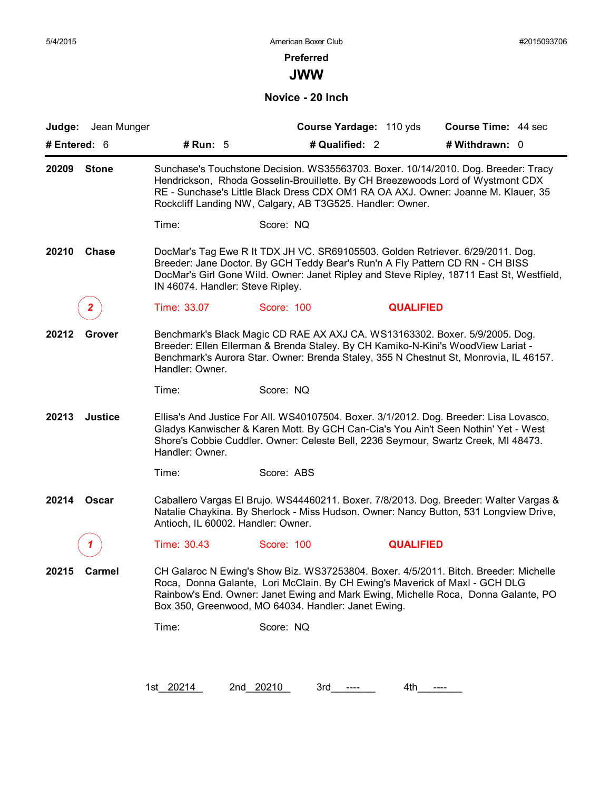#### **Preferred**

**JWW**

**Novice - 20 Inch**

|                | Judge: Jean Munger |                                    |                                                                                                                                                                                                                                                                                                                         | Course Yardage: 110 yds | Course Time: 44 sec |  |
|----------------|--------------------|------------------------------------|-------------------------------------------------------------------------------------------------------------------------------------------------------------------------------------------------------------------------------------------------------------------------------------------------------------------------|-------------------------|---------------------|--|
| # Entered: $6$ |                    | # Run: 5                           |                                                                                                                                                                                                                                                                                                                         | # Qualified: 2          | # Withdrawn: 0      |  |
| 20209          | <b>Stone</b>       |                                    | Sunchase's Touchstone Decision. WS35563703. Boxer. 10/14/2010. Dog. Breeder: Tracy<br>Hendrickson, Rhoda Gosselin-Brouillette. By CH Breezewoods Lord of Wystmont CDX<br>RE - Sunchase's Little Black Dress CDX OM1 RA OA AXJ. Owner: Joanne M. Klauer, 35<br>Rockcliff Landing NW, Calgary, AB T3G525. Handler: Owner. |                         |                     |  |
|                |                    | Time:                              | Score: NQ                                                                                                                                                                                                                                                                                                               |                         |                     |  |
| 20210          | <b>Chase</b>       | IN 46074. Handler: Steve Ripley.   | DocMar's Tag Ewe R It TDX JH VC. SR69105503. Golden Retriever. 6/29/2011. Dog.<br>Breeder: Jane Doctor. By GCH Teddy Bear's Run'n A Fly Pattern CD RN - CH BISS<br>DocMar's Girl Gone Wild. Owner: Janet Ripley and Steve Ripley, 18711 East St, Westfield,                                                             |                         |                     |  |
|                |                    | Time: 33.07                        | Score: 100                                                                                                                                                                                                                                                                                                              | <b>QUALIFIED</b>        |                     |  |
| 20212          | Grover             | Handler: Owner.                    | Benchmark's Black Magic CD RAE AX AXJ CA. WS13163302. Boxer. 5/9/2005. Dog.<br>Breeder: Ellen Ellerman & Brenda Staley. By CH Kamiko-N-Kini's WoodView Lariat -<br>Benchmark's Aurora Star. Owner: Brenda Staley, 355 N Chestnut St, Monrovia, IL 46157.                                                                |                         |                     |  |
|                |                    | Time:                              | Score: NQ                                                                                                                                                                                                                                                                                                               |                         |                     |  |
| 20213          | <b>Justice</b>     | Handler: Owner.                    | Ellisa's And Justice For All. WS40107504. Boxer. 3/1/2012. Dog. Breeder: Lisa Lovasco,<br>Gladys Kanwischer & Karen Mott. By GCH Can-Cia's You Ain't Seen Nothin' Yet - West<br>Shore's Cobbie Cuddler. Owner: Celeste Bell, 2236 Seymour, Swartz Creek, MI 48473.                                                      |                         |                     |  |
|                |                    | Time:                              | Score: ABS                                                                                                                                                                                                                                                                                                              |                         |                     |  |
| 20214          | Oscar              | Antioch, IL 60002. Handler: Owner. | Caballero Vargas El Brujo. WS44460211. Boxer. 7/8/2013. Dog. Breeder: Walter Vargas &<br>Natalie Chaykina. By Sherlock - Miss Hudson. Owner: Nancy Button, 531 Longview Drive,                                                                                                                                          |                         |                     |  |
|                |                    | Time: 30.43                        | Score: 100                                                                                                                                                                                                                                                                                                              | <b>QUALIFIED</b>        |                     |  |
| 20215          | <b>Carmel</b>      |                                    | CH Galaroc N Ewing's Show Biz. WS37253804. Boxer. 4/5/2011. Bitch. Breeder: Michelle<br>Roca, Donna Galante, Lori McClain. By CH Ewing's Maverick of Maxl - GCH DLG<br>Rainbow's End. Owner: Janet Ewing and Mark Ewing, Michelle Roca, Donna Galante, PO<br>Box 350, Greenwood, MO 64034. Handler: Janet Ewing.        |                         |                     |  |
|                |                    |                                    | Score: NQ                                                                                                                                                                                                                                                                                                               |                         |                     |  |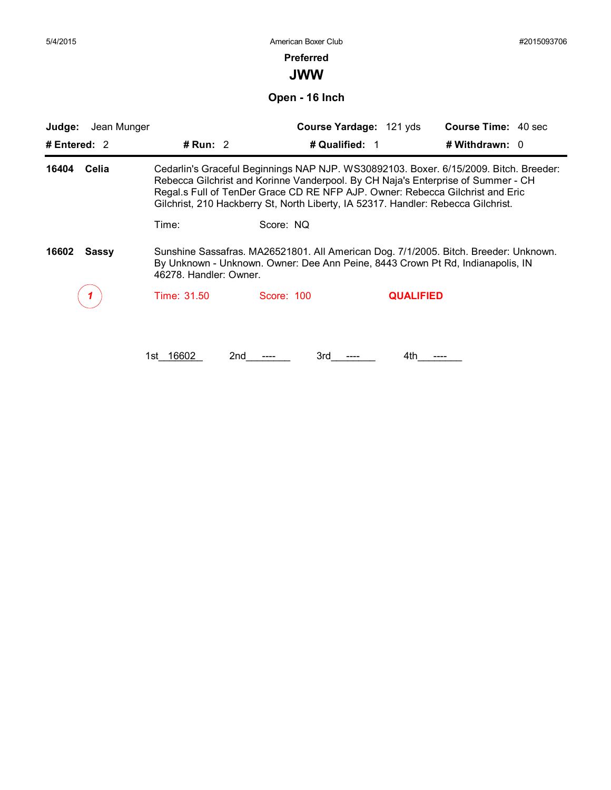| 5/4/2015 |
|----------|
|----------|

#### **Preferred**

**JWW**

**Open - 16 Inch**

| # Entered: $2$<br>16404<br>Celia | # Run: $2$             | # Qualified: 1                                                                                                                                                     |                  | # Withdrawn: $0$<br>Cedarlin's Graceful Beginnings NAP NJP. WS30892103. Boxer. 6/15/2009. Bitch. Breeder: |
|----------------------------------|------------------------|--------------------------------------------------------------------------------------------------------------------------------------------------------------------|------------------|-----------------------------------------------------------------------------------------------------------|
|                                  |                        |                                                                                                                                                                    |                  |                                                                                                           |
|                                  |                        | Regal.s Full of TenDer Grace CD RE NFP AJP. Owner: Rebecca Gilchrist and Eric<br>Gilchrist, 210 Hackberry St, North Liberty, IA 52317. Handler: Rebecca Gilchrist. |                  | Rebecca Gilchrist and Korinne Vanderpool. By CH Naja's Enterprise of Summer - CH                          |
|                                  | Time:                  | Score: NQ                                                                                                                                                          |                  |                                                                                                           |
| 16602<br><b>Sassy</b>            | 46278. Handler: Owner. | By Unknown - Unknown. Owner: Dee Ann Peine, 8443 Crown Pt Rd, Indianapolis, IN                                                                                     |                  | Sunshine Sassafras. MA26521801. All American Dog. 7/1/2005. Bitch. Breeder: Unknown.                      |
|                                  | Time: 31.50            | Score: 100                                                                                                                                                         | <b>QUALIFIED</b> |                                                                                                           |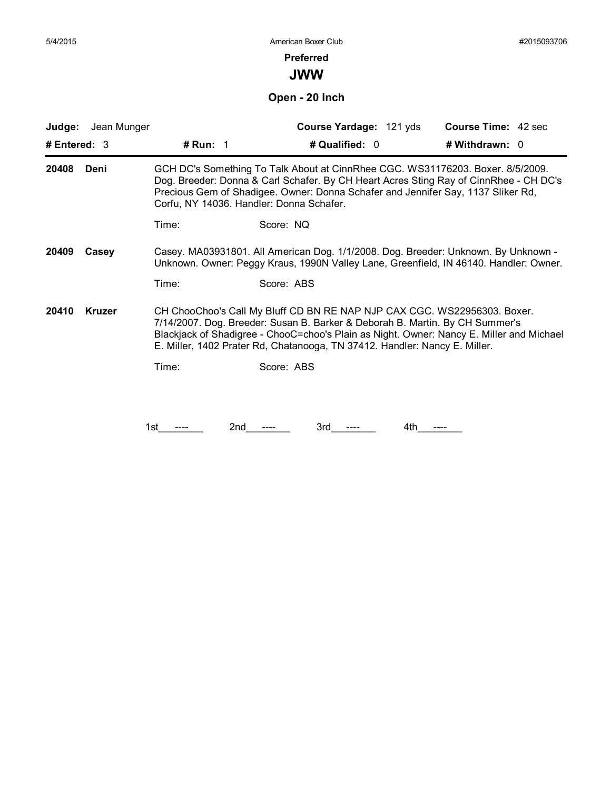#### **Preferred**

**JWW**

**Open - 20 Inch**

| Jean Munger<br>Judge:  |          | Course Yardage: 121 yds                                                                                                                                                                                                                                                                                                            | <b>Course Time: 42 sec</b> |
|------------------------|----------|------------------------------------------------------------------------------------------------------------------------------------------------------------------------------------------------------------------------------------------------------------------------------------------------------------------------------------|----------------------------|
| # Entered: 3           | # Run: 1 | # Qualified: 0                                                                                                                                                                                                                                                                                                                     | # Withdrawn: 0             |
| 20408<br>Deni          |          | GCH DC's Something To Talk About at CinnRhee CGC. WS31176203. Boxer. 8/5/2009.<br>Dog. Breeder: Donna & Carl Schafer. By CH Heart Acres Sting Ray of CinnRhee - CH DC's<br>Precious Gem of Shadigee. Owner: Donna Schafer and Jennifer Say, 1137 Sliker Rd,<br>Corfu, NY 14036. Handler: Donna Schafer.                            |                            |
|                        | Time:    | Score: NQ                                                                                                                                                                                                                                                                                                                          |                            |
| 20409<br>Casey         |          | Casey. MA03931801. All American Dog. 1/1/2008. Dog. Breeder: Unknown. By Unknown -<br>Unknown. Owner: Peggy Kraus, 1990N Valley Lane, Greenfield, IN 46140. Handler: Owner.                                                                                                                                                        |                            |
|                        | Time:    | Score: ABS                                                                                                                                                                                                                                                                                                                         |                            |
| <b>Kruzer</b><br>20410 |          | CH ChooChoo's Call My Bluff CD BN RE NAP NJP CAX CGC. WS22956303. Boxer.<br>7/14/2007. Dog. Breeder: Susan B. Barker & Deborah B. Martin. By CH Summer's<br>Blackjack of Shadigree - ChooC=choo's Plain as Night. Owner: Nancy E. Miller and Michael<br>E. Miller, 1402 Prater Rd, Chatanooga, TN 37412. Handler: Nancy E. Miller. |                            |
|                        | Time:    | Score: ABS                                                                                                                                                                                                                                                                                                                         |                            |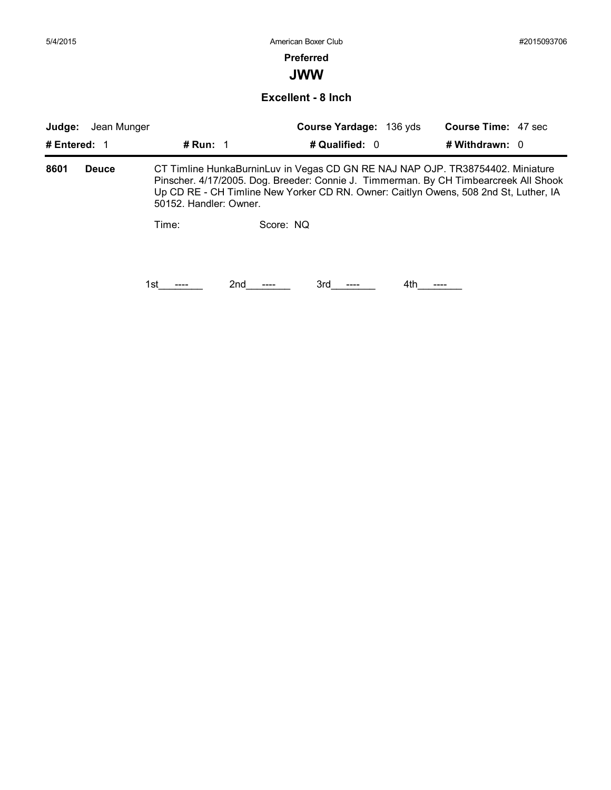5/4/2015 American Boxer Club #2015093706 **Preferred JWW Judge:** Jean Munger **Course Yardage:** 136 yds **Course Time:** 47 sec **# Entered:** 1 **# Run:** 1 **# Qualified:** 0 **# Withdrawn:** 0 **Excellent - 8 Inch 8601 Deuce** CT Timline HunkaBurninLuv in Vegas CD GN RE NAJ NAP OJP. TR38754402. Miniature Time: Score: NQ Pinscher. 4/17/2005. Dog. Breeder: Connie J. Timmerman. By CH Timbearcreek All Shook Up CD RE - CH Timline New Yorker CD RN. Owner: Caitlyn Owens, 508 2nd St, Luther, IA 50152. Handler: Owner. 1st\_\_\_\_\_\_\_\_ 2nd\_\_\_\_\_\_ 3rd\_\_\_\_\_ 4th\_\_\_\_\_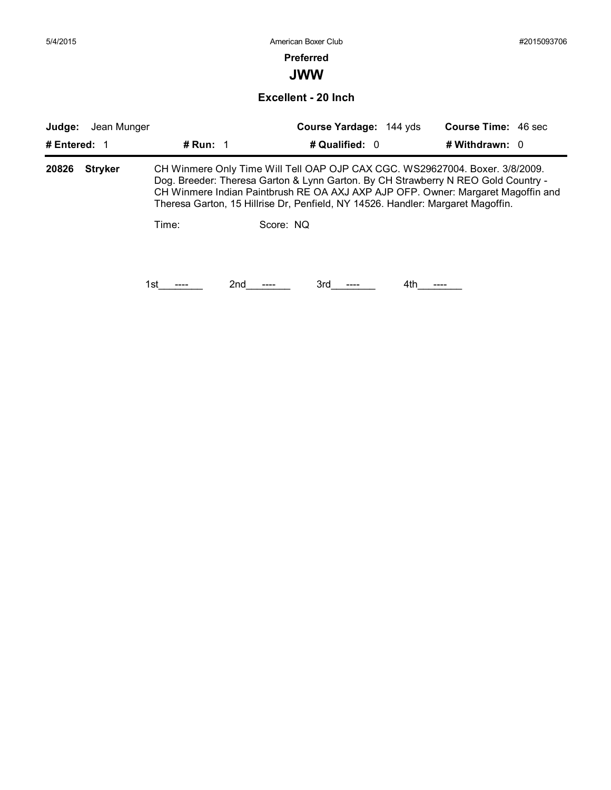| 5/4/2015     |                |            | American Boxer Club                                                                                                                                                                                                                                                                                                                                   |                            | #2015093706 |
|--------------|----------------|------------|-------------------------------------------------------------------------------------------------------------------------------------------------------------------------------------------------------------------------------------------------------------------------------------------------------------------------------------------------------|----------------------------|-------------|
|              |                |            | <b>Preferred</b>                                                                                                                                                                                                                                                                                                                                      |                            |             |
|              |                |            | <b>JWW</b>                                                                                                                                                                                                                                                                                                                                            |                            |             |
|              |                |            | Excellent - 20 Inch                                                                                                                                                                                                                                                                                                                                   |                            |             |
| Judge:       | Jean Munger    |            | Course Yardage: 144 yds                                                                                                                                                                                                                                                                                                                               | <b>Course Time: 46 sec</b> |             |
| # Entered: 1 |                | # Run: $1$ | # Qualified: 0                                                                                                                                                                                                                                                                                                                                        | # Withdrawn: 0             |             |
|              |                |            |                                                                                                                                                                                                                                                                                                                                                       |                            |             |
| 20826        | <b>Stryker</b> | Time:      | CH Winmere Only Time Will Tell OAP OJP CAX CGC. WS29627004. Boxer. 3/8/2009.<br>Dog. Breeder: Theresa Garton & Lynn Garton. By CH Strawberry N REO Gold Country -<br>CH Winmere Indian Paintbrush RE OA AXJ AXP AJP OFP. Owner: Margaret Magoffin and<br>Theresa Garton, 15 Hillrise Dr, Penfield, NY 14526. Handler: Margaret Magoffin.<br>Score: NQ |                            |             |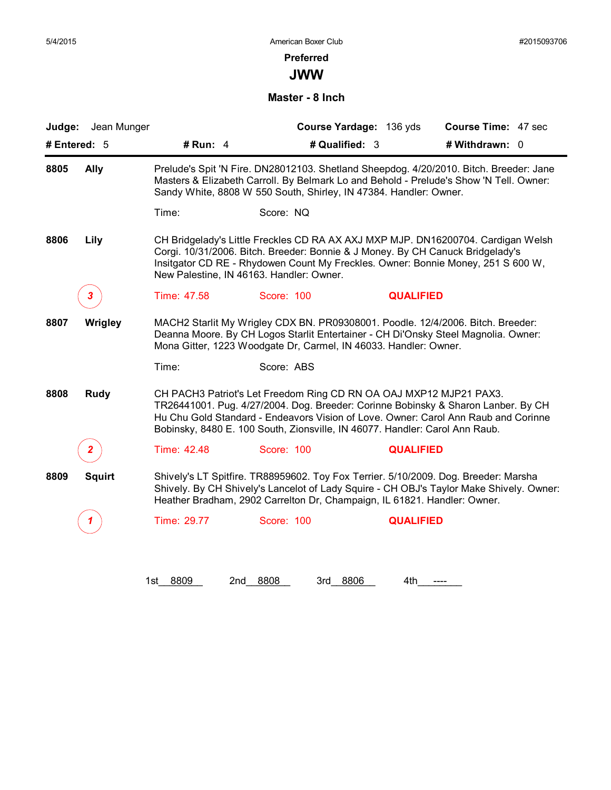#### **Preferred**

**JWW**

**Master - 8 Inch**

| Jean Munger<br>Judge: |             |                                                                                                                                                                 | Course Yardage: 136 yds | <b>Course Time: 47 sec</b>                                                                                                                                                       |
|-----------------------|-------------|-----------------------------------------------------------------------------------------------------------------------------------------------------------------|-------------------------|----------------------------------------------------------------------------------------------------------------------------------------------------------------------------------|
| # Entered: 5          | # Run: 4    | # Qualified: 3                                                                                                                                                  |                         | # Withdrawn: 0                                                                                                                                                                   |
| 8805<br><b>Ally</b>   |             | Sandy White, 8808 W 550 South, Shirley, IN 47384. Handler: Owner.                                                                                               |                         | Prelude's Spit 'N Fire. DN28012103. Shetland Sheepdog. 4/20/2010. Bitch. Breeder: Jane<br>Masters & Elizabeth Carroll. By Belmark Lo and Behold - Prelude's Show 'N Tell. Owner: |
|                       | Time:       | Score: NQ                                                                                                                                                       |                         |                                                                                                                                                                                  |
| 8806<br>Lily          |             | Corgi. 10/31/2006. Bitch. Breeder: Bonnie & J Money. By CH Canuck Bridgelady's<br>New Palestine, IN 46163. Handler: Owner.                                      |                         | CH Bridgelady's Little Freckles CD RA AX AXJ MXP MJP. DN16200704. Cardigan Welsh<br>Insitgator CD RE - Rhydowen Count My Freckles. Owner: Bonnie Money, 251 S 600 W,             |
| 3.                    | Time: 47.58 | Score: 100                                                                                                                                                      | <b>QUALIFIED</b>        |                                                                                                                                                                                  |
| Wrigley<br>8807       |             | MACH2 Starlit My Wrigley CDX BN. PR09308001. Poodle. 12/4/2006. Bitch. Breeder:<br>Mona Gitter, 1223 Woodgate Dr, Carmel, IN 46033. Handler: Owner.             |                         | Deanna Moore. By CH Logos Starlit Entertainer - CH Di'Onsky Steel Magnolia. Owner:                                                                                               |
|                       | Time:       | Score: ABS                                                                                                                                                      |                         |                                                                                                                                                                                  |
| 8808<br><b>Rudy</b>   |             | CH PACH3 Patriot's Let Freedom Ring CD RN OA OAJ MXP12 MJP21 PAX3.<br>Bobinsky, 8480 E. 100 South, Zionsville, IN 46077. Handler: Carol Ann Raub.               |                         | TR26441001. Pug. 4/27/2004. Dog. Breeder: Corinne Bobinsky & Sharon Lanber. By CH<br>Hu Chu Gold Standard - Endeavors Vision of Love. Owner: Carol Ann Raub and Corinne          |
|                       | Time: 42.48 | Score: 100                                                                                                                                                      | <b>QUALIFIED</b>        |                                                                                                                                                                                  |
| 8809<br><b>Squirt</b> |             | Shively's LT Spitfire. TR88959602. Toy Fox Terrier. 5/10/2009. Dog. Breeder: Marsha<br>Heather Bradham, 2902 Carrelton Dr, Champaign, IL 61821. Handler: Owner. |                         | Shively. By CH Shively's Lancelot of Lady Squire - CH OBJ's Taylor Make Shively. Owner:                                                                                          |
|                       | Time: 29.77 | Score: 100                                                                                                                                                      | <b>QUALIFIED</b>        |                                                                                                                                                                                  |

1st\_\_8809 2nd\_\_8808 3rd\_\_8806 4th\_\_\_\_\_\_\_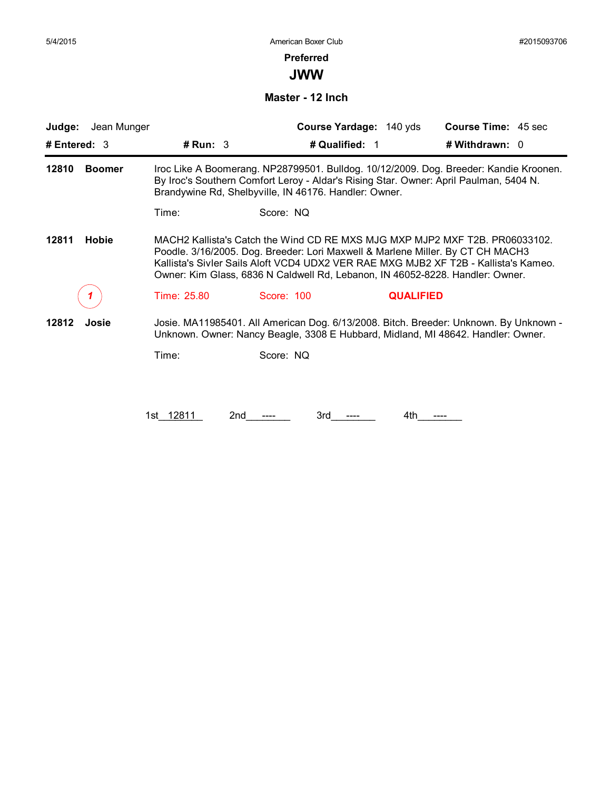#### **Preferred**

**JWW**

**Master - 12 Inch**

| Jean Munger<br>Judge:<br># Entered: $3$ | # $Run: 3$  | Course Yardage: 140 yds<br># Qualified: 1                                                                                                                                                                                                                                                                                             | <b>Course Time: 45 sec</b><br># Withdrawn: 0 |
|-----------------------------------------|-------------|---------------------------------------------------------------------------------------------------------------------------------------------------------------------------------------------------------------------------------------------------------------------------------------------------------------------------------------|----------------------------------------------|
| 12810<br><b>Boomer</b>                  |             | Iroc Like A Boomerang. NP28799501. Bulldog. 10/12/2009. Dog. Breeder: Kandie Kroonen.<br>By Iroc's Southern Comfort Leroy - Aldar's Rising Star. Owner: April Paulman, 5404 N.<br>Brandywine Rd, Shelbyville, IN 46176. Handler: Owner.                                                                                               |                                              |
|                                         | Time:       | Score: NQ                                                                                                                                                                                                                                                                                                                             |                                              |
| 12811<br><b>Hobie</b>                   |             | MACH2 Kallista's Catch the Wind CD RE MXS MJG MXP MJP2 MXF T2B, PR06033102.<br>Poodle. 3/16/2005. Dog. Breeder: Lori Maxwell & Marlene Miller. By CT CH MACH3<br>Kallista's Sivler Sails Aloft VCD4 UDX2 VER RAE MXG MJB2 XF T2B - Kallista's Kameo.<br>Owner: Kim Glass, 6836 N Caldwell Rd, Lebanon, IN 46052-8228. Handler: Owner. |                                              |
|                                         | Time: 25.80 | Score: 100<br><b>QUALIFIED</b>                                                                                                                                                                                                                                                                                                        |                                              |
| 12812<br>Josie                          |             | Josie. MA11985401. All American Dog. 6/13/2008. Bitch. Breeder: Unknown. By Unknown -<br>Unknown. Owner: Nancy Beagle, 3308 E Hubbard, Midland, MI 48642. Handler: Owner.                                                                                                                                                             |                                              |
|                                         | Time:       | Score: NQ                                                                                                                                                                                                                                                                                                                             |                                              |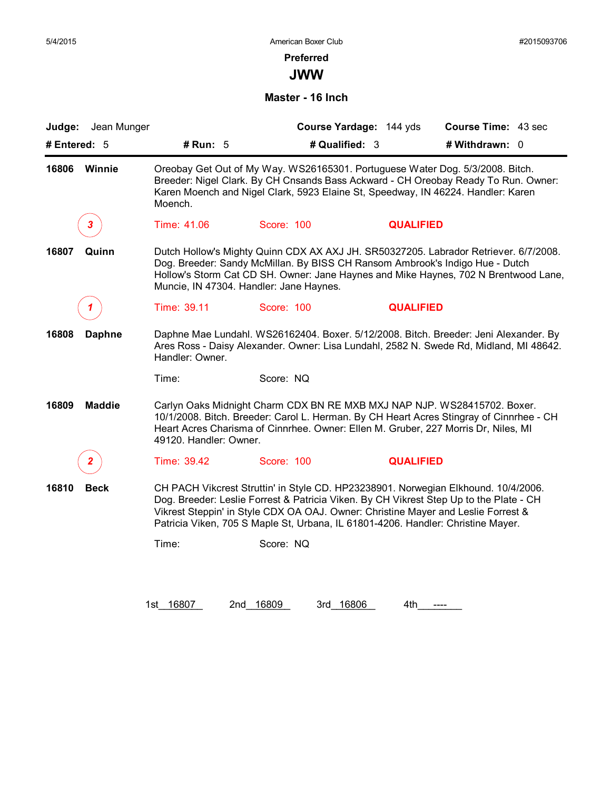#### **Preferred**

**JWW**

#### **Master - 16 Inch**

| Judge: Jean Munger     |                        |                                                                                                                                                                       | Course Yardage: 144 yds | Course Time: 43 sec                                                                                                                                                                                                                                     |
|------------------------|------------------------|-----------------------------------------------------------------------------------------------------------------------------------------------------------------------|-------------------------|---------------------------------------------------------------------------------------------------------------------------------------------------------------------------------------------------------------------------------------------------------|
| # Entered: 5           | # Run: 5               |                                                                                                                                                                       | # Qualified: 3          | # Withdrawn: 0                                                                                                                                                                                                                                          |
| 16806<br>Winnie        | Moench.                |                                                                                                                                                                       |                         | Oreobay Get Out of My Way. WS26165301. Portuguese Water Dog. 5/3/2008. Bitch.<br>Breeder: Nigel Clark. By CH Cnsands Bass Ackward - CH Oreobay Ready To Run. Owner:<br>Karen Moench and Nigel Clark, 5923 Elaine St, Speedway, IN 46224. Handler: Karen |
| 3                      | Time: 41.06            | Score: 100                                                                                                                                                            | <b>QUALIFIED</b>        |                                                                                                                                                                                                                                                         |
| Quinn<br>16807         |                        | Dog. Breeder: Sandy McMillan. By BISS CH Ransom Ambrook's Indigo Hue - Dutch<br>Muncie, IN 47304. Handler: Jane Haynes.                                               |                         | Dutch Hollow's Mighty Quinn CDX AX AXJ JH. SR50327205. Labrador Retriever. 6/7/2008.<br>Hollow's Storm Cat CD SH. Owner: Jane Haynes and Mike Haynes, 702 N Brentwood Lane,                                                                             |
|                        | Time: 39.11            | Score: 100                                                                                                                                                            | <b>QUALIFIED</b>        |                                                                                                                                                                                                                                                         |
| 16808<br><b>Daphne</b> | Handler: Owner.        |                                                                                                                                                                       |                         | Daphne Mae Lundahl. WS26162404. Boxer. 5/12/2008. Bitch. Breeder: Jeni Alexander. By<br>Ares Ross - Daisy Alexander. Owner: Lisa Lundahl, 2582 N. Swede Rd, Midland, MI 48642.                                                                          |
|                        | Time:                  | Score: NQ                                                                                                                                                             |                         |                                                                                                                                                                                                                                                         |
| <b>Maddie</b><br>16809 | 49120. Handler: Owner. | Heart Acres Charisma of Cinnrhee. Owner: Ellen M. Gruber, 227 Morris Dr, Niles, MI                                                                                    |                         | Carlyn Oaks Midnight Charm CDX BN RE MXB MXJ NAP NJP. WS28415702. Boxer.<br>10/1/2008. Bitch. Breeder: Carol L. Herman. By CH Heart Acres Stingray of Cinnrhee - CH                                                                                     |
| $\mathbf{2}$           | Time: 39.42            | Score: 100                                                                                                                                                            | <b>QUALIFIED</b>        |                                                                                                                                                                                                                                                         |
| <b>Beck</b><br>16810   |                        | Vikrest Steppin' in Style CDX OA OAJ. Owner: Christine Mayer and Leslie Forrest &<br>Patricia Viken, 705 S Maple St, Urbana, IL 61801-4206. Handler: Christine Mayer. |                         | CH PACH Vikcrest Struttin' in Style CD. HP23238901. Norwegian Elkhound. 10/4/2006.<br>Dog. Breeder: Leslie Forrest & Patricia Viken. By CH Vikrest Step Up to the Plate - CH                                                                            |
|                        |                        | Score: NQ                                                                                                                                                             |                         |                                                                                                                                                                                                                                                         |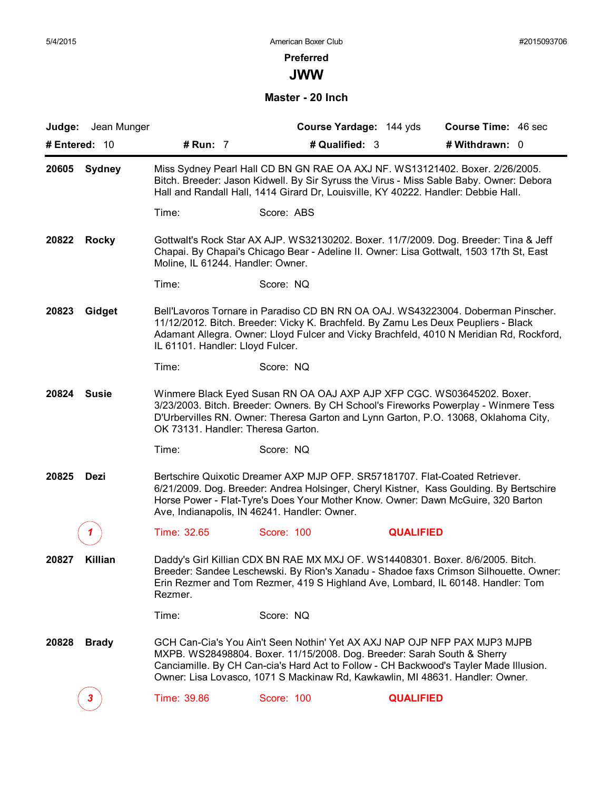#### **Preferred**

**JWW**

**Master - 20 Inch**

| <b>Judge:</b> Jean Munger |                                                                                                                                                                                                                                                               |                                                                                                                                                                                                                                                                                                                                | Course Yardage: 144 yds | Course Time: 46 sec |  |
|---------------------------|---------------------------------------------------------------------------------------------------------------------------------------------------------------------------------------------------------------------------------------------------------------|--------------------------------------------------------------------------------------------------------------------------------------------------------------------------------------------------------------------------------------------------------------------------------------------------------------------------------|-------------------------|---------------------|--|
| # Entered: 10             | # Run: 7                                                                                                                                                                                                                                                      | # Qualified: 3                                                                                                                                                                                                                                                                                                                 |                         | # Withdrawn: 0      |  |
| 20605 Sydney              | Miss Sydney Pearl Hall CD BN GN RAE OA AXJ NF. WS13121402. Boxer. 2/26/2005.<br>Bitch. Breeder: Jason Kidwell. By Sir Syruss the Virus - Miss Sable Baby. Owner: Debora<br>Hall and Randall Hall, 1414 Girard Dr, Louisville, KY 40222. Handler: Debbie Hall. |                                                                                                                                                                                                                                                                                                                                |                         |                     |  |
|                           | Time:                                                                                                                                                                                                                                                         | Score: ABS                                                                                                                                                                                                                                                                                                                     |                         |                     |  |
| 20822<br>Rocky            | Moline, IL 61244. Handler: Owner.                                                                                                                                                                                                                             | Gottwalt's Rock Star AX AJP. WS32130202. Boxer. 11/7/2009. Dog. Breeder: Tina & Jeff<br>Chapai. By Chapai's Chicago Bear - Adeline II. Owner: Lisa Gottwalt, 1503 17th St, East                                                                                                                                                |                         |                     |  |
|                           | Time:                                                                                                                                                                                                                                                         | Score: NQ                                                                                                                                                                                                                                                                                                                      |                         |                     |  |
| 20823<br>Gidget           | IL 61101. Handler: Lloyd Fulcer.                                                                                                                                                                                                                              | Bell'Lavoros Tornare in Paradiso CD BN RN OA OAJ. WS43223004. Doberman Pinscher.<br>11/12/2012. Bitch. Breeder: Vicky K. Brachfeld. By Zamu Les Deux Peupliers - Black<br>Adamant Allegra. Owner: Lloyd Fulcer and Vicky Brachfeld, 4010 N Meridian Rd, Rockford,                                                              |                         |                     |  |
|                           | Time:                                                                                                                                                                                                                                                         | Score: NQ                                                                                                                                                                                                                                                                                                                      |                         |                     |  |
| 20824<br><b>Susie</b>     | OK 73131. Handler: Theresa Garton.                                                                                                                                                                                                                            | Winmere Black Eyed Susan RN OA OAJ AXP AJP XFP CGC. WS03645202. Boxer.<br>3/23/2003. Bitch. Breeder: Owners. By CH School's Fireworks Powerplay - Winmere Tess<br>D'Urbervilles RN. Owner: Theresa Garton and Lynn Garton, P.O. 13068, Oklahoma City,                                                                          |                         |                     |  |
|                           | Time:                                                                                                                                                                                                                                                         | Score: NQ                                                                                                                                                                                                                                                                                                                      |                         |                     |  |
| 20825<br>Dezi             |                                                                                                                                                                                                                                                               | Bertschire Quixotic Dreamer AXP MJP OFP. SR57181707. Flat-Coated Retriever.<br>6/21/2009. Dog. Breeder: Andrea Holsinger, Cheryl Kistner, Kass Goulding. By Bertschire<br>Horse Power - Flat-Tyre's Does Your Mother Know. Owner: Dawn McGuire, 320 Barton<br>Ave, Indianapolis, IN 46241. Handler: Owner.                     |                         |                     |  |
|                           | Time: 32.65                                                                                                                                                                                                                                                   | Score: 100                                                                                                                                                                                                                                                                                                                     | <b>QUALIFIED</b>        |                     |  |
| 20827<br>Killian          | Rezmer.                                                                                                                                                                                                                                                       | Daddy's Girl Killian CDX BN RAE MX MXJ OF. WS14408301. Boxer. 8/6/2005. Bitch.<br>Breeder: Sandee Leschewski. By Rion's Xanadu - Shadoe faxs Crimson Silhouette. Owner:<br>Erin Rezmer and Tom Rezmer, 419 S Highland Ave, Lombard, IL 60148. Handler: Tom                                                                     |                         |                     |  |
|                           | Time:                                                                                                                                                                                                                                                         | Score: NQ                                                                                                                                                                                                                                                                                                                      |                         |                     |  |
| 20828<br><b>Brady</b>     |                                                                                                                                                                                                                                                               | GCH Can-Cia's You Ain't Seen Nothin' Yet AX AXJ NAP OJP NFP PAX MJP3 MJPB<br>MXPB. WS28498804. Boxer. 11/15/2008. Dog. Breeder: Sarah South & Sherry<br>Canciamille. By CH Can-cia's Hard Act to Follow - CH Backwood's Tayler Made Illusion.<br>Owner: Lisa Lovasco, 1071 S Mackinaw Rd, Kawkawlin, MI 48631. Handler: Owner. |                         |                     |  |
| 3                         | Time: 39.86                                                                                                                                                                                                                                                   | Score: 100                                                                                                                                                                                                                                                                                                                     | <b>QUALIFIED</b>        |                     |  |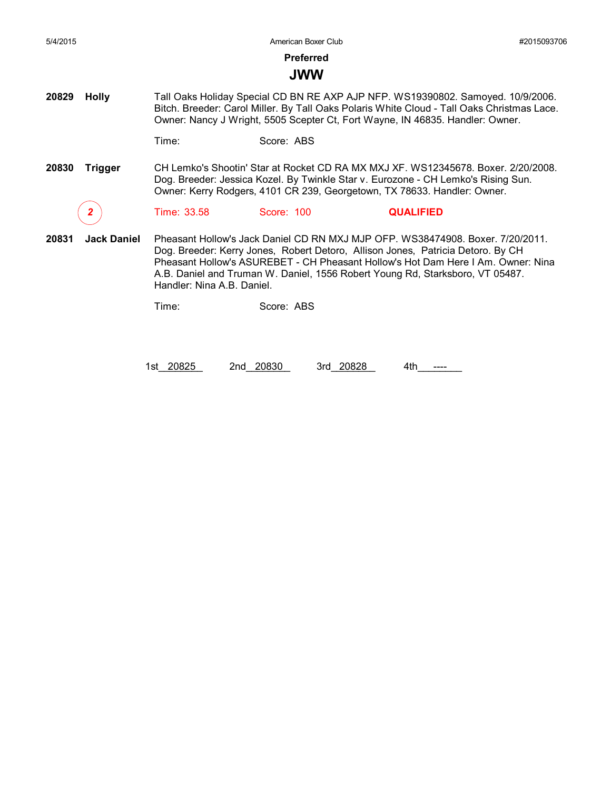**Preferred**

### **JWW**

**20829 Holly** Tall Oaks Holiday Special CD BN RE AXP AJP NFP. WS19390802. Samoyed. 10/9/2006. Bitch. Breeder: Carol Miller. By Tall Oaks Polaris White Cloud - Tall Oaks Christmas Lace. Owner: Nancy J Wright, 5505 Scepter Ct, Fort Wayne, IN 46835. Handler: Owner.

Time: Score: ABS

**20830 Trigger** CH Lemko's Shootin' Star at Rocket CD RA MX MXJ XF. WS12345678. Boxer. 2/20/2008. Dog. Breeder: Jessica Kozel. By Twinkle Star v. Eurozone - CH Lemko's Rising Sun. Owner: Kerry Rodgers, 4101 CR 239, Georgetown, TX 78633. Handler: Owner.

*2* Time: 33.58 Score: 100 **QUALIFIED**

**20831 Jack Daniel** Pheasant Hollow's Jack Daniel CD RN MXJ MJP OFP. WS38474908. Boxer. 7/20/2011. Dog. Breeder: Kerry Jones, Robert Detoro, Allison Jones, Patricia Detoro. By CH Pheasant Hollow's ASUREBET - CH Pheasant Hollow's Hot Dam Here I Am. Owner: Nina A.B. Daniel and Truman W. Daniel, 1556 Robert Young Rd, Starksboro, VT 05487. Handler: Nina A.B. Daniel.

Time: Score: ABS

1st\_20825 2nd\_20830 3rd\_20828 4th\_\_\_\_\_\_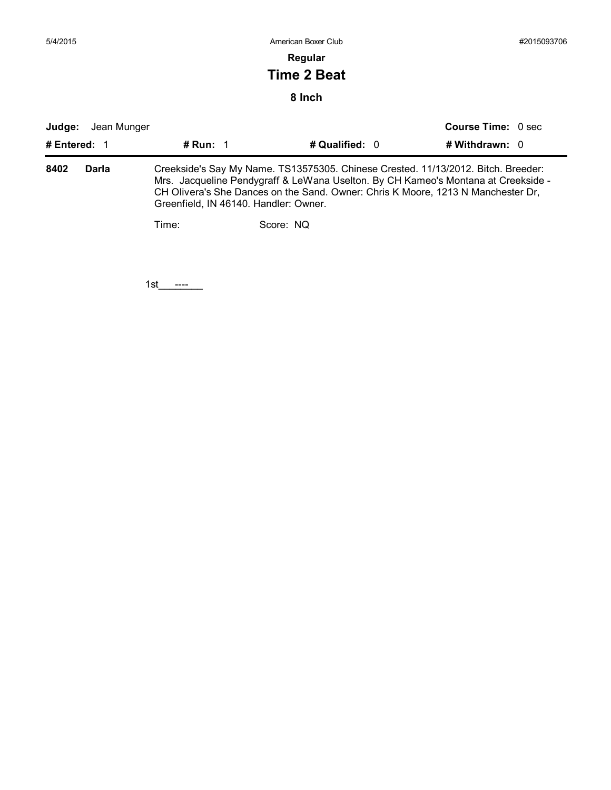### **Regular**

## **Time 2 Beat**

### **8 Inch**

| Judge: | Jean Munger  |                                                                                                                                                                                                                                                                                                     |                  | <b>Course Time: 0 sec</b> |  |  |  |
|--------|--------------|-----------------------------------------------------------------------------------------------------------------------------------------------------------------------------------------------------------------------------------------------------------------------------------------------------|------------------|---------------------------|--|--|--|
|        | # Entered: 1 | # Run: $\sqrt{1}$                                                                                                                                                                                                                                                                                   | # Qualified: $0$ | # Withdrawn: 0            |  |  |  |
| 8402   | Darla        | Creekside's Say My Name. TS13575305. Chinese Crested. 11/13/2012. Bitch. Breeder:<br>Mrs. Jacqueline Pendygraff & LeWana Uselton. By CH Kameo's Montana at Creekside -<br>CH Olivera's She Dances on the Sand. Owner: Chris K Moore, 1213 N Manchester Dr.<br>Greenfield, IN 46140. Handler: Owner. |                  |                           |  |  |  |
|        |              | Time:                                                                                                                                                                                                                                                                                               | Score: NQ        |                           |  |  |  |
|        |              |                                                                                                                                                                                                                                                                                                     |                  |                           |  |  |  |
|        |              |                                                                                                                                                                                                                                                                                                     |                  |                           |  |  |  |

1st\_\_\_\_\_\_\_\_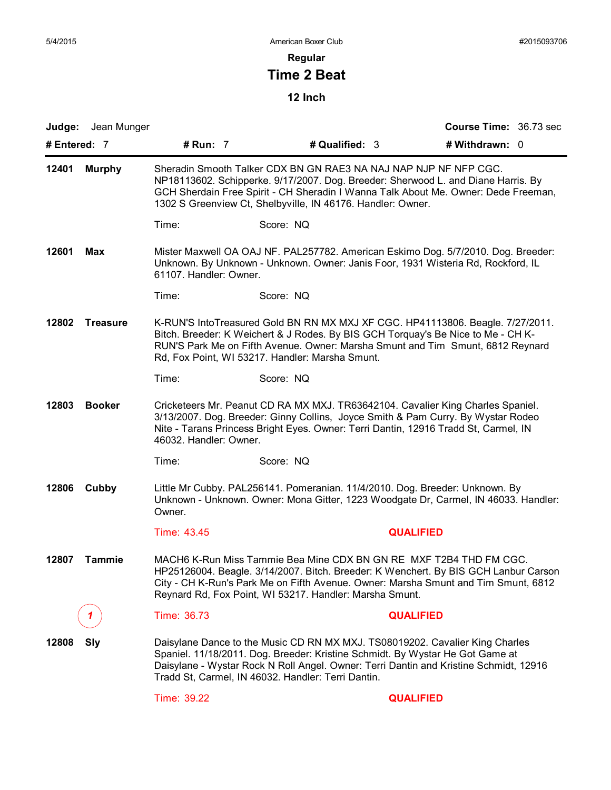## **Regular**

# **Time 2 Beat**

| Judge: Jean Munger       |                        |                                                                                                                                                                                                                                                                                                              |                  | Course Time: 36.73 sec |  |
|--------------------------|------------------------|--------------------------------------------------------------------------------------------------------------------------------------------------------------------------------------------------------------------------------------------------------------------------------------------------------------|------------------|------------------------|--|
| # Entered: $7$           | # Run: 7               | # Qualified: 3                                                                                                                                                                                                                                                                                               |                  | # Withdrawn: 0         |  |
| 12401<br><b>Murphy</b>   |                        | Sheradin Smooth Talker CDX BN GN RAE3 NA NAJ NAP NJP NF NFP CGC.<br>NP18113602. Schipperke. 9/17/2007. Dog. Breeder: Sherwood L. and Diane Harris. By<br>GCH Sherdain Free Spirit - CH Sheradin I Wanna Talk About Me. Owner: Dede Freeman,<br>1302 S Greenview Ct, Shelbyville, IN 46176. Handler: Owner.   |                  |                        |  |
|                          | Time:                  | Score: NQ                                                                                                                                                                                                                                                                                                    |                  |                        |  |
| 12601<br>Max             | 61107. Handler: Owner. | Mister Maxwell OA OAJ NF. PAL257782. American Eskimo Dog. 5/7/2010. Dog. Breeder:<br>Unknown. By Unknown - Unknown. Owner: Janis Foor, 1931 Wisteria Rd, Rockford, IL                                                                                                                                        |                  |                        |  |
|                          | Time:                  | Score: NQ                                                                                                                                                                                                                                                                                                    |                  |                        |  |
| 12802<br><b>Treasure</b> |                        | K-RUN'S IntoTreasured Gold BN RN MX MXJ XF CGC. HP41113806. Beagle. 7/27/2011.<br>Bitch. Breeder: K Weichert & J Rodes. By BIS GCH Torquay's Be Nice to Me - CH K-<br>RUN'S Park Me on Fifth Avenue. Owner: Marsha Smunt and Tim Smunt, 6812 Reynard<br>Rd, Fox Point, WI 53217. Handler: Marsha Smunt.      |                  |                        |  |
|                          | Time:                  | Score: NQ                                                                                                                                                                                                                                                                                                    |                  |                        |  |
| 12803<br><b>Booker</b>   | 46032. Handler: Owner. | Cricketeers Mr. Peanut CD RA MX MXJ. TR63642104. Cavalier King Charles Spaniel.<br>3/13/2007. Dog. Breeder: Ginny Collins, Joyce Smith & Pam Curry. By Wystar Rodeo<br>Nite - Tarans Princess Bright Eyes. Owner: Terri Dantin, 12916 Tradd St, Carmel, IN                                                   |                  |                        |  |
|                          | Time:                  | Score: NQ                                                                                                                                                                                                                                                                                                    |                  |                        |  |
| 12806<br>Cubby           | Owner.                 | Little Mr Cubby. PAL256141. Pomeranian. 11/4/2010. Dog. Breeder: Unknown. By<br>Unknown - Unknown. Owner: Mona Gitter, 1223 Woodgate Dr, Carmel, IN 46033. Handler:                                                                                                                                          |                  |                        |  |
|                          | Time: 43.45            |                                                                                                                                                                                                                                                                                                              | <b>QUALIFIED</b> |                        |  |
| 12807<br><b>Tammie</b>   |                        | MACH6 K-Run Miss Tammie Bea Mine CDX BN GN RE MXF T2B4 THD FM CGC.<br>HP25126004. Beagle. 3/14/2007. Bitch. Breeder: K Wenchert. By BIS GCH Lanbur Carson<br>City - CH K-Run's Park Me on Fifth Avenue. Owner: Marsha Smunt and Tim Smunt, 6812<br>Reynard Rd, Fox Point, WI 53217. Handler: Marsha Smunt.   |                  |                        |  |
|                          | Time: 36.73            |                                                                                                                                                                                                                                                                                                              | <b>QUALIFIED</b> |                        |  |
| 12808<br>Sly             |                        | Daisylane Dance to the Music CD RN MX MXJ. TS08019202. Cavalier King Charles<br>Spaniel. 11/18/2011. Dog. Breeder: Kristine Schmidt. By Wystar He Got Game at<br>Daisylane - Wystar Rock N Roll Angel. Owner: Terri Dantin and Kristine Schmidt, 12916<br>Tradd St, Carmel, IN 46032. Handler: Terri Dantin. |                  |                        |  |
|                          | Time: 39.22            |                                                                                                                                                                                                                                                                                                              | <b>QUALIFIED</b> |                        |  |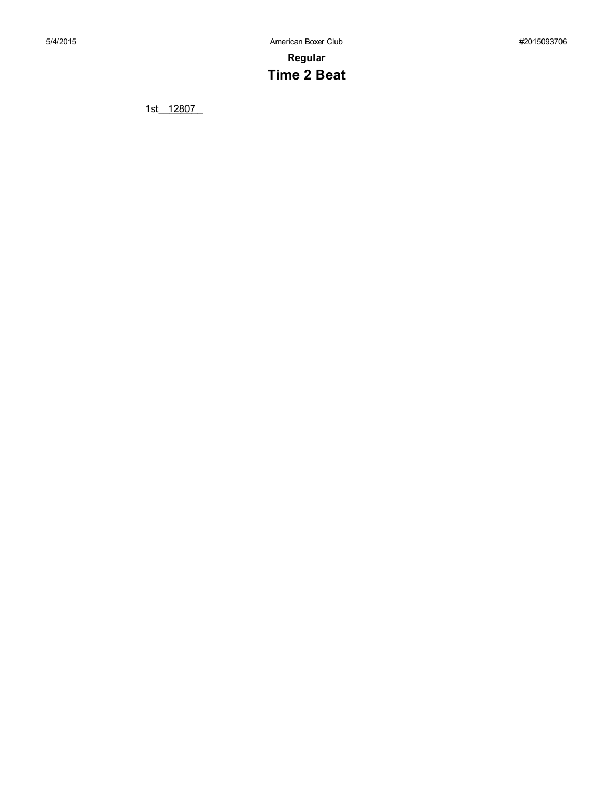**Regular Time 2 Beat**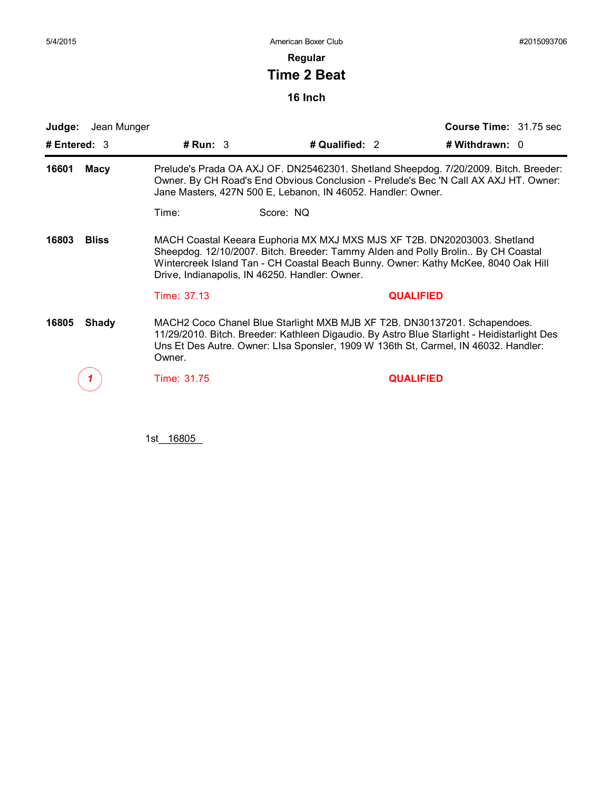**Regular**

# **Time 2 Beat**

**16 Inch**

| Judge:                | Jean Munger |                                                                                                                                                                                                                                                                                                      |                                                                                                                                                                                                                                                                 |                |                  | <b>Course Time: 31.75 sec</b> |  |
|-----------------------|-------------|------------------------------------------------------------------------------------------------------------------------------------------------------------------------------------------------------------------------------------------------------------------------------------------------------|-----------------------------------------------------------------------------------------------------------------------------------------------------------------------------------------------------------------------------------------------------------------|----------------|------------------|-------------------------------|--|
| # Entered: 3          |             | # $Run: 3$                                                                                                                                                                                                                                                                                           |                                                                                                                                                                                                                                                                 | # Qualified: 2 |                  | # Withdrawn: 0                |  |
| 16601<br>Macy         |             |                                                                                                                                                                                                                                                                                                      | Prelude's Prada OA AXJ OF. DN25462301. Shetland Sheepdog. 7/20/2009. Bitch. Breeder:<br>Owner. By CH Road's End Obvious Conclusion - Prelude's Bec 'N Call AX AXJ HT. Owner:<br>Jane Masters, 427N 500 E, Lebanon, IN 46052. Handler: Owner.                    |                |                  |                               |  |
|                       |             | Time:                                                                                                                                                                                                                                                                                                | Score: NQ                                                                                                                                                                                                                                                       |                |                  |                               |  |
| <b>Bliss</b><br>16803 |             | MACH Coastal Keeara Euphoria MX MXJ MXS MJS XF T2B. DN20203003. Shetland<br>Sheepdog. 12/10/2007. Bitch. Breeder: Tammy Alden and Polly Brolin By CH Coastal<br>Wintercreek Island Tan - CH Coastal Beach Bunny. Owner: Kathy McKee, 8040 Oak Hill<br>Drive, Indianapolis, IN 46250. Handler: Owner. |                                                                                                                                                                                                                                                                 |                |                  |                               |  |
|                       |             | Time: 37.13                                                                                                                                                                                                                                                                                          |                                                                                                                                                                                                                                                                 |                | <b>QUALIFIED</b> |                               |  |
| 16805                 | Shady       | Owner.                                                                                                                                                                                                                                                                                               | MACH2 Coco Chanel Blue Starlight MXB MJB XF T2B. DN30137201. Schapendoes.<br>11/29/2010. Bitch. Breeder: Kathleen Digaudio. By Astro Blue Starlight - Heidistarlight Des<br>Uns Et Des Autre. Owner: Lisa Sponsier, 1909 W 136th St, Carmel, IN 46032. Handler: |                |                  |                               |  |
|                       |             | Time: 31.75                                                                                                                                                                                                                                                                                          |                                                                                                                                                                                                                                                                 |                | <b>QUALIFIED</b> |                               |  |
|                       |             |                                                                                                                                                                                                                                                                                                      |                                                                                                                                                                                                                                                                 |                |                  |                               |  |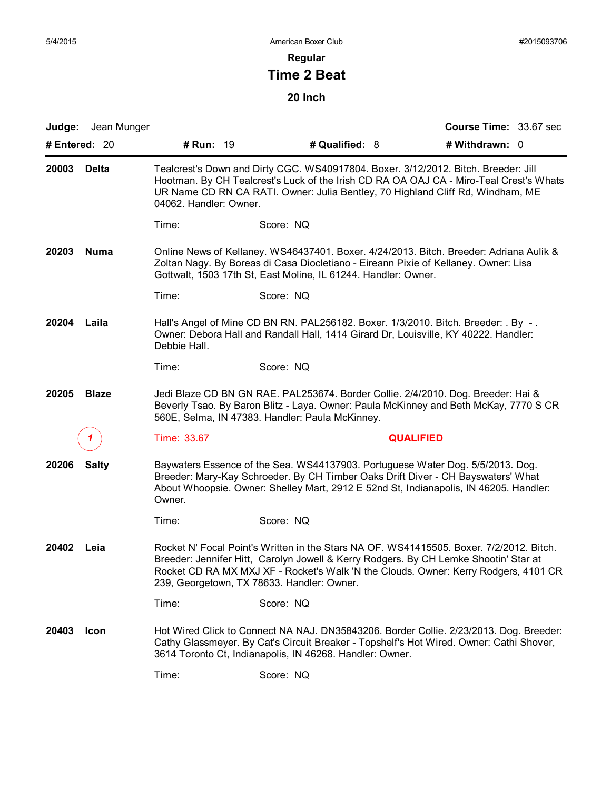## **Regular**

# **Time 2 Beat**

| Judge:<br>Jean Munger |                                                                                                                                                                                                                                                                                          |                                                                                                                                                                                                                                                                                                                      |                  | Course Time: 33.67 sec |  |  |
|-----------------------|------------------------------------------------------------------------------------------------------------------------------------------------------------------------------------------------------------------------------------------------------------------------------------------|----------------------------------------------------------------------------------------------------------------------------------------------------------------------------------------------------------------------------------------------------------------------------------------------------------------------|------------------|------------------------|--|--|
| # Entered: 20         | # Run: 19                                                                                                                                                                                                                                                                                | # Qualified: 8                                                                                                                                                                                                                                                                                                       |                  | # Withdrawn: 0         |  |  |
| 20003<br>Delta        | Tealcrest's Down and Dirty CGC. WS40917804. Boxer. 3/12/2012. Bitch. Breeder: Jill<br>Hootman. By CH Tealcrest's Luck of the Irish CD RA OA OAJ CA - Miro-Teal Crest's Whats<br>UR Name CD RN CA RATI. Owner: Julia Bentley, 70 Highland Cliff Rd, Windham, ME<br>04062. Handler: Owner. |                                                                                                                                                                                                                                                                                                                      |                  |                        |  |  |
|                       | Time:                                                                                                                                                                                                                                                                                    | Score: NQ                                                                                                                                                                                                                                                                                                            |                  |                        |  |  |
| 20203<br><b>Numa</b>  | Online News of Kellaney. WS46437401. Boxer. 4/24/2013. Bitch. Breeder: Adriana Aulik &<br>Zoltan Nagy. By Boreas di Casa Diocletiano - Eireann Pixie of Kellaney. Owner: Lisa<br>Gottwalt, 1503 17th St, East Moline, IL 61244. Handler: Owner.                                          |                                                                                                                                                                                                                                                                                                                      |                  |                        |  |  |
|                       | Time:                                                                                                                                                                                                                                                                                    | Score: NQ                                                                                                                                                                                                                                                                                                            |                  |                        |  |  |
| 20204<br>Laila        | Debbie Hall.                                                                                                                                                                                                                                                                             | Hall's Angel of Mine CD BN RN. PAL256182. Boxer. 1/3/2010. Bitch. Breeder: . By -.<br>Owner: Debora Hall and Randall Hall, 1414 Girard Dr, Louisville, KY 40222. Handler:                                                                                                                                            |                  |                        |  |  |
|                       | Time:                                                                                                                                                                                                                                                                                    | Score: NQ                                                                                                                                                                                                                                                                                                            |                  |                        |  |  |
| 20205<br><b>Blaze</b> |                                                                                                                                                                                                                                                                                          | Jedi Blaze CD BN GN RAE. PAL253674. Border Collie. 2/4/2010. Dog. Breeder: Hai &<br>Beverly Tsao. By Baron Blitz - Laya. Owner: Paula McKinney and Beth McKay, 7770 S CR<br>560E, Selma, IN 47383. Handler: Paula McKinney.                                                                                          |                  |                        |  |  |
|                       | Time: 33.67                                                                                                                                                                                                                                                                              |                                                                                                                                                                                                                                                                                                                      | <b>QUALIFIED</b> |                        |  |  |
| <b>Salty</b><br>20206 | Owner.                                                                                                                                                                                                                                                                                   | Baywaters Essence of the Sea. WS44137903. Portuguese Water Dog. 5/5/2013. Dog.<br>Breeder: Mary-Kay Schroeder. By CH Timber Oaks Drift Diver - CH Bayswaters' What<br>About Whoopsie. Owner: Shelley Mart, 2912 E 52nd St, Indianapolis, IN 46205. Handler:                                                          |                  |                        |  |  |
|                       | Time:                                                                                                                                                                                                                                                                                    | Score: NQ                                                                                                                                                                                                                                                                                                            |                  |                        |  |  |
| 20402<br>Leia         |                                                                                                                                                                                                                                                                                          | Rocket N' Focal Point's Written in the Stars NA OF. WS41415505. Boxer. 7/2/2012. Bitch.<br>Breeder: Jennifer Hitt, Carolyn Jowell & Kerry Rodgers. By CH Lemke Shootin' Star at<br>Rocket CD RA MX MXJ XF - Rocket's Walk 'N the Clouds. Owner: Kerry Rodgers, 4101 CR<br>239, Georgetown, TX 78633. Handler: Owner. |                  |                        |  |  |
|                       | Time:                                                                                                                                                                                                                                                                                    | Score: NQ                                                                                                                                                                                                                                                                                                            |                  |                        |  |  |
| 20403<br>Icon         |                                                                                                                                                                                                                                                                                          | Hot Wired Click to Connect NA NAJ. DN35843206. Border Collie. 2/23/2013. Dog. Breeder:<br>Cathy Glassmeyer. By Cat's Circuit Breaker - Topshelf's Hot Wired. Owner: Cathi Shover,<br>3614 Toronto Ct, Indianapolis, IN 46268. Handler: Owner.                                                                        |                  |                        |  |  |
|                       | Time:                                                                                                                                                                                                                                                                                    | Score: NQ                                                                                                                                                                                                                                                                                                            |                  |                        |  |  |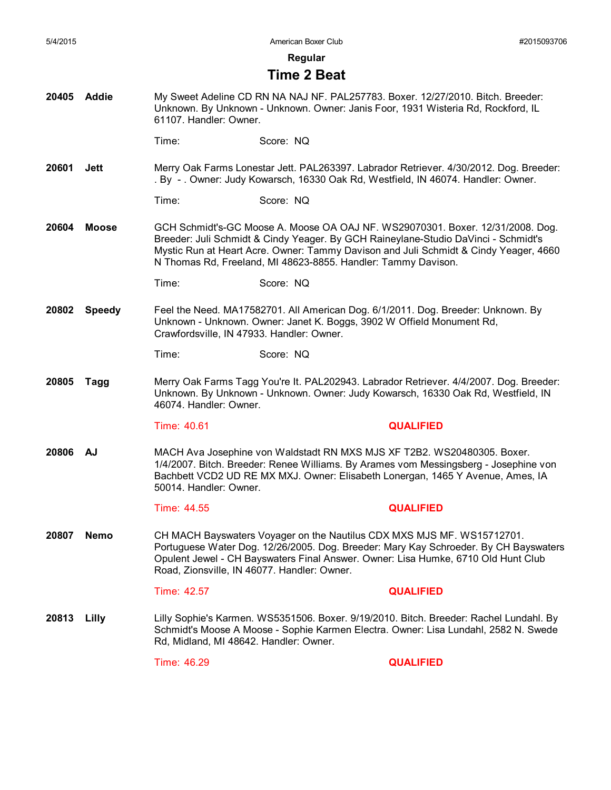**Regular**

#### **Time 2 Beat**

**20405 Addie** My Sweet Adeline CD RN NA NAJ NF. PAL257783. Boxer. 12/27/2010. Bitch. Breeder: Unknown. By Unknown - Unknown. Owner: Janis Foor, 1931 Wisteria Rd, Rockford, IL 61107. Handler: Owner.

Time: Score: NQ

**20601 Jett** Merry Oak Farms Lonestar Jett. PAL263397. Labrador Retriever. 4/30/2012. Dog. Breeder: . By - . Owner: Judy Kowarsch, 16330 Oak Rd, Westfield, IN 46074. Handler: Owner.

Time: Score: NQ

**20604 Moose** GCH Schmidt's-GC Moose A. Moose OA OAJ NF. WS29070301. Boxer. 12/31/2008. Dog. Breeder: Juli Schmidt & Cindy Yeager. By GCH Raineylane-Studio DaVinci - Schmidt's Mystic Run at Heart Acre. Owner: Tammy Davison and Juli Schmidt & Cindy Yeager, 4660 N Thomas Rd, Freeland, MI 48623-8855. Handler: Tammy Davison.

Time: Score: NQ

**20802 Speedy** Feel the Need. MA17582701. All American Dog. 6/1/2011. Dog. Breeder: Unknown. By Unknown - Unknown. Owner: Janet K. Boggs, 3902 W Offield Monument Rd, Crawfordsville, IN 47933. Handler: Owner.

Time: Score: NQ

**20805 Tagg** Merry Oak Farms Tagg You're It. PAL202943. Labrador Retriever. 4/4/2007. Dog. Breeder: Unknown. By Unknown - Unknown. Owner: Judy Kowarsch, 16330 Oak Rd, Westfield, IN 46074. Handler: Owner.

Time: 40.61 **QUALIFIED** 

- 
- **20806 AJ** MACH Ava Josephine von Waldstadt RN MXS MJS XF T2B2. WS20480305. Boxer. 1/4/2007. Bitch. Breeder: Renee Williams. By Arames vom Messingsberg - Josephine von Bachbett VCD2 UD RE MX MXJ. Owner: Elisabeth Lonergan, 1465 Y Avenue, Ames, IA 50014. Handler: Owner.

Time: 44.55 **QUALIFIED**

**20807 Nemo** CH MACH Bayswaters Voyager on the Nautilus CDX MXS MJS MF. WS15712701. Portuguese Water Dog. 12/26/2005. Dog. Breeder: Mary Kay Schroeder. By CH Bayswaters Opulent Jewel - CH Bayswaters Final Answer. Owner: Lisa Humke, 6710 Old Hunt Club Road, Zionsville, IN 46077. Handler: Owner.

Time: 42.57 **QUALIFIED**

**20813 Lilly** Lilly Sophie's Karmen. WS5351506. Boxer. 9/19/2010. Bitch. Breeder: Rachel Lundahl. By Schmidt's Moose A Moose - Sophie Karmen Electra. Owner: Lisa Lundahl, 2582 N. Swede Rd, Midland, MI 48642. Handler: Owner.

Time: 46.29 **QUALIFIED**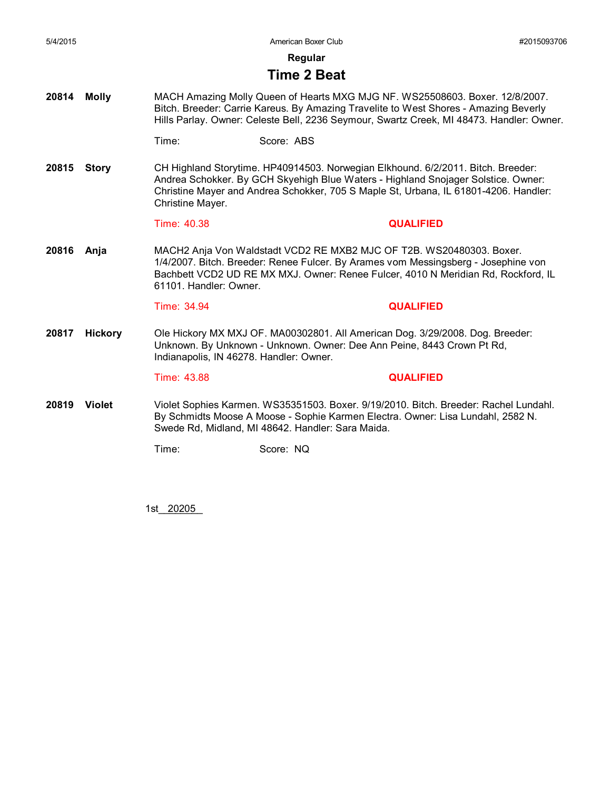**Regular**

#### **Time 2 Beat**

**20814 Molly** MACH Amazing Molly Queen of Hearts MXG MJG NF. WS25508603. Boxer. 12/8/2007. Bitch. Breeder: Carrie Kareus. By Amazing Travelite to West Shores - Amazing Beverly Hills Parlay. Owner: Celeste Bell, 2236 Seymour, Swartz Creek, MI 48473. Handler: Owner.

Time: Score: ABS

**20815 Story** CH Highland Storytime. HP40914503. Norwegian Elkhound. 6/2/2011. Bitch. Breeder: Andrea Schokker. By GCH Skyehigh Blue Waters - Highland Snojager Solstice. Owner: Christine Mayer and Andrea Schokker, 705 S Maple St, Urbana, IL 61801-4206. Handler: Christine Mayer.

#### Time: 40.38 **QUALIFIED**

**20816 Anja** MACH2 Anja Von Waldstadt VCD2 RE MXB2 MJC OF T2B. WS20480303. Boxer. 1/4/2007. Bitch. Breeder: Renee Fulcer. By Arames vom Messingsberg - Josephine von Bachbett VCD2 UD RE MX MXJ. Owner: Renee Fulcer, 4010 N Meridian Rd, Rockford, IL 61101. Handler: Owner.

#### Time: 34.94 **QUALIFIED**

**20817 Hickory** Ole Hickory MX MXJ OF. MA00302801. All American Dog. 3/29/2008. Dog. Breeder: Unknown. By Unknown - Unknown. Owner: Dee Ann Peine, 8443 Crown Pt Rd, Indianapolis, IN 46278. Handler: Owner.

#### Time: 43.88 **QUALIFIED**

**20819 Violet** Violet Sophies Karmen. WS35351503. Boxer. 9/19/2010. Bitch. Breeder: Rachel Lundahl. By Schmidts Moose A Moose - Sophie Karmen Electra. Owner: Lisa Lundahl, 2582 N. Swede Rd, Midland, MI 48642. Handler: Sara Maida.

Time: Score: NQ

1st\_\_\_\_\_\_\_\_ 20205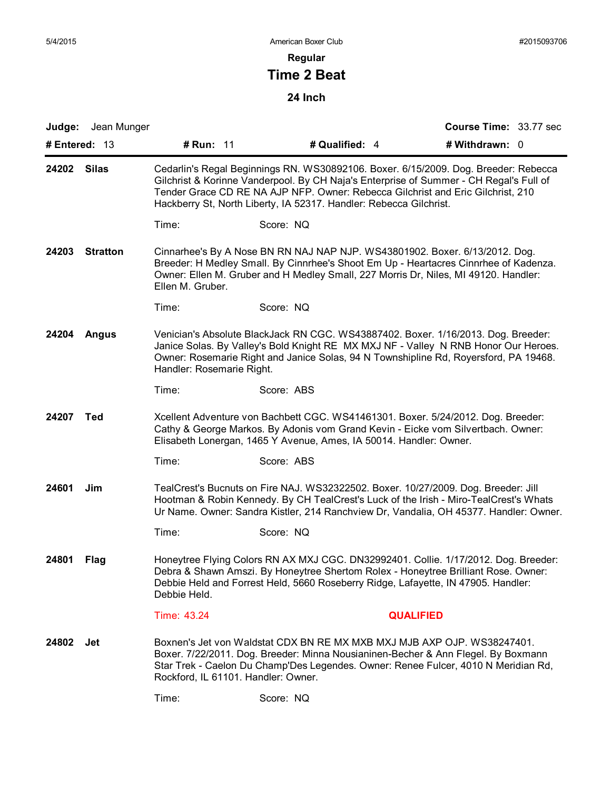## **Regular**

# **Time 2 Beat**

| Judge:<br># Entered: $13$ | Jean Munger     | # Run: 11                 |                                     | # Qualified: 4                                                     | Course Time: 33.77 sec<br># Withdrawn: 0                                                                                                                                                                                                                             |  |
|---------------------------|-----------------|---------------------------|-------------------------------------|--------------------------------------------------------------------|----------------------------------------------------------------------------------------------------------------------------------------------------------------------------------------------------------------------------------------------------------------------|--|
| 24202                     | <b>Silas</b>    |                           |                                     | Hackberry St, North Liberty, IA 52317. Handler: Rebecca Gilchrist. | Cedarlin's Regal Beginnings RN. WS30892106. Boxer. 6/15/2009. Dog. Breeder: Rebecca<br>Gilchrist & Korinne Vanderpool. By CH Naja's Enterprise of Summer - CH Regal's Full of<br>Tender Grace CD RE NA AJP NFP. Owner: Rebecca Gilchrist and Eric Gilchrist, 210     |  |
|                           |                 | Time:                     |                                     | Score: NQ                                                          |                                                                                                                                                                                                                                                                      |  |
| 24203                     | <b>Stratton</b> | Ellen M. Gruber.          |                                     |                                                                    | Cinnarhee's By A Nose BN RN NAJ NAP NJP. WS43801902. Boxer. 6/13/2012. Dog.<br>Breeder: H Medley Small. By Cinnrhee's Shoot Em Up - Heartacres Cinnrhee of Kadenza.<br>Owner: Ellen M. Gruber and H Medley Small, 227 Morris Dr, Niles, MI 49120. Handler:           |  |
|                           |                 | Time:                     |                                     | Score: NQ                                                          |                                                                                                                                                                                                                                                                      |  |
| 24204                     | Angus           | Handler: Rosemarie Right. |                                     |                                                                    | Venician's Absolute BlackJack RN CGC. WS43887402. Boxer. 1/16/2013. Dog. Breeder:<br>Janice Solas. By Valley's Bold Knight RE MX MXJ NF - Valley N RNB Honor Our Heroes.<br>Owner: Rosemarie Right and Janice Solas, 94 N Townshipline Rd, Royersford, PA 19468.     |  |
|                           |                 | Time:                     |                                     | Score: ABS                                                         |                                                                                                                                                                                                                                                                      |  |
| 24207                     | Ted             |                           |                                     | Elisabeth Lonergan, 1465 Y Avenue, Ames, IA 50014. Handler: Owner. | Xcellent Adventure von Bachbett CGC. WS41461301. Boxer. 5/24/2012. Dog. Breeder:<br>Cathy & George Markos. By Adonis vom Grand Kevin - Eicke vom Silvertbach. Owner:                                                                                                 |  |
|                           |                 | Time:                     |                                     | Score: ABS                                                         |                                                                                                                                                                                                                                                                      |  |
| 24601                     | Jim             |                           |                                     |                                                                    | TealCrest's Bucnuts on Fire NAJ. WS32322502. Boxer. 10/27/2009. Dog. Breeder: Jill<br>Hootman & Robin Kennedy. By CH TealCrest's Luck of the Irish - Miro-TealCrest's Whats<br>Ur Name. Owner: Sandra Kistler, 214 Ranchview Dr, Vandalia, OH 45377. Handler: Owner. |  |
|                           |                 | Time:                     |                                     | Score: NQ                                                          |                                                                                                                                                                                                                                                                      |  |
| 24801                     | Flag            | Debbie Held.              |                                     |                                                                    | Honeytree Flying Colors RN AX MXJ CGC. DN32992401. Collie. 1/17/2012. Dog. Breeder:<br>Debra & Shawn Amszi. By Honeytree Shertom Rolex - Honeytree Brilliant Rose. Owner:<br>Debbie Held and Forrest Held, 5660 Roseberry Ridge, Lafayette, IN 47905. Handler:       |  |
|                           |                 | Time: 43.24               |                                     |                                                                    | <b>QUALIFIED</b>                                                                                                                                                                                                                                                     |  |
| 24802                     | Jet             |                           | Rockford, IL 61101. Handler: Owner. |                                                                    | Boxnen's Jet von Waldstat CDX BN RE MX MXB MXJ MJB AXP OJP. WS38247401.<br>Boxer. 7/22/2011. Dog. Breeder: Minna Nousianinen-Becher & Ann Flegel. By Boxmann<br>Star Trek - Caelon Du Champ'Des Legendes. Owner: Renee Fulcer, 4010 N Meridian Rd,                   |  |
|                           |                 | Time:                     |                                     | Score: NQ                                                          |                                                                                                                                                                                                                                                                      |  |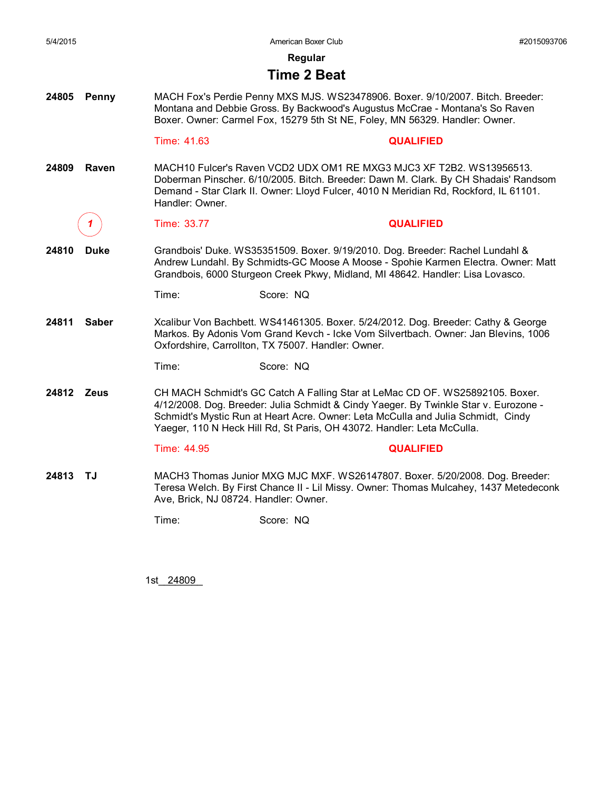**Regular**

#### **Time 2 Beat**

**24805 Penny** MACH Fox's Perdie Penny MXS MJS. WS23478906. Boxer. 9/10/2007. Bitch. Breeder: Montana and Debbie Gross. By Backwood's Augustus McCrae - Montana's So Raven Boxer. Owner: Carmel Fox, 15279 5th St NE, Foley, MN 56329. Handler: Owner.

Time: 41.63 **QUALIFIED**

**24809 Raven** MACH10 Fulcer's Raven VCD2 UDX OM1 RE MXG3 MJC3 XF T2B2. WS13956513. Doberman Pinscher. 6/10/2005. Bitch. Breeder: Dawn M. Clark. By CH Shadais' Randsom Demand - Star Clark II. Owner: Lloyd Fulcer, 4010 N Meridian Rd, Rockford, IL 61101. Handler: Owner.

*1* Time: 33.77 **QUALIFIED**

- **24810 Duke** Grandbois' Duke. WS35351509. Boxer. 9/19/2010. Dog. Breeder: Rachel Lundahl & Andrew Lundahl. By Schmidts-GC Moose A Moose - Spohie Karmen Electra. Owner: Matt Grandbois, 6000 Sturgeon Creek Pkwy, Midland, MI 48642. Handler: Lisa Lovasco.
	- Time: Score: NQ
- **24811 Saber** Xcalibur Von Bachbett. WS41461305. Boxer. 5/24/2012. Dog. Breeder: Cathy & George Markos. By Adonis Vom Grand Kevch - Icke Vom Silvertbach. Owner: Jan Blevins, 1006 Oxfordshire, Carrollton, TX 75007. Handler: Owner.

Time: Score: NQ

**24812 Zeus** CH MACH Schmidt's GC Catch A Falling Star at LeMac CD OF. WS25892105. Boxer. 4/12/2008. Dog. Breeder: Julia Schmidt & Cindy Yaeger. By Twinkle Star v. Eurozone - Schmidt's Mystic Run at Heart Acre. Owner: Leta McCulla and Julia Schmidt, Cindy Yaeger, 110 N Heck Hill Rd, St Paris, OH 43072. Handler: Leta McCulla.

#### Time: 44.95 **QUALIFIED**

**24813 TJ** MACH3 Thomas Junior MXG MJC MXF. WS26147807. Boxer. 5/20/2008. Dog. Breeder: Teresa Welch. By First Chance II - Lil Missy. Owner: Thomas Mulcahey, 1437 Metedeconk Ave, Brick, NJ 08724. Handler: Owner.

Time: Score: NQ

1st\_\_\_\_\_\_\_\_ 24809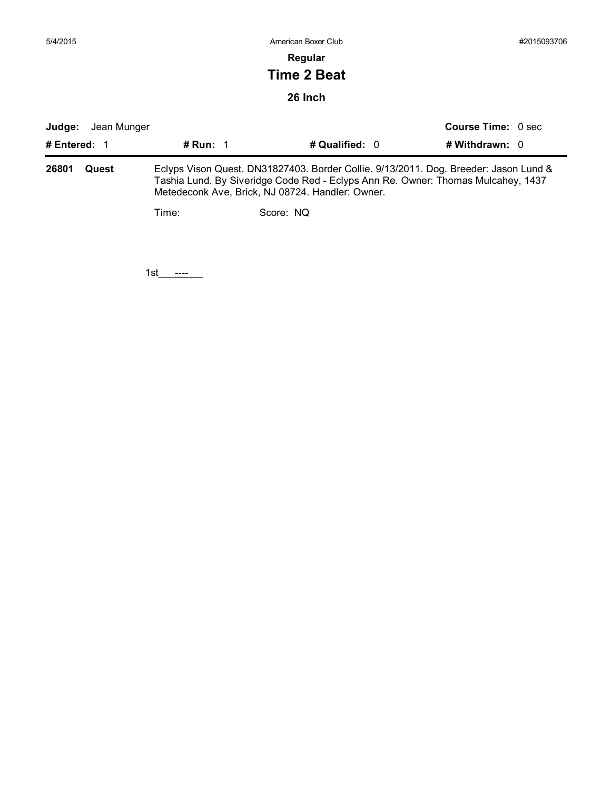| 5/4/2015     |             |            | American Boxer Club |                           | #2015093706 |
|--------------|-------------|------------|---------------------|---------------------------|-------------|
|              |             |            | Regular             |                           |             |
|              |             |            | <b>Time 2 Beat</b>  |                           |             |
|              |             |            | 26 Inch             |                           |             |
| Judge:       | Jean Munger |            |                     | <b>Course Time: 0 sec</b> |             |
| # Entered: 1 |             | # Run: $1$ | # Qualified: 0      | # Withdrawn: 0            |             |

| 26801 | Quest | Eclyps Vison Quest. DN31827403. Border Collie. 9/13/2011. Dog. Breeder: Jason Lund &<br>Tashia Lund. By Siveridge Code Red - Eclyps Ann Re. Owner: Thomas Mulcahey, 1437<br>Metedeconk Ave, Brick, NJ 08724. Handler: Owner. |           |  |  |  |  |
|-------|-------|------------------------------------------------------------------------------------------------------------------------------------------------------------------------------------------------------------------------------|-----------|--|--|--|--|
|       |       | Time:                                                                                                                                                                                                                        | Score: NO |  |  |  |  |

1st\_\_\_\_\_\_\_\_ ----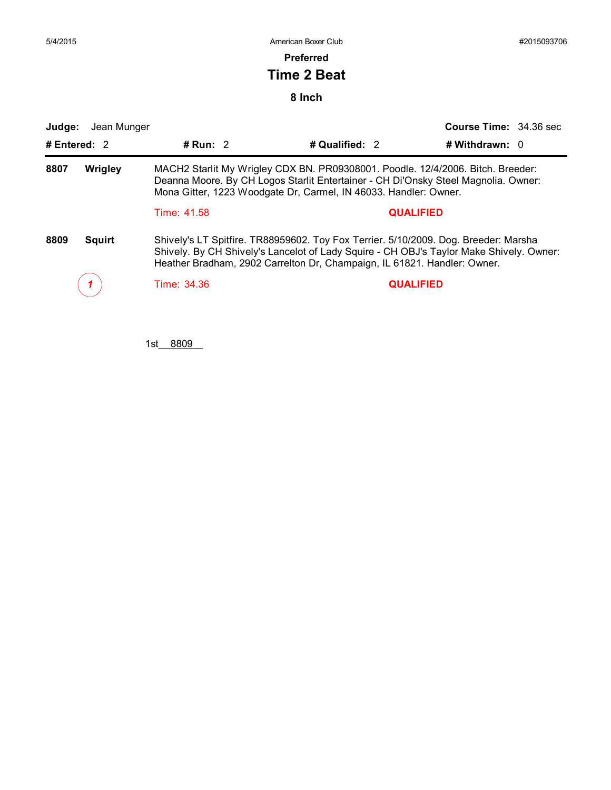**Preferred**

## **Time 2 Beat**

**8 Inch**

| Judge:                | Jean Munger |                                                                                                                                                                                                                                           |                                                                                                                                                                                                                                                            | Course Time: 34.36 sec |  |
|-----------------------|-------------|-------------------------------------------------------------------------------------------------------------------------------------------------------------------------------------------------------------------------------------------|------------------------------------------------------------------------------------------------------------------------------------------------------------------------------------------------------------------------------------------------------------|------------------------|--|
| # Entered: 2          |             | # Run: $2$                                                                                                                                                                                                                                | # Qualified: 2                                                                                                                                                                                                                                             | # Withdrawn: $0$       |  |
| 8807<br>Wrigley       |             | MACH2 Starlit My Wrigley CDX BN. PR09308001. Poodle. 12/4/2006. Bitch. Breeder:<br>Deanna Moore. By CH Logos Starlit Entertainer - CH Di'Onsky Steel Magnolia. Owner:<br>Mona Gitter, 1223 Woodgate Dr, Carmel, IN 46033. Handler: Owner. |                                                                                                                                                                                                                                                            |                        |  |
|                       |             | Time: 41.58                                                                                                                                                                                                                               |                                                                                                                                                                                                                                                            | <b>QUALIFIED</b>       |  |
| 8809<br><b>Squirt</b> |             |                                                                                                                                                                                                                                           | Shively's LT Spitfire. TR88959602. Toy Fox Terrier. 5/10/2009. Dog. Breeder: Marsha<br>Shively. By CH Shively's Lancelot of Lady Squire - CH OBJ's Taylor Make Shively. Owner:<br>Heather Bradham, 2902 Carrelton Dr, Champaign, IL 61821. Handler: Owner. |                        |  |
|                       |             | Time: 34.36                                                                                                                                                                                                                               |                                                                                                                                                                                                                                                            | <b>QUALIFIED</b>       |  |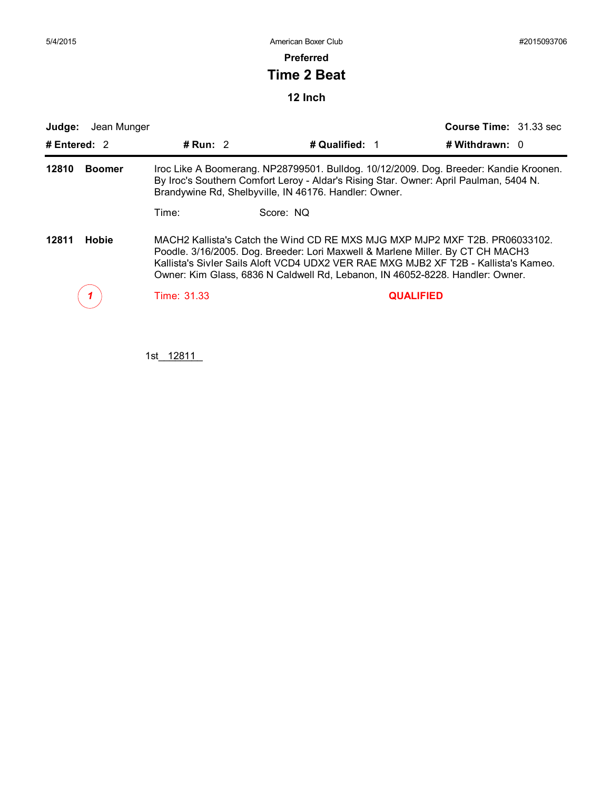**Preferred**

## **Time 2 Beat**

**12 Inch**

|                        | Jean Munger |             |                                                                                                                                                                 | Course Time: 31.33 sec                                                                                                                                             |
|------------------------|-------------|-------------|-----------------------------------------------------------------------------------------------------------------------------------------------------------------|--------------------------------------------------------------------------------------------------------------------------------------------------------------------|
| # Entered: 2           |             | # Run: $2$  | # Qualified: 1                                                                                                                                                  | # Withdrawn: $0$                                                                                                                                                   |
| 12810<br><b>Boomer</b> |             |             | By Iroc's Southern Comfort Leroy - Aldar's Rising Star. Owner: April Paulman, 5404 N.<br>Brandywine Rd, Shelbyville, IN 46176. Handler: Owner.                  | Iroc Like A Boomerang. NP28799501. Bulldog. 10/12/2009. Dog. Breeder: Kandie Kroonen.                                                                              |
|                        |             | Time:       | Score: NO                                                                                                                                                       |                                                                                                                                                                    |
| 12811                  | Hobie       |             | Poodle. 3/16/2005. Dog. Breeder: Lori Maxwell & Marlene Miller. By CT CH MACH3<br>Owner: Kim Glass, 6836 N Caldwell Rd, Lebanon, IN 46052-8228. Handler: Owner. | MACH2 Kallista's Catch the Wind CD RE MXS MJG MXP MJP2 MXF T2B. PR06033102.<br>Kallista's Sivler Sails Aloft VCD4 UDX2 VER RAE MXG MJB2 XF T2B - Kallista's Kameo. |
|                        |             | Time: 31.33 |                                                                                                                                                                 | <b>QUALIFIED</b>                                                                                                                                                   |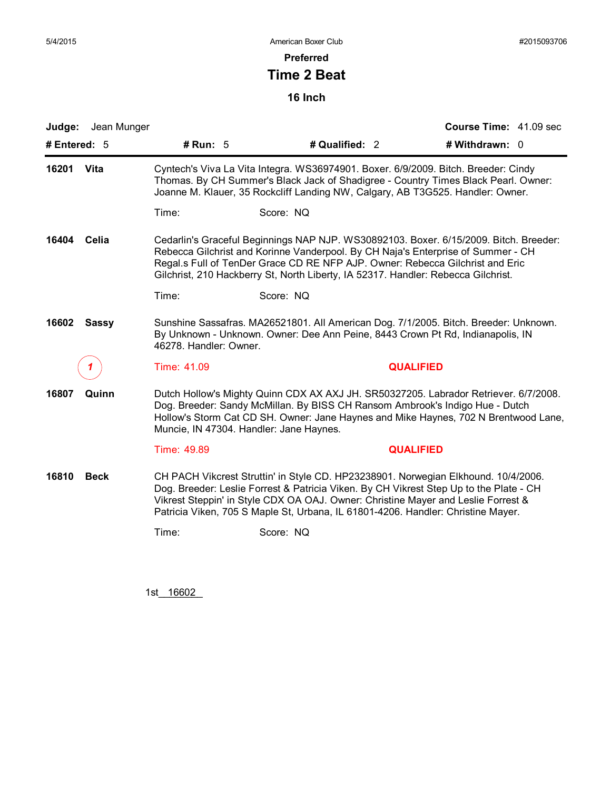**Preferred**

## **Time 2 Beat**

**16 Inch**

|                      | Judge: Jean Munger |                                                                                                                                                                                                                                                                                                                                                 |                                                                                                                                                                                                                                                                                                                                                       | Course Time: 41.09 sec |  |  |  |
|----------------------|--------------------|-------------------------------------------------------------------------------------------------------------------------------------------------------------------------------------------------------------------------------------------------------------------------------------------------------------------------------------------------|-------------------------------------------------------------------------------------------------------------------------------------------------------------------------------------------------------------------------------------------------------------------------------------------------------------------------------------------------------|------------------------|--|--|--|
| # Entered: $5$       |                    | # Run: $5$                                                                                                                                                                                                                                                                                                                                      | # Qualified: 2                                                                                                                                                                                                                                                                                                                                        | # Withdrawn: 0         |  |  |  |
| 16201<br>Vita        |                    |                                                                                                                                                                                                                                                                                                                                                 | Cyntech's Viva La Vita Integra. WS36974901. Boxer. 6/9/2009. Bitch. Breeder: Cindy<br>Thomas. By CH Summer's Black Jack of Shadigree - Country Times Black Pearl. Owner:<br>Joanne M. Klauer, 35 Rockcliff Landing NW, Calgary, AB T3G525. Handler: Owner.                                                                                            |                        |  |  |  |
|                      |                    | Time:                                                                                                                                                                                                                                                                                                                                           | Score: NQ                                                                                                                                                                                                                                                                                                                                             |                        |  |  |  |
| Celia<br>16404       |                    | Cedarlin's Graceful Beginnings NAP NJP. WS30892103. Boxer. 6/15/2009. Bitch. Breeder:<br>Rebecca Gilchrist and Korinne Vanderpool. By CH Naja's Enterprise of Summer - CH<br>Regal.s Full of TenDer Grace CD RE NFP AJP. Owner: Rebecca Gilchrist and Eric<br>Gilchrist, 210 Hackberry St, North Liberty, IA 52317. Handler: Rebecca Gilchrist. |                                                                                                                                                                                                                                                                                                                                                       |                        |  |  |  |
|                      |                    | Time:                                                                                                                                                                                                                                                                                                                                           | Score: NQ                                                                                                                                                                                                                                                                                                                                             |                        |  |  |  |
| 16602                | <b>Sassy</b>       | Sunshine Sassafras. MA26521801. All American Dog. 7/1/2005. Bitch. Breeder: Unknown.<br>By Unknown - Unknown. Owner: Dee Ann Peine, 8443 Crown Pt Rd, Indianapolis, IN<br>46278. Handler: Owner.                                                                                                                                                |                                                                                                                                                                                                                                                                                                                                                       |                        |  |  |  |
|                      |                    | Time: 41.09                                                                                                                                                                                                                                                                                                                                     |                                                                                                                                                                                                                                                                                                                                                       | <b>QUALIFIED</b>       |  |  |  |
| 16807<br>Quinn       |                    | Muncie, IN 47304. Handler: Jane Haynes.                                                                                                                                                                                                                                                                                                         | Dutch Hollow's Mighty Quinn CDX AX AXJ JH. SR50327205. Labrador Retriever. 6/7/2008.<br>Dog. Breeder: Sandy McMillan. By BISS CH Ransom Ambrook's Indigo Hue - Dutch<br>Hollow's Storm Cat CD SH. Owner: Jane Haynes and Mike Haynes, 702 N Brentwood Lane,                                                                                           |                        |  |  |  |
|                      |                    | Time: 49.89                                                                                                                                                                                                                                                                                                                                     |                                                                                                                                                                                                                                                                                                                                                       | <b>QUALIFIED</b>       |  |  |  |
| 16810<br><b>Beck</b> |                    |                                                                                                                                                                                                                                                                                                                                                 | CH PACH Vikcrest Struttin' in Style CD. HP23238901. Norwegian Elkhound. 10/4/2006.<br>Dog. Breeder: Leslie Forrest & Patricia Viken. By CH Vikrest Step Up to the Plate - CH<br>Vikrest Steppin' in Style CDX OA OAJ. Owner: Christine Mayer and Leslie Forrest &<br>Patricia Viken, 705 S Maple St, Urbana, IL 61801-4206. Handler: Christine Mayer. |                        |  |  |  |
|                      |                    | Time:                                                                                                                                                                                                                                                                                                                                           | Score: NQ                                                                                                                                                                                                                                                                                                                                             |                        |  |  |  |
|                      |                    |                                                                                                                                                                                                                                                                                                                                                 |                                                                                                                                                                                                                                                                                                                                                       |                        |  |  |  |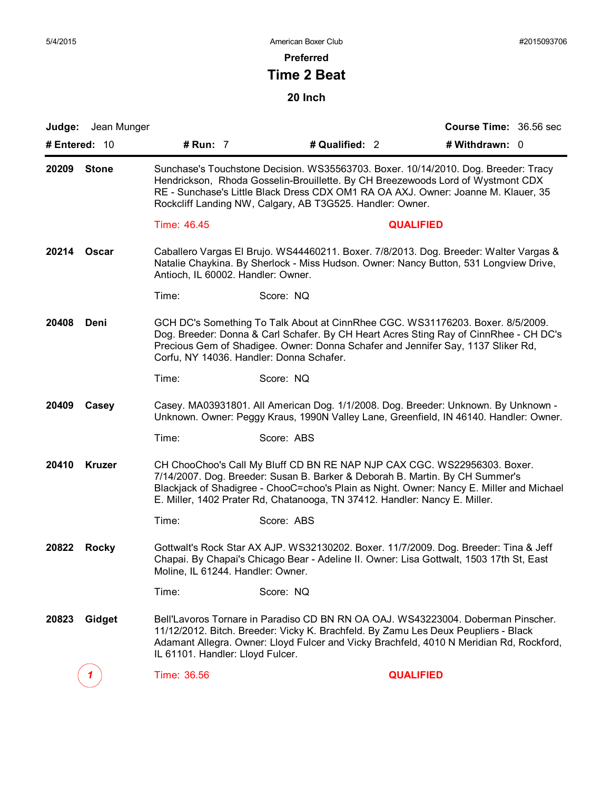**Preferred**

## **Time 2 Beat**

|               | <b>Judge:</b> Jean Munger |                                                                                                                                                                                                                                                                                                                         |                                                                                                                                                                                                                                                                                                                                    |                  | Course Time: 36.56 sec |  |  |
|---------------|---------------------------|-------------------------------------------------------------------------------------------------------------------------------------------------------------------------------------------------------------------------------------------------------------------------------------------------------------------------|------------------------------------------------------------------------------------------------------------------------------------------------------------------------------------------------------------------------------------------------------------------------------------------------------------------------------------|------------------|------------------------|--|--|
| # Entered: 10 |                           | # Run: 7                                                                                                                                                                                                                                                                                                                | # Qualified: 2                                                                                                                                                                                                                                                                                                                     |                  | # Withdrawn: 0         |  |  |
| 20209         | <b>Stone</b>              | Sunchase's Touchstone Decision. WS35563703. Boxer. 10/14/2010. Dog. Breeder: Tracy<br>Hendrickson, Rhoda Gosselin-Brouillette. By CH Breezewoods Lord of Wystmont CDX<br>RE - Sunchase's Little Black Dress CDX OM1 RA OA AXJ. Owner: Joanne M. Klauer, 35<br>Rockcliff Landing NW, Calgary, AB T3G525. Handler: Owner. |                                                                                                                                                                                                                                                                                                                                    |                  |                        |  |  |
|               |                           | Time: 46.45                                                                                                                                                                                                                                                                                                             |                                                                                                                                                                                                                                                                                                                                    | <b>QUALIFIED</b> |                        |  |  |
| 20214         | Oscar                     | Antioch, IL 60002. Handler: Owner.                                                                                                                                                                                                                                                                                      | Caballero Vargas El Brujo. WS44460211. Boxer. 7/8/2013. Dog. Breeder: Walter Vargas &<br>Natalie Chaykina. By Sherlock - Miss Hudson. Owner: Nancy Button, 531 Longview Drive,                                                                                                                                                     |                  |                        |  |  |
|               |                           | Time:                                                                                                                                                                                                                                                                                                                   | Score: NQ                                                                                                                                                                                                                                                                                                                          |                  |                        |  |  |
| 20408         | Deni                      | GCH DC's Something To Talk About at CinnRhee CGC. WS31176203. Boxer. 8/5/2009.<br>Dog. Breeder: Donna & Carl Schafer. By CH Heart Acres Sting Ray of CinnRhee - CH DC's<br>Precious Gem of Shadigee. Owner: Donna Schafer and Jennifer Say, 1137 Sliker Rd,<br>Corfu, NY 14036. Handler: Donna Schafer.                 |                                                                                                                                                                                                                                                                                                                                    |                  |                        |  |  |
|               |                           | Time:                                                                                                                                                                                                                                                                                                                   | Score: NQ                                                                                                                                                                                                                                                                                                                          |                  |                        |  |  |
| 20409         | Casey                     |                                                                                                                                                                                                                                                                                                                         | Casey. MA03931801. All American Dog. 1/1/2008. Dog. Breeder: Unknown. By Unknown -<br>Unknown. Owner: Peggy Kraus, 1990N Valley Lane, Greenfield, IN 46140. Handler: Owner.                                                                                                                                                        |                  |                        |  |  |
|               |                           | Time:                                                                                                                                                                                                                                                                                                                   | Score: ABS                                                                                                                                                                                                                                                                                                                         |                  |                        |  |  |
| 20410         | <b>Kruzer</b>             |                                                                                                                                                                                                                                                                                                                         | CH ChooChoo's Call My Bluff CD BN RE NAP NJP CAX CGC. WS22956303. Boxer.<br>7/14/2007. Dog. Breeder: Susan B. Barker & Deborah B. Martin. By CH Summer's<br>Blackjack of Shadigree - ChooC=choo's Plain as Night. Owner: Nancy E. Miller and Michael<br>E. Miller, 1402 Prater Rd, Chatanooga, TN 37412. Handler: Nancy E. Miller. |                  |                        |  |  |
|               |                           | Time:                                                                                                                                                                                                                                                                                                                   | Score: ABS                                                                                                                                                                                                                                                                                                                         |                  |                        |  |  |
| 20822         | <b>Rocky</b>              | Moline, IL 61244. Handler: Owner.                                                                                                                                                                                                                                                                                       | Gottwalt's Rock Star AX AJP. WS32130202. Boxer. 11/7/2009. Dog. Breeder: Tina & Jeff<br>Chapai. By Chapai's Chicago Bear - Adeline II. Owner: Lisa Gottwalt, 1503 17th St, East                                                                                                                                                    |                  |                        |  |  |
|               |                           | Time:                                                                                                                                                                                                                                                                                                                   | Score: NQ                                                                                                                                                                                                                                                                                                                          |                  |                        |  |  |
| 20823         | Gidget                    | IL 61101. Handler: Lloyd Fulcer.                                                                                                                                                                                                                                                                                        | Bell'Lavoros Tornare in Paradiso CD BN RN OA OAJ. WS43223004. Doberman Pinscher.<br>11/12/2012. Bitch. Breeder: Vicky K. Brachfeld. By Zamu Les Deux Peupliers - Black<br>Adamant Allegra. Owner: Lloyd Fulcer and Vicky Brachfeld, 4010 N Meridian Rd, Rockford,                                                                  |                  |                        |  |  |
|               |                           | Time: 36.56                                                                                                                                                                                                                                                                                                             |                                                                                                                                                                                                                                                                                                                                    | <b>QUALIFIED</b> |                        |  |  |
|               |                           |                                                                                                                                                                                                                                                                                                                         |                                                                                                                                                                                                                                                                                                                                    |                  |                        |  |  |